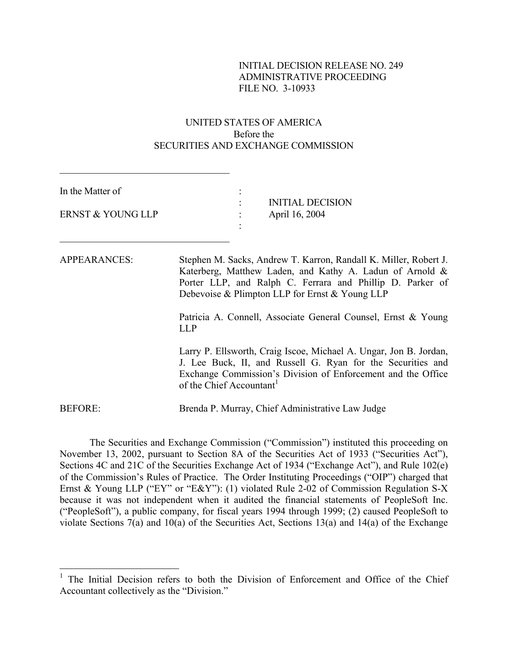# INITIAL DECISION RELEASE NO. 249 ADMINISTRATIVE PROCEEDING FILE NO. 3-10933

# UNITED STATES OF AMERICA Before the SECURITIES AND EXCHANGE COMMISSION

 $\mathcal{L}_\text{max}$ 

| In the Matter of<br>ERNST & YOUNG LLP | <b>INITIAL DECISION</b><br>April 16, 2004                                                                                                                                                                                                                                                                                  |  |  |  |
|---------------------------------------|----------------------------------------------------------------------------------------------------------------------------------------------------------------------------------------------------------------------------------------------------------------------------------------------------------------------------|--|--|--|
| <b>APPEARANCES:</b>                   | Stephen M. Sacks, Andrew T. Karron, Randall K. Miller, Robert J.<br>Katerberg, Matthew Laden, and Kathy A. Ladun of Arnold &<br>Porter LLP, and Ralph C. Ferrara and Phillip D. Parker of<br>Debevoise & Plimpton LLP for Ernst & Young LLP<br>Patricia A. Connell, Associate General Counsel, Ernst & Young<br><b>LLP</b> |  |  |  |
|                                       | Larry P. Ellsworth, Craig Iscoe, Michael A. Ungar, Jon B. Jordan,<br>J. Lee Buck, II, and Russell G. Ryan for the Securities and<br>Exchange Commission's Division of Enforcement and the Office<br>of the Chief Accountant <sup>1</sup>                                                                                   |  |  |  |
| <b>BEFORE:</b>                        | Brenda P. Murray, Chief Administrative Law Judge                                                                                                                                                                                                                                                                           |  |  |  |

 The Securities and Exchange Commission ("Commission") instituted this proceeding on November 13, 2002, pursuant to Section 8A of the Securities Act of 1933 ("Securities Act"), Sections 4C and 21C of the Securities Exchange Act of 1934 ("Exchange Act"), and Rule 102(e) of the Commission's Rules of Practice. The Order Instituting Proceedings ("OIP") charged that Ernst & Young LLP ("EY" or "E&Y"): (1) violated Rule 2-02 of Commission Regulation S-X because it was not independent when it audited the financial statements of PeopleSoft Inc. ("PeopleSoft"), a public company, for fiscal years 1994 through 1999; (2) caused PeopleSoft to violate Sections 7(a) and 10(a) of the Securities Act, Sections 13(a) and 14(a) of the Exchange

<span id="page-0-0"></span><sup>&</sup>lt;sup>1</sup> The Initial Decision refers to both the Division of Enforcement and Office of the Chief Accountant collectively as the "Division."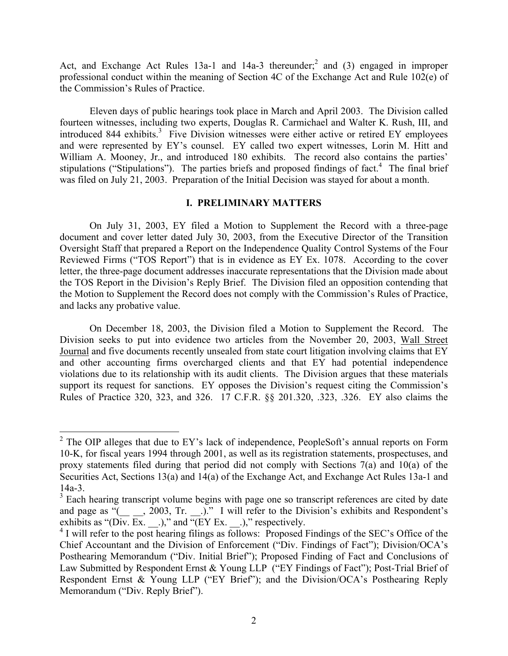Act, and Exchange Act Rules  $13a-1$  and  $14a-3$  thereunder;<sup>[2](#page-1-0)</sup> and (3) engaged in improper professional conduct within the meaning of Section 4C of the Exchange Act and Rule 102(e) of the Commission's Rules of Practice.

Eleven days of public hearings took place in March and April 2003. The Division called fourteen witnesses, including two experts, Douglas R. Carmichael and Walter K. Rush, III, and introduced 844 exhibits.<sup>3</sup> Five Division witnesses were either active or retired EY employees and were represented by EY's counsel. EY called two expert witnesses, Lorin M. Hitt and William A. Mooney, Jr., and introduced 180 exhibits. The record also contains the parties' stipulations ("Stipulations"). The parties briefs and proposed findings of fact.<sup>[4](#page-1-2)</sup> The final brief was filed on July 21, 2003. Preparation of the Initial Decision was stayed for about a month.

# **I. PRELIMINARY MATTERS**

On July 31, 2003, EY filed a Motion to Supplement the Record with a three-page document and cover letter dated July 30, 2003, from the Executive Director of the Transition Oversight Staff that prepared a Report on the Independence Quality Control Systems of the Four Reviewed Firms ("TOS Report") that is in evidence as EY Ex. 1078. According to the cover letter, the three-page document addresses inaccurate representations that the Division made about the TOS Report in the Division's Reply Brief. The Division filed an opposition contending that the Motion to Supplement the Record does not comply with the Commission's Rules of Practice, and lacks any probative value.

On December 18, 2003, the Division filed a Motion to Supplement the Record. The Division seeks to put into evidence two articles from the November 20, 2003, Wall Street Journal and five documents recently unsealed from state court litigation involving claims that EY and other accounting firms overcharged clients and that EY had potential independence violations due to its relationship with its audit clients. The Division argues that these materials support its request for sanctions. EY opposes the Division's request citing the Commission's Rules of Practice 320, 323, and 326. 17 C.F.R. §§ 201.320, .323, .326. EY also claims the

<span id="page-1-0"></span><sup>&</sup>lt;sup>2</sup> The OIP alleges that due to EY's lack of independence, PeopleSoft's annual reports on Form 10-K, for fiscal years 1994 through 2001, as well as its registration statements, prospectuses, and proxy statements filed during that period did not comply with Sections 7(a) and 10(a) of the Securities Act, Sections 13(a) and 14(a) of the Exchange Act, and Exchange Act Rules 13a-1 and 14a-3.

<span id="page-1-1"></span><sup>&</sup>lt;sup>3</sup> Each hearing transcript volume begins with page one so transcript references are cited by date and page as " $($ <sub>1</sub>, 2003, Tr. <sub>1</sub>)." I will refer to the Division's exhibits and Respondent's exhibits as "(Div. Ex.  $\therefore$ )," and "(EY Ex.  $\therefore$ )," respectively.

<span id="page-1-2"></span><sup>&</sup>lt;sup>4</sup> I will refer to the post hearing filings as follows: Proposed Findings of the SEC's Office of the Chief Accountant and the Division of Enforcement ("Div. Findings of Fact"); Division/OCA's Posthearing Memorandum ("Div. Initial Brief"); Proposed Finding of Fact and Conclusions of Law Submitted by Respondent Ernst & Young LLP ("EY Findings of Fact"); Post-Trial Brief of Respondent Ernst & Young LLP ("EY Brief"); and the Division/OCA's Posthearing Reply Memorandum ("Div. Reply Brief").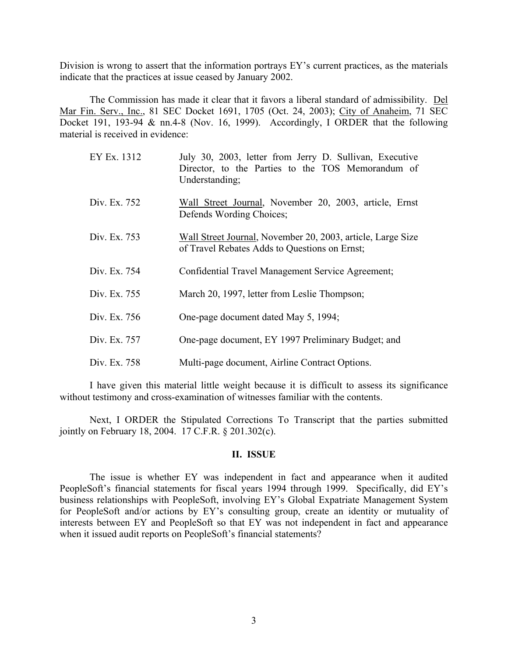Division is wrong to assert that the information portrays EY's current practices, as the materials indicate that the practices at issue ceased by January 2002.

The Commission has made it clear that it favors a liberal standard of admissibility. Del Mar Fin. Serv., Inc., 81 SEC Docket 1691, 1705 (Oct. 24, 2003); City of Anaheim, 71 SEC Docket 191, 193-94 & nn.4-8 (Nov. 16, 1999). Accordingly, I ORDER that the following material is received in evidence:

| EY Ex. 1312  | July 30, 2003, letter from Jerry D. Sullivan, Executive<br>Director, to the Parties to the TOS Memorandum of<br>Understanding; |
|--------------|--------------------------------------------------------------------------------------------------------------------------------|
| Div. Ex. 752 | Wall Street Journal, November 20, 2003, article, Ernst<br>Defends Wording Choices;                                             |
| Div. Ex. 753 | Wall Street Journal, November 20, 2003, article, Large Size<br>of Travel Rebates Adds to Questions on Ernst;                   |
| Div. Ex. 754 | Confidential Travel Management Service Agreement;                                                                              |
| Div. Ex. 755 | March 20, 1997, letter from Leslie Thompson;                                                                                   |
| Div. Ex. 756 | One-page document dated May 5, 1994;                                                                                           |
| Div. Ex. 757 | One-page document, EY 1997 Preliminary Budget; and                                                                             |
| Div. Ex. 758 | Multi-page document, Airline Contract Options.                                                                                 |

I have given this material little weight because it is difficult to assess its significance without testimony and cross-examination of witnesses familiar with the contents.

Next, I ORDER the Stipulated Corrections To Transcript that the parties submitted jointly on February 18, 2004. 17 C.F.R. § 201.302(c).

### **II. ISSUE**

The issue is whether EY was independent in fact and appearance when it audited PeopleSoft's financial statements for fiscal years 1994 through 1999. Specifically, did EY's business relationships with PeopleSoft, involving EY's Global Expatriate Management System for PeopleSoft and/or actions by EY's consulting group, create an identity or mutuality of interests between EY and PeopleSoft so that EY was not independent in fact and appearance when it issued audit reports on PeopleSoft's financial statements?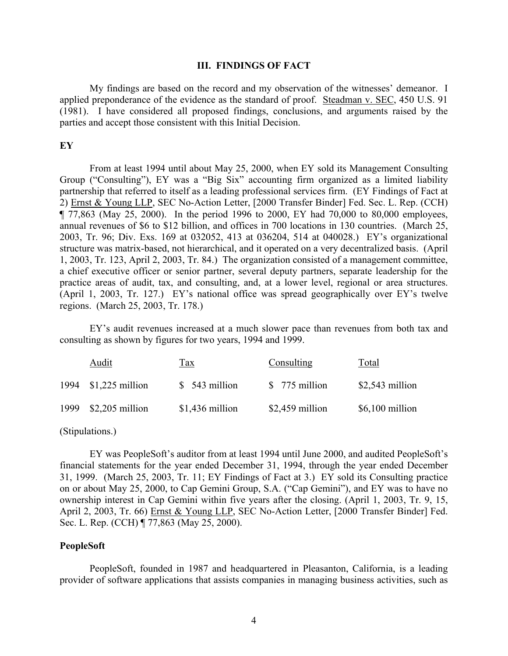### **III. FINDINGS OF FACT**

My findings are based on the record and my observation of the witnesses' demeanor. I applied preponderance of the evidence as the standard of proof. Steadman v. SEC, 450 U.S. 91 (1981). I have considered all proposed findings, conclusions, and arguments raised by the parties and accept those consistent with this Initial Decision.

# **EY**

From at least 1994 until about May 25, 2000, when EY sold its Management Consulting Group ("Consulting"), EY was a "Big Six" accounting firm organized as a limited liability partnership that referred to itself as a leading professional services firm. (EY Findings of Fact at 2) Ernst & Young LLP, SEC No-Action Letter, [2000 Transfer Binder] Fed. Sec. L. Rep. (CCH)  $\P$  77,863 (May 25, 2000). In the period 1996 to 2000, EY had 70,000 to 80,000 employees, annual revenues of \$6 to \$12 billion, and offices in 700 locations in 130 countries. (March 25, 2003, Tr. 96; Div. Exs. 169 at 032052, 413 at 036204, 514 at 040028.) EY's organizational structure was matrix-based, not hierarchical, and it operated on a very decentralized basis. (April 1, 2003, Tr. 123, April 2, 2003, Tr. 84.) The organization consisted of a management committee, a chief executive officer or senior partner, several deputy partners, separate leadership for the practice areas of audit, tax, and consulting, and, at a lower level, regional or area structures. (April 1, 2003, Tr. 127.) EY's national office was spread geographically over EY's twelve regions. (March 25, 2003, Tr. 178.)

EY's audit revenues increased at a much slower pace than revenues from both tax and consulting as shown by figures for two years, 1994 and 1999.

| Audit                | <u>Tax</u>       | Consulting       | Total            |
|----------------------|------------------|------------------|------------------|
| 1994 \$1,225 million | $$543$ million   | \$ 775 million   | $$2,543$ million |
| 1999 \$2,205 million | $$1,436$ million | $$2,459$ million | $$6,100$ million |

#### (Stipulations.)

EY was PeopleSoft's auditor from at least 1994 until June 2000, and audited PeopleSoft's financial statements for the year ended December 31, 1994, through the year ended December 31, 1999. (March 25, 2003, Tr. 11; EY Findings of Fact at 3.) EY sold its Consulting practice on or about May 25, 2000, to Cap Gemini Group, S.A. ("Cap Gemini"), and EY was to have no ownership interest in Cap Gemini within five years after the closing. (April 1, 2003, Tr. 9, 15, April 2, 2003, Tr. 66) Ernst & Young LLP, SEC No-Action Letter, [2000 Transfer Binder] Fed. Sec. L. Rep. (CCH) ¶ 77,863 (May 25, 2000).

### **PeopleSoft**

PeopleSoft, founded in 1987 and headquartered in Pleasanton, California, is a leading provider of software applications that assists companies in managing business activities, such as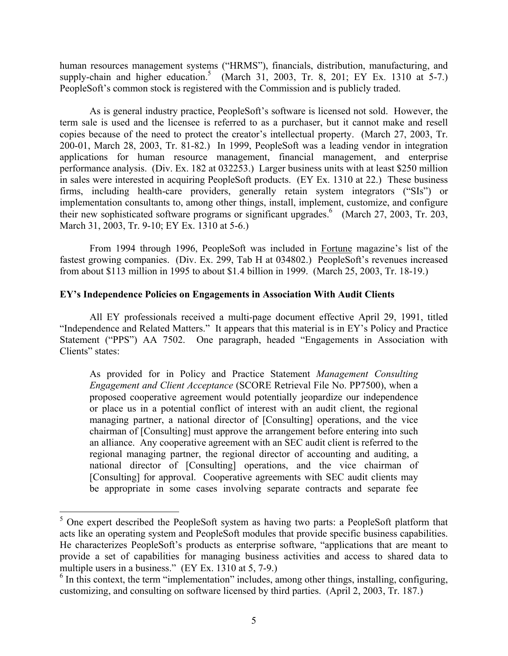human resources management systems ("HRMS"), financials, distribution, manufacturing, and supply-chain and higher education.<sup>[5](#page-4-0)</sup> (March 31, 2003, Tr. 8, 201; EY Ex. 1310 at 5-7.) PeopleSoft's common stock is registered with the Commission and is publicly traded.

As is general industry practice, PeopleSoft's software is licensed not sold. However, the term sale is used and the licensee is referred to as a purchaser, but it cannot make and resell copies because of the need to protect the creator's intellectual property. (March 27, 2003, Tr. 200-01, March 28, 2003, Tr. 81-82.) In 1999, PeopleSoft was a leading vendor in integration applications for human resource management, financial management, and enterprise performance analysis. (Div. Ex. 182 at 032253.) Larger business units with at least \$250 million in sales were interested in acquiring PeopleSoft products. (EY Ex. 1310 at 22.) These business firms, including health-care providers, generally retain system integrators ("SIs") or implementation consultants to, among other things, install, implement, customize, and configure their new sophisticated software programs or significant upgrades.<sup>[6](#page-4-1)</sup> (March 27, 2003, Tr. 203, March 31, 2003, Tr. 9-10; EY Ex. 1310 at 5-6.)

From 1994 through 1996, PeopleSoft was included in Fortune magazine's list of the fastest growing companies. (Div. Ex. 299, Tab H at 034802.) PeopleSoft's revenues increased from about \$113 million in 1995 to about \$1.4 billion in 1999. (March 25, 2003, Tr. 18-19.)

# **EY's Independence Policies on Engagements in Association With Audit Clients**

All EY professionals received a multi-page document effective April 29, 1991, titled "Independence and Related Matters." It appears that this material is in EY's Policy and Practice Statement ("PPS") AA 7502. One paragraph, headed "Engagements in Association with Clients" states:

As provided for in Policy and Practice Statement *Management Consulting Engagement and Client Acceptance* (SCORE Retrieval File No. PP7500), when a proposed cooperative agreement would potentially jeopardize our independence or place us in a potential conflict of interest with an audit client, the regional managing partner, a national director of [Consulting] operations, and the vice chairman of [Consulting] must approve the arrangement before entering into such an alliance. Any cooperative agreement with an SEC audit client is referred to the regional managing partner, the regional director of accounting and auditing, a national director of [Consulting] operations, and the vice chairman of [Consulting] for approval. Cooperative agreements with SEC audit clients may be appropriate in some cases involving separate contracts and separate fee

<span id="page-4-0"></span> $5$  One expert described the PeopleSoft system as having two parts: a PeopleSoft platform that acts like an operating system and PeopleSoft modules that provide specific business capabilities. He characterizes PeopleSoft's products as enterprise software, "applications that are meant to provide a set of capabilities for managing business activities and access to shared data to multiple users in a business." (EY Ex. 1310 at 5, 7-9.)

<span id="page-4-1"></span><sup>&</sup>lt;sup>6</sup> In this context, the term "implementation" includes, among other things, installing, configuring, customizing, and consulting on software licensed by third parties. (April 2, 2003, Tr. 187.)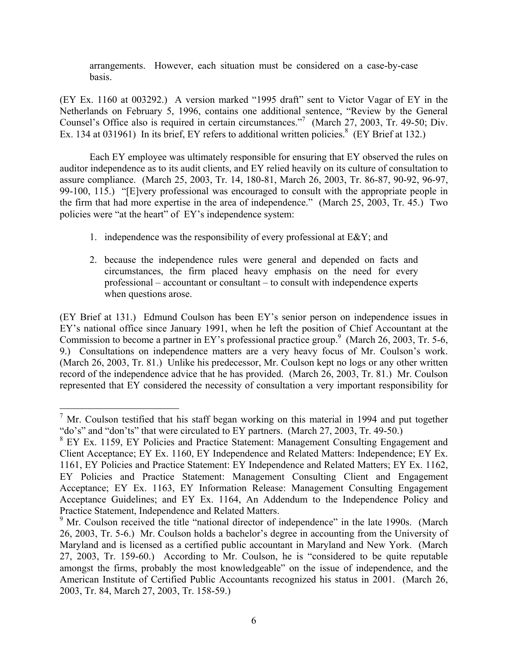arrangements. However, each situation must be considered on a case-by-case basis.

(EY Ex. 1160 at 003292.) A version marked "1995 draft" sent to Victor Vagar of EY in the Netherlands on February 5, 1996, contains one additional sentence, "Review by the General Counsel's Office also is required in certain circumstances."<sup>7</sup> (March 27, 2003, Tr. 49-50; Div. Ex. 134 at 031961) In its brief, EY refers to additional written policies.<sup>[8](#page-5-1)</sup> (EY Brief at 132.)

Each EY employee was ultimately responsible for ensuring that EY observed the rules on auditor independence as to its audit clients, and EY relied heavily on its culture of consultation to assure compliance. (March 25, 2003, Tr. 14, 180-81, March 26, 2003, Tr. 86-87, 90-92, 96-97, 99-100, 115.) "[E]very professional was encouraged to consult with the appropriate people in the firm that had more expertise in the area of independence." (March 25, 2003, Tr. 45.) Two policies were "at the heart" of EY's independence system:

- 1. independence was the responsibility of every professional at E&Y; and
- 2. because the independence rules were general and depended on facts and circumstances, the firm placed heavy emphasis on the need for every professional – accountant or consultant – to consult with independence experts when questions arose.

(EY Brief at 131.) Edmund Coulson has been EY's senior person on independence issues in EY's national office since January 1991, when he left the position of Chief Accountant at the Commission to become a partner in EY's professional practice group.<sup>9</sup> (March 26, 2003, Tr. 5-6, 9.) Consultations on independence matters are a very heavy focus of Mr. Coulson's work. (March 26, 2003, Tr. 81.) Unlike his predecessor, Mr. Coulson kept no logs or any other written record of the independence advice that he has provided. (March 26, 2003, Tr. 81.) Mr. Coulson represented that EY considered the necessity of consultation a very important responsibility for

<span id="page-5-0"></span> $<sup>7</sup>$  Mr. Coulson testified that his staff began working on this material in 1994 and put together</sup> "do's" and "don'ts" that were circulated to EY partners. (March 27, 2003, Tr. 49-50.)

<span id="page-5-1"></span>EY Ex. 1159, EY Policies and Practice Statement: Management Consulting Engagement and Client Acceptance; EY Ex. 1160, EY Independence and Related Matters: Independence; EY Ex. 1161, EY Policies and Practice Statement: EY Independence and Related Matters; EY Ex. 1162, EY Policies and Practice Statement: Management Consulting Client and Engagement Acceptance; EY Ex. 1163, EY Information Release: Management Consulting Engagement Acceptance Guidelines; and EY Ex. 1164, An Addendum to the Independence Policy and Practice Statement, Independence and Related Matters.

<span id="page-5-2"></span><sup>&</sup>lt;sup>9</sup> Mr. Coulson received the title "national director of independence" in the late 1990s. (March 26, 2003, Tr. 5-6.) Mr. Coulson holds a bachelor's degree in accounting from the University of Maryland and is licensed as a certified public accountant in Maryland and New York. (March 27, 2003, Tr. 159-60.) According to Mr. Coulson, he is "considered to be quite reputable amongst the firms, probably the most knowledgeable" on the issue of independence, and the American Institute of Certified Public Accountants recognized his status in 2001. (March 26, 2003, Tr. 84, March 27, 2003, Tr. 158-59.)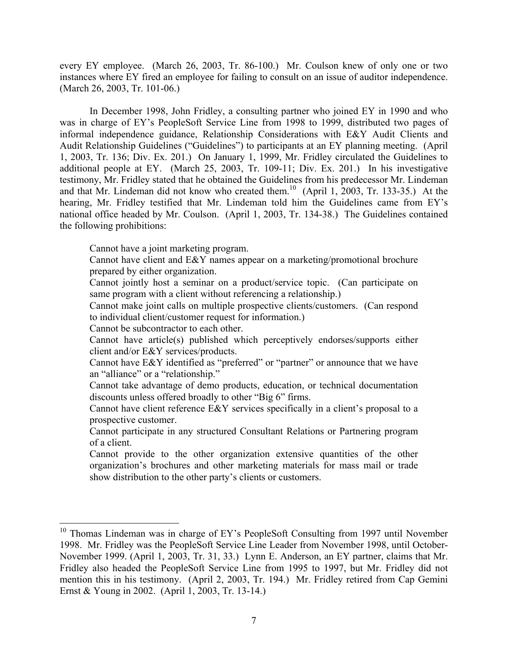every EY employee. (March 26, 2003, Tr. 86-100.) Mr. Coulson knew of only one or two instances where EY fired an employee for failing to consult on an issue of auditor independence. (March 26, 2003, Tr. 101-06.)

In December 1998, John Fridley, a consulting partner who joined EY in 1990 and who was in charge of EY's PeopleSoft Service Line from 1998 to 1999, distributed two pages of informal independence guidance, Relationship Considerations with E&Y Audit Clients and Audit Relationship Guidelines ("Guidelines") to participants at an EY planning meeting. (April 1, 2003, Tr. 136; Div. Ex. 201.) On January 1, 1999, Mr. Fridley circulated the Guidelines to additional people at EY. (March 25, 2003, Tr. 109-11; Div. Ex. 201.) In his investigative testimony, Mr. Fridley stated that he obtained the Guidelines from his predecessor Mr. Lindeman and that Mr. Lindeman did not know who created them. [10](#page-6-0) (April 1, 2003, Tr. 133-35.) At the hearing, Mr. Fridley testified that Mr. Lindeman told him the Guidelines came from EY's national office headed by Mr. Coulson. (April 1, 2003, Tr. 134-38.) The Guidelines contained the following prohibitions:

Cannot have a joint marketing program.

Cannot have client and E&Y names appear on a marketing/promotional brochure prepared by either organization.

Cannot jointly host a seminar on a product/service topic. (Can participate on same program with a client without referencing a relationship.)

Cannot make joint calls on multiple prospective clients/customers. (Can respond to individual client/customer request for information.)

Cannot be subcontractor to each other.

<u>.</u>

Cannot have article(s) published which perceptively endorses/supports either client and/or E&Y services/products.

Cannot have E&Y identified as "preferred" or "partner" or announce that we have an "alliance" or a "relationship."

Cannot take advantage of demo products, education, or technical documentation discounts unless offered broadly to other "Big 6" firms.

Cannot have client reference E&Y services specifically in a client's proposal to a prospective customer.

Cannot participate in any structured Consultant Relations or Partnering program of a client.

Cannot provide to the other organization extensive quantities of the other organization's brochures and other marketing materials for mass mail or trade show distribution to the other party's clients or customers.

<span id="page-6-0"></span> $10$  Thomas Lindeman was in charge of EY's PeopleSoft Consulting from 1997 until November 1998. Mr. Fridley was the PeopleSoft Service Line Leader from November 1998, until October-November 1999. (April 1, 2003, Tr. 31, 33.) Lynn E. Anderson, an EY partner, claims that Mr. Fridley also headed the PeopleSoft Service Line from 1995 to 1997, but Mr. Fridley did not mention this in his testimony. (April 2, 2003, Tr. 194.) Mr. Fridley retired from Cap Gemini Ernst & Young in 2002. (April 1, 2003, Tr. 13-14.)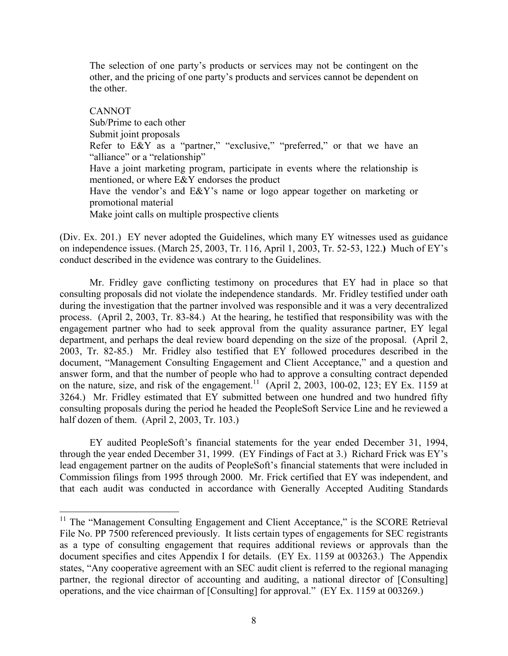The selection of one party's products or services may not be contingent on the other, and the pricing of one party's products and services cannot be dependent on the other.

CANNOT Sub/Prime to each other Submit joint proposals Refer to E&Y as a "partner," "exclusive," "preferred," or that we have an "alliance" or a "relationship" Have a joint marketing program, participate in events where the relationship is mentioned, or where E&Y endorses the product Have the vendor's and E&Y's name or logo appear together on marketing or promotional material Make joint calls on multiple prospective clients

(Div. Ex. 201.) EY never adopted the Guidelines, which many EY witnesses used as guidance on independence issues. (March 25, 2003, Tr. 116, April 1, 2003, Tr. 52-53, 122.**)** Much of EY's conduct described in the evidence was contrary to the Guidelines.

Mr. Fridley gave conflicting testimony on procedures that EY had in place so that consulting proposals did not violate the independence standards. Mr. Fridley testified under oath during the investigation that the partner involved was responsible and it was a very decentralized process. (April 2, 2003, Tr. 83-84.) At the hearing, he testified that responsibility was with the engagement partner who had to seek approval from the quality assurance partner, EY legal department, and perhaps the deal review board depending on the size of the proposal. (April 2, 2003, Tr. 82-85.) Mr. Fridley also testified that EY followed procedures described in the document, "Management Consulting Engagement and Client Acceptance," and a question and answer form, and that the number of people who had to approve a consulting contract depended on the nature, size, and risk of the engagement.<sup>11</sup> (April 2, 2003, 100-02, 123; EY Ex. 1159 at 3264.) Mr. Fridley estimated that EY submitted between one hundred and two hundred fifty consulting proposals during the period he headed the PeopleSoft Service Line and he reviewed a half dozen of them. (April 2, 2003, Tr. 103.)

EY audited PeopleSoft's financial statements for the year ended December 31, 1994, through the year ended December 31, 1999. (EY Findings of Fact at 3.) Richard Frick was EY's lead engagement partner on the audits of PeopleSoft's financial statements that were included in Commission filings from 1995 through 2000. Mr. Frick certified that EY was independent, and that each audit was conducted in accordance with Generally Accepted Auditing Standards

<span id="page-7-0"></span> $11$  The "Management Consulting Engagement and Client Acceptance," is the SCORE Retrieval File No. PP 7500 referenced previously. It lists certain types of engagements for SEC registrants as a type of consulting engagement that requires additional reviews or approvals than the document specifies and cites Appendix I for details. (EY Ex. 1159 at 003263.) The Appendix states, "Any cooperative agreement with an SEC audit client is referred to the regional managing partner, the regional director of accounting and auditing, a national director of [Consulting] operations, and the vice chairman of [Consulting] for approval." (EY Ex. 1159 at 003269.)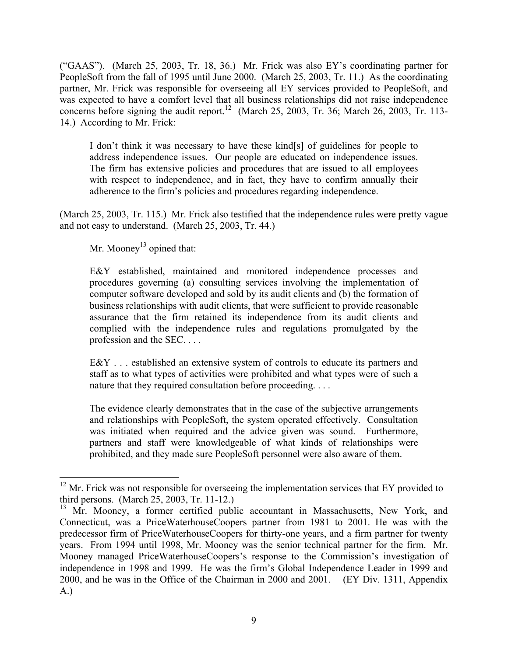("GAAS"). (March 25, 2003, Tr. 18, 36.) Mr. Frick was also EY's coordinating partner for PeopleSoft from the fall of 1995 until June 2000. (March 25, 2003, Tr. 11.) As the coordinating partner, Mr. Frick was responsible for overseeing all EY services provided to PeopleSoft, and was expected to have a comfort level that all business relationships did not raise independence concerns before signing the audit report.<sup>12</sup> (March 25, 2003, Tr. 36; March 26, 2003, Tr. 113-14.) According to Mr. Frick:

I don't think it was necessary to have these kind[s] of guidelines for people to address independence issues. Our people are educated on independence issues. The firm has extensive policies and procedures that are issued to all employees with respect to independence, and in fact, they have to confirm annually their adherence to the firm's policies and procedures regarding independence.

(March 25, 2003, Tr. 115.) Mr. Frick also testified that the independence rules were pretty vague and not easy to understand. (March 25, 2003, Tr. 44.)

Mr. Mooney<sup>13</sup> opined that:

1

E&Y established, maintained and monitored independence processes and procedures governing (a) consulting services involving the implementation of computer software developed and sold by its audit clients and (b) the formation of business relationships with audit clients, that were sufficient to provide reasonable assurance that the firm retained its independence from its audit clients and complied with the independence rules and regulations promulgated by the profession and the SEC. . . .

E&Y . . . established an extensive system of controls to educate its partners and staff as to what types of activities were prohibited and what types were of such a nature that they required consultation before proceeding. . . .

The evidence clearly demonstrates that in the case of the subjective arrangements and relationships with PeopleSoft, the system operated effectively. Consultation was initiated when required and the advice given was sound. Furthermore, partners and staff were knowledgeable of what kinds of relationships were prohibited, and they made sure PeopleSoft personnel were also aware of them.

<span id="page-8-0"></span> $12$  Mr. Frick was not responsible for overseeing the implementation services that EY provided to third persons. (March 25, 2003, Tr. 11-12.)

<span id="page-8-1"></span><sup>&</sup>lt;sup>13</sup> Mr. Mooney, a former certified public accountant in Massachusetts, New York, and Connecticut, was a PriceWaterhouseCoopers partner from 1981 to 2001. He was with the predecessor firm of PriceWaterhouseCoopers for thirty-one years, and a firm partner for twenty years. From 1994 until 1998, Mr. Mooney was the senior technical partner for the firm. Mr. Mooney managed PriceWaterhouseCoopers's response to the Commission's investigation of independence in 1998 and 1999. He was the firm's Global Independence Leader in 1999 and 2000, and he was in the Office of the Chairman in 2000 and 2001. (EY Div. 1311, Appendix A.)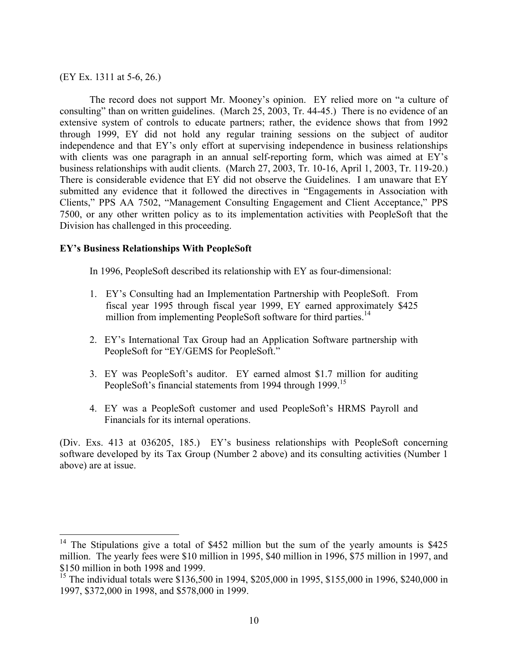(EY Ex. 1311 at 5-6, 26.)

1

The record does not support Mr. Mooney's opinion. EY relied more on "a culture of consulting" than on written guidelines. (March 25, 2003, Tr. 44-45.) There is no evidence of an extensive system of controls to educate partners; rather, the evidence shows that from 1992 through 1999, EY did not hold any regular training sessions on the subject of auditor independence and that EY's only effort at supervising independence in business relationships with clients was one paragraph in an annual self-reporting form, which was aimed at EY's business relationships with audit clients. (March 27, 2003, Tr. 10-16, April 1, 2003, Tr. 119-20.) There is considerable evidence that EY did not observe the Guidelines. I am unaware that EY submitted any evidence that it followed the directives in "Engagements in Association with Clients," PPS AA 7502, "Management Consulting Engagement and Client Acceptance," PPS 7500, or any other written policy as to its implementation activities with PeopleSoft that the Division has challenged in this proceeding.

# **EY's Business Relationships With PeopleSoft**

In 1996, PeopleSoft described its relationship with EY as four-dimensional:

- 1. EY's Consulting had an Implementation Partnership with PeopleSoft. From fiscal year 1995 through fiscal year 1999, EY earned approximately \$425 million from implementing PeopleSoft software for third parties.<sup>14</sup>
- 2. EY's International Tax Group had an Application Software partnership with PeopleSoft for "EY/GEMS for PeopleSoft."
- 3. EY was PeopleSoft's auditor. EY earned almost \$1.7 million for auditing PeopleSoft's financial statements from 1994 through 1999.<sup>15</sup>
- 4. EY was a PeopleSoft customer and used PeopleSoft's HRMS Payroll and Financials for its internal operations.

(Div. Exs. 413 at 036205, 185.) EY's business relationships with PeopleSoft concerning software developed by its Tax Group (Number 2 above) and its consulting activities (Number 1 above) are at issue.

<span id="page-9-0"></span><sup>&</sup>lt;sup>14</sup> The Stipulations give a total of \$452 million but the sum of the yearly amounts is \$425 million. The yearly fees were \$10 million in 1995, \$40 million in 1996, \$75 million in 1997, and \$150 million in both 1998 and 1999.

<span id="page-9-1"></span><sup>&</sup>lt;sup>15</sup> The individual totals were \$136,500 in 1994, \$205,000 in 1995, \$155,000 in 1996, \$240,000 in 1997, \$372,000 in 1998, and \$578,000 in 1999.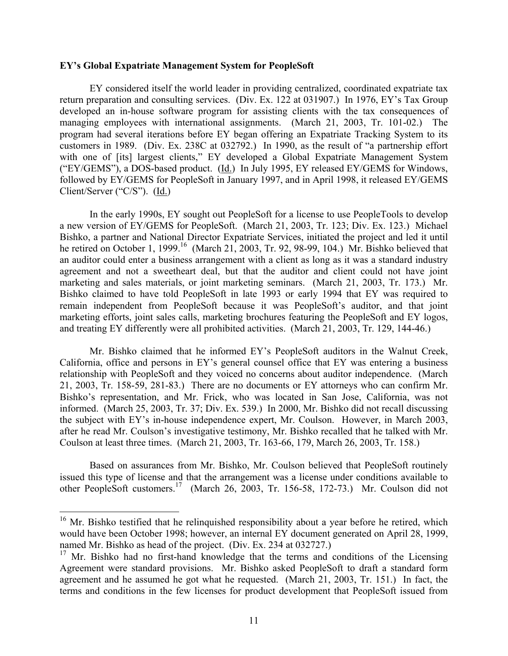## <span id="page-10-1"></span>**EY's Global Expatriate Management System for PeopleSoft**

EY considered itself the world leader in providing centralized, coordinated expatriate tax return preparation and consulting services. (Div. Ex. 122 at 031907.) In 1976, EY's Tax Group developed an in-house software program for assisting clients with the tax consequences of managing employees with international assignments. (March 21, 2003, Tr. 101-02.) The program had several iterations before EY began offering an Expatriate Tracking System to its customers in 1989. (Div. Ex. 238C at 032792.) In 1990, as the result of "a partnership effort with one of [its] largest clients," EY developed a Global Expatriate Management System ("EY/GEMS"), a DOS-based product. (Id.) In July 1995, EY released EY/GEMS for Windows, followed by EY/GEMS for PeopleSoft in January 1997, and in April 1998, it released EY/GEMS Client/Server ("C/S"). (Id.)

In the early 1990s, EY sought out PeopleSoft for a license to use PeopleTools to develop a new version of EY/GEMS for PeopleSoft. (March 21, 2003, Tr. 123; Div. Ex. 123.) Michael Bishko, a partner and National Director Expatriate Services, initiated the project and led it until he retired on October 1, 1999.<sup>16</sup> (March 21, 2003, Tr. 92, 98-99, 104.) Mr. Bishko believed that an auditor could enter a business arrangement with a client as long as it was a standard industry agreement and not a sweetheart deal, but that the auditor and client could not have joint marketing and sales materials, or joint marketing seminars. (March 21, 2003, Tr. 173.) Mr. Bishko claimed to have told PeopleSoft in late 1993 or early 1994 that EY was required to remain independent from PeopleSoft because it was PeopleSoft's auditor, and that joint marketing efforts, joint sales calls, marketing brochures featuring the PeopleSoft and EY logos, and treating EY differently were all prohibited activities. (March 21, 2003, Tr. 129, 144-46.)

Mr. Bishko claimed that he informed EY's PeopleSoft auditors in the Walnut Creek, California, office and persons in EY's general counsel office that EY was entering a business relationship with PeopleSoft and they voiced no concerns about auditor independence. (March 21, 2003, Tr. 158-59, 281-83.) There are no documents or EY attorneys who can confirm Mr. Bishko's representation, and Mr. Frick, who was located in San Jose, California, was not informed. (March 25, 2003, Tr. 37; Div. Ex. 539.) In 2000, Mr. Bishko did not recall discussing the subject with EY's in-house independence expert, Mr. Coulson. However, in March 2003, after he read Mr. Coulson's investigative testimony, Mr. Bishko recalled that he talked with Mr. Coulson at least three times. (March 21, 2003, Tr. 163-66, 179, March 26, 2003, Tr. 158.)

Based on assurances from Mr. Bishko, Mr. Coulson believed that PeopleSoft routinely issued this type of license and that the arrangement was a license under conditions available to other PeopleSoft customers.[17](#page-10-1) (March 26, 2003, Tr. 156-58, 172-73.) Mr. Coulson did not

<span id="page-10-0"></span><sup>&</sup>lt;sup>16</sup> Mr. Bishko testified that he relinquished responsibility about a year before he retired, which would have been October 1998; however, an internal EY document generated on April 28, 1999, named Mr. Bishko as head of the project. (Div. Ex. 234 at 032727.)

<sup>&</sup>lt;sup>17</sup> Mr. Bishko had no first-hand knowledge that the terms and conditions of the Licensing Agreement were standard provisions. Mr. Bishko asked PeopleSoft to draft a standard form agreement and he assumed he got what he requested. (March 21, 2003, Tr. 151.) In fact, the terms and conditions in the few licenses for product development that PeopleSoft issued from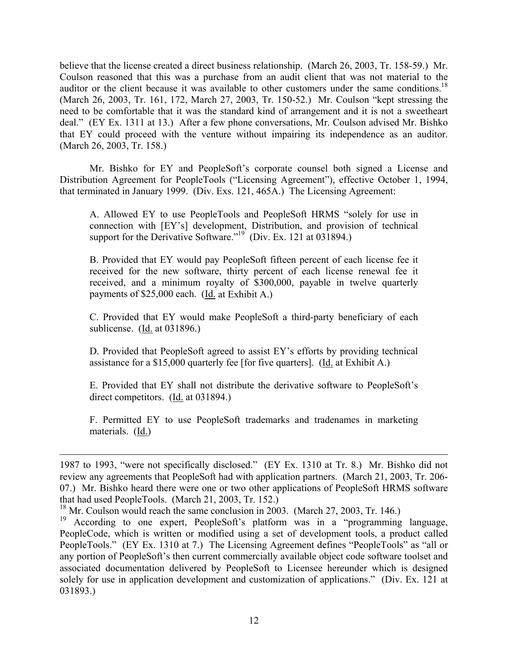believe that the license created a direct business relationship. (March 26, 2003, Tr. 158-59.) Mr. Coulson reasoned that this was a purchase from an audit client that was not material to the auditor or the client because it was available to other customers under the same conditions.<sup>18</sup> (March 26, 2003, Tr. 161, 172, March 27, 2003, Tr. 150-52.) Mr. Coulson "kept stressing the need to be comfortable that it was the standard kind of arrangement and it is not a sweetheart deal." (EY Ex. 1311 at 13.) After a few phone conversations, Mr. Coulson advised Mr. Bishko that EY could proceed with the venture without impairing its independence as an auditor. (March 26, 2003, Tr. 158.)

Mr. Bishko for EY and PeopleSoft's corporate counsel both signed a License and Distribution Agreement for PeopleTools ("Licensing Agreement"), effective October 1, 1994, that terminated in January 1999. (Div. Exs. 121, 465A.) The Licensing Agreement:

A. Allowed EY to use PeopleTools and PeopleSoft HRMS "solely for use in connection with [EY's] development, Distribution, and provision of technical support for the Derivative Software."<sup>19'</sup> (Div. Ex. 121 at 031894.)

B. Provided that EY would pay PeopleSoft fifteen percent of each license fee it received for the new software, thirty percent of each license renewal fee it received, and a minimum royalty of \$300,000, payable in twelve quarterly payments of \$25,000 each. (Id. at Exhibit A.)

C. Provided that EY would make PeopleSoft a third-party beneficiary of each sublicense. (Id. at 031896.)

D. Provided that PeopleSoft agreed to assist EY's efforts by providing technical assistance for a \$15,000 quarterly fee [for five quarters]. ( $\underline{Id}$  at Exhibit A.)

E. Provided that EY shall not distribute the derivative software to PeopleSoft's direct competitors. (Id. at 031894.)

F. Permitted EY to use PeopleSoft trademarks and tradenames in marketing materials. (Id.)

<sup>1987</sup> to 1993, "were not specifically disclosed." (EY Ex. 1310 at Tr. 8.) Mr. Bishko did not review any agreements that PeopleSoft had with application partners. (March 21, 2003, Tr. 206- 07.) Mr. Bishko heard there were one or two other applications of PeopleSoft HRMS software that had used PeopleTools. (March 21, 2003, Tr. 152.)

<span id="page-11-0"></span><sup>&</sup>lt;sup>18</sup> Mr. Coulson would reach the same conclusion in 2003. (March 27, 2003, Tr. 146.)

<span id="page-11-1"></span><sup>&</sup>lt;sup>19</sup> According to one expert, PeopleSoft's platform was in a "programming language, PeopleCode, which is written or modified using a set of development tools, a product called PeopleTools." (EY Ex. 1310 at 7.) The Licensing Agreement defines "PeopleTools" as "all or any portion of PeopleSoft's then current commercially available object code software toolset and associated documentation delivered by PeopleSoft to Licensee hereunder which is designed solely for use in application development and customization of applications." (Div. Ex. 121 at 031893.)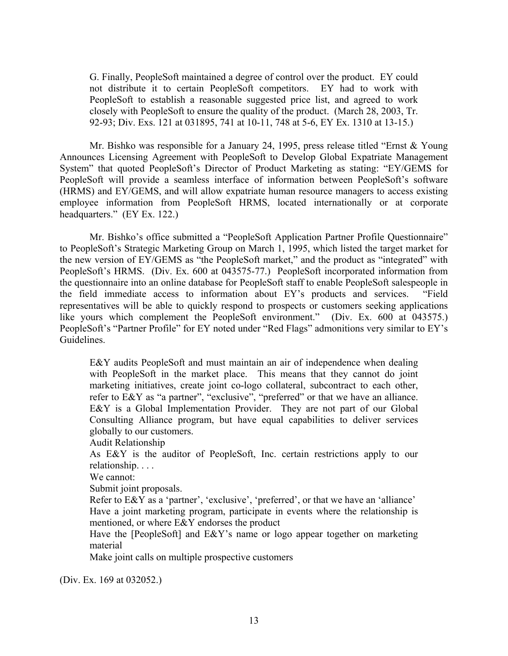G. Finally, PeopleSoft maintained a degree of control over the product. EY could not distribute it to certain PeopleSoft competitors. EY had to work with PeopleSoft to establish a reasonable suggested price list, and agreed to work closely with PeopleSoft to ensure the quality of the product. (March 28, 2003, Tr. 92-93; Div. Exs. 121 at 031895, 741 at 10-11, 748 at 5-6, EY Ex. 1310 at 13-15.)

Mr. Bishko was responsible for a January 24, 1995, press release titled "Ernst & Young Announces Licensing Agreement with PeopleSoft to Develop Global Expatriate Management System" that quoted PeopleSoft's Director of Product Marketing as stating: "EY/GEMS for PeopleSoft will provide a seamless interface of information between PeopleSoft's software (HRMS) and EY/GEMS, and will allow expatriate human resource managers to access existing employee information from PeopleSoft HRMS, located internationally or at corporate headquarters." (EY Ex. 122.)

Mr. Bishko's office submitted a "PeopleSoft Application Partner Profile Questionnaire" to PeopleSoft's Strategic Marketing Group on March 1, 1995, which listed the target market for the new version of EY/GEMS as "the PeopleSoft market," and the product as "integrated" with PeopleSoft's HRMS. (Div. Ex. 600 at 043575-77.) PeopleSoft incorporated information from the questionnaire into an online database for PeopleSoft staff to enable PeopleSoft salespeople in the field immediate access to information about EY's products and services. "Field representatives will be able to quickly respond to prospects or customers seeking applications like yours which complement the PeopleSoft environment." (Div. Ex. 600 at 043575.) PeopleSoft's "Partner Profile" for EY noted under "Red Flags" admonitions very similar to EY's Guidelines.

E&Y audits PeopleSoft and must maintain an air of independence when dealing with PeopleSoft in the market place. This means that they cannot do joint marketing initiatives, create joint co-logo collateral, subcontract to each other, refer to E&Y as "a partner", "exclusive", "preferred" or that we have an alliance. E&Y is a Global Implementation Provider. They are not part of our Global Consulting Alliance program, but have equal capabilities to deliver services globally to our customers.

Audit Relationship

As E&Y is the auditor of PeopleSoft, Inc. certain restrictions apply to our relationship. . . .

We cannot:

Submit joint proposals.

Refer to E&Y as a 'partner', 'exclusive', 'preferred', or that we have an 'alliance' Have a joint marketing program, participate in events where the relationship is mentioned, or where E&Y endorses the product

Have the [PeopleSoft] and E&Y's name or logo appear together on marketing material

Make joint calls on multiple prospective customers

(Div. Ex. 169 at 032052.)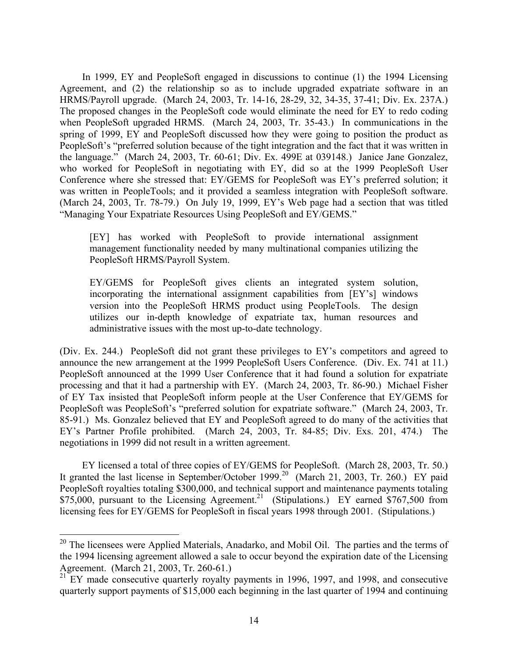<span id="page-13-1"></span>In 1999, EY and PeopleSoft engaged in discussions to continue (1) the 1994 Licensing Agreement, and (2) the relationship so as to include upgraded expatriate software in an HRMS/Payroll upgrade. (March 24, 2003, Tr. 14-16, 28-29, 32, 34-35, 37-41; Div. Ex. 237A.) The proposed changes in the PeopleSoft code would eliminate the need for EY to redo coding when PeopleSoft upgraded HRMS. (March 24, 2003, Tr. 35-43.) In communications in the spring of 1999, EY and PeopleSoft discussed how they were going to position the product as PeopleSoft's "preferred solution because of the tight integration and the fact that it was written in the language." (March 24, 2003, Tr. 60-61; Div. Ex. 499E at 039148.) Janice Jane Gonzalez, who worked for PeopleSoft in negotiating with EY, did so at the 1999 PeopleSoft User Conference where she stressed that: EY/GEMS for PeopleSoft was EY's preferred solution; it was written in PeopleTools; and it provided a seamless integration with PeopleSoft software. (March 24, 2003, Tr. 78-79.) On July 19, 1999, EY's Web page had a section that was titled "Managing Your Expatriate Resources Using PeopleSoft and EY/GEMS."

[EY] has worked with PeopleSoft to provide international assignment management functionality needed by many multinational companies utilizing the PeopleSoft HRMS/Payroll System.

EY/GEMS for PeopleSoft gives clients an integrated system solution, incorporating the international assignment capabilities from [EY's] windows version into the PeopleSoft HRMS product using PeopleTools. The design utilizes our in-depth knowledge of expatriate tax, human resources and administrative issues with the most up-to-date technology.

(Div. Ex. 244.) PeopleSoft did not grant these privileges to EY's competitors and agreed to announce the new arrangement at the 1999 PeopleSoft Users Conference. (Div. Ex. 741 at 11.) PeopleSoft announced at the 1999 User Conference that it had found a solution for expatriate processing and that it had a partnership with EY. (March 24, 2003, Tr. 86-90.) Michael Fisher of EY Tax insisted that PeopleSoft inform people at the User Conference that EY/GEMS for PeopleSoft was PeopleSoft's "preferred solution for expatriate software." (March 24, 2003, Tr. 85-91.) Ms. Gonzalez believed that EY and PeopleSoft agreed to do many of the activities that EY's Partner Profile prohibited. (March 24, 2003, Tr. 84-85; Div. Exs. 201, 474.) The negotiations in 1999 did not result in a written agreement.

EY licensed a total of three copies of EY/GEMS for PeopleSoft. (March 28, 2003, Tr. 50.) It granted the last license in September/October 1999.<sup>20</sup> (March 21, 2003, Tr. 260.) EY paid PeopleSoft royalties totaling \$300,000, and technical support and maintenance payments totaling  $$75,000$ , pursuant to the Licensing Agreement.<sup>21</sup> (Stipulations.) EY earned  $$767,500$  from licensing fees for EY/GEMS for PeopleSoft in fiscal years 1998 through 2001. (Stipulations.)

<span id="page-13-0"></span> $20$  The licensees were Applied Materials, Anadarko, and Mobil Oil. The parties and the terms of the 1994 licensing agreement allowed a sale to occur beyond the expiration date of the Licensing Agreement. (March 21, 2003, Tr. 260-61.)

 $21$  EY made consecutive quarterly royalty payments in 1996, 1997, and 1998, and consecutive quarterly support payments of \$15,000 each beginning in the last quarter of 1994 and continuing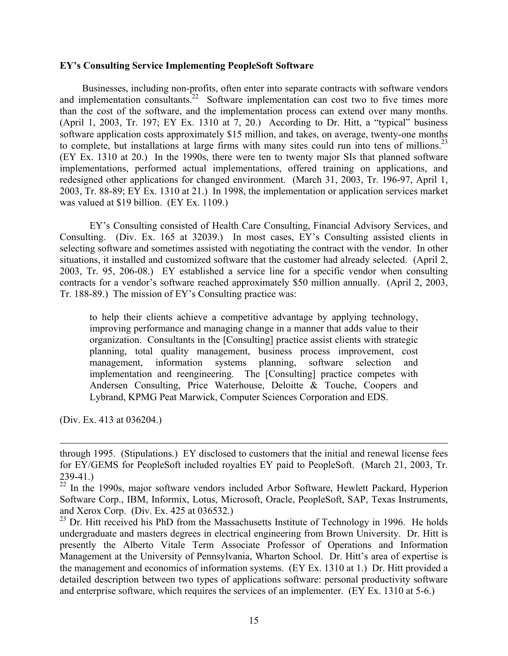# **EY's Consulting Service Implementing PeopleSoft Software**

Businesses, including non-profits, often enter into separate contracts with software vendors and implementation consultants.<sup>22</sup> Software implementation can cost two to five times more than the cost of the software, and the implementation process can extend over many months. (April 1, 2003, Tr. 197; EY Ex. 1310 at 7, 20.) According to Dr. Hitt, a "typical" business software application costs approximately \$15 million, and takes, on average, twenty-one months to complete, but installations at large firms with many sites could run into tens of millions.<sup>23</sup> (EY Ex. 1310 at 20.) In the 1990s, there were ten to twenty major SIs that planned software implementations, performed actual implementations, offered training on applications, and redesigned other applications for changed environment. (March 31, 2003, Tr. 196-97, April 1, 2003, Tr. 88-89; EY Ex. 1310 at 21.) In 1998, the implementation or application services market was valued at \$19 billion. (EY Ex. 1109.)

EY's Consulting consisted of Health Care Consulting, Financial Advisory Services, and Consulting. (Div. Ex. 165 at 32039.) In most cases, EY's Consulting assisted clients in selecting software and sometimes assisted with negotiating the contract with the vendor. In other situations, it installed and customized software that the customer had already selected. (April 2, 2003, Tr. 95, 206-08.) EY established a service line for a specific vendor when consulting contracts for a vendor's software reached approximately \$50 million annually. (April 2, 2003, Tr. 188-89.) The mission of EY's Consulting practice was:

to help their clients achieve a competitive advantage by applying technology, improving performance and managing change in a manner that adds value to their organization. Consultants in the [Consulting] practice assist clients with strategic planning, total quality management, business process improvement, cost management, information systems planning, software selection and implementation and reengineering. The [Consulting] practice competes with Andersen Consulting, Price Waterhouse, Deloitte & Touche, Coopers and Lybrand, KPMG Peat Marwick, Computer Sciences Corporation and EDS.

(Div. Ex. 413 at 036204.)

1

through 1995. (Stipulations.) EY disclosed to customers that the initial and renewal license fees for EY/GEMS for PeopleSoft included royalties EY paid to PeopleSoft. (March 21, 2003, Tr. 239-41.)

<span id="page-14-0"></span> $22$  In the 1990s, major software vendors included Arbor Software, Hewlett Packard, Hyperion Software Corp., IBM, Informix, Lotus, Microsoft, Oracle, PeopleSoft, SAP, Texas Instruments, and Xerox Corp. (Div. Ex. 425 at 036532.)

<span id="page-14-1"></span> $23$  Dr. Hitt received his PhD from the Massachusetts Institute of Technology in 1996. He holds undergraduate and masters degrees in electrical engineering from Brown University. Dr. Hitt is presently the Alberto Vitale Term Associate Professor of Operations and Information Management at the University of Pennsylvania, Wharton School. Dr. Hitt's area of expertise is the management and economics of information systems. (EY Ex. 1310 at 1.) Dr. Hitt provided a detailed description between two types of applications software: personal productivity software and enterprise software, which requires the services of an implementer. (EY Ex. 1310 at 5-6.)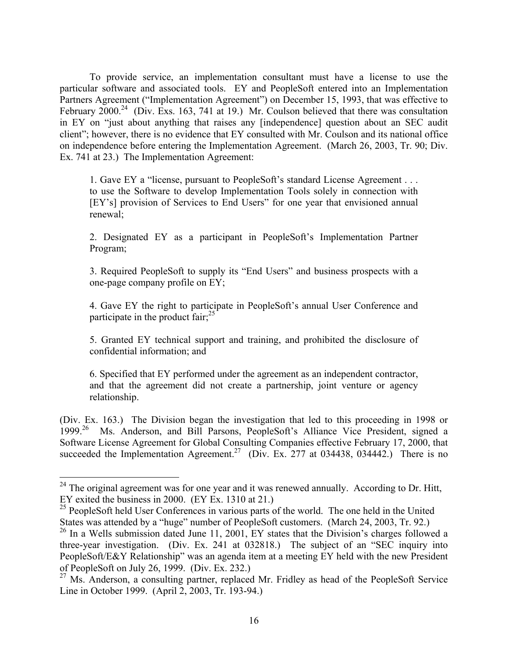To provide service, an implementation consultant must have a license to use the particular software and associated tools. EY and PeopleSoft entered into an Implementation Partners Agreement ("Implementation Agreement") on December 15, 1993, that was effective to February 2000.<sup>24</sup> (Div. Exs. 163, 741 at 19.) Mr. Coulson believed that there was consultation in EY on "just about anything that raises any [independence] question about an SEC audit client"; however, there is no evidence that EY consulted with Mr. Coulson and its national office on independence before entering the Implementation Agreement. (March 26, 2003, Tr. 90; Div. Ex. 741 at 23.) The Implementation Agreement:

1. Gave EY a "license, pursuant to PeopleSoft's standard License Agreement . . . to use the Software to develop Implementation Tools solely in connection with [EY's] provision of Services to End Users" for one year that envisioned annual renewal;

2. Designated EY as a participant in PeopleSoft's Implementation Partner Program;

3. Required PeopleSoft to supply its "End Users" and business prospects with a one-page company profile on EY;

4. Gave EY the right to participate in PeopleSoft's annual User Conference and participate in the product fair; $^{25}$ 

5. Granted EY technical support and training, and prohibited the disclosure of confidential information; and

6. Specified that EY performed under the agreement as an independent contractor, and that the agreement did not create a partnership, joint venture or agency relationship.

(Div. Ex. 163.) The Division began the investigation that led to this proceeding in 1998 or 1999.[26](#page-15-2) Ms. Anderson, and Bill Parsons, PeopleSoft's Alliance Vice President, signed a Software License Agreement for Global Consulting Companies effective February 17, 2000, that succeeded the Implementation Agreement.<sup>27</sup> (Div. Ex. 277 at 034438, 034442.) There is no

1

<span id="page-15-0"></span> $24$  The original agreement was for one year and it was renewed annually. According to Dr. Hitt, EY exited the business in 2000. (EY Ex. 1310 at 21.)

<span id="page-15-1"></span><sup>&</sup>lt;sup>25</sup> PeopleSoft held User Conferences in various parts of the world. The one held in the United States was attended by a "huge" number of PeopleSoft customers. (March 24, 2003, Tr. 92.)

<span id="page-15-2"></span> $26$  In a Wells submission dated June 11, 2001, EY states that the Division's charges followed a three-year investigation. (Div. Ex. 241 at 032818.) The subject of an "SEC inquiry into PeopleSoft/E&Y Relationship" was an agenda item at a meeting EY held with the new President of PeopleSoft on July 26, 1999. (Div. Ex. 232.)

<span id="page-15-3"></span> $27$  Ms. Anderson, a consulting partner, replaced Mr. Fridley as head of the PeopleSoft Service Line in October 1999. (April 2, 2003, Tr. 193-94.)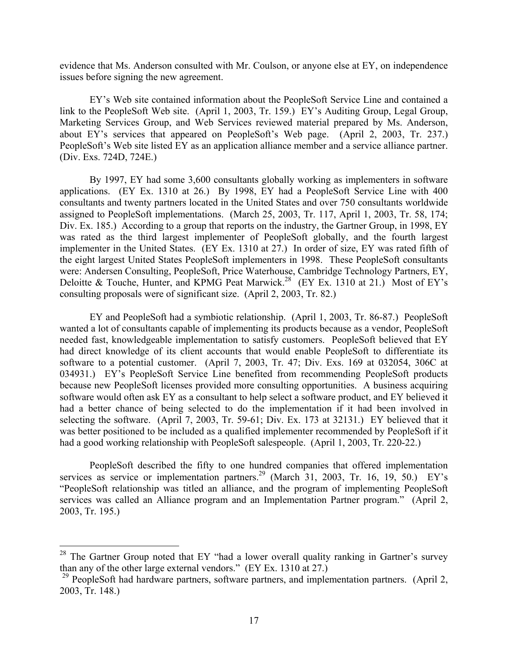evidence that Ms. Anderson consulted with Mr. Coulson, or anyone else at EY, on independence issues before signing the new agreement.

EY's Web site contained information about the PeopleSoft Service Line and contained a link to the PeopleSoft Web site. (April 1, 2003, Tr. 159.) EY's Auditing Group, Legal Group, Marketing Services Group, and Web Services reviewed material prepared by Ms. Anderson, about EY's services that appeared on PeopleSoft's Web page. (April 2, 2003, Tr. 237.) PeopleSoft's Web site listed EY as an application alliance member and a service alliance partner. (Div. Exs. 724D, 724E.)

By 1997, EY had some 3,600 consultants globally working as implementers in software applications. (EY Ex. 1310 at 26.) By 1998, EY had a PeopleSoft Service Line with 400 consultants and twenty partners located in the United States and over 750 consultants worldwide assigned to PeopleSoft implementations. (March 25, 2003, Tr. 117, April 1, 2003, Tr. 58, 174; Div. Ex. 185.) According to a group that reports on the industry, the Gartner Group, in 1998, EY was rated as the third largest implementer of PeopleSoft globally, and the fourth largest implementer in the United States. (EY Ex. 1310 at 27.) In order of size, EY was rated fifth of the eight largest United States PeopleSoft implementers in 1998. These PeopleSoft consultants were: Andersen Consulting, PeopleSoft, Price Waterhouse, Cambridge Technology Partners, EY, Deloitte & Touche, Hunter, and KPMG Peat Marwick.<sup>28</sup> (EY Ex. 1310 at 21.) Most of EY's consulting proposals were of significant size. (April 2, 2003, Tr. 82.)

EY and PeopleSoft had a symbiotic relationship. (April 1, 2003, Tr. 86-87.) PeopleSoft wanted a lot of consultants capable of implementing its products because as a vendor, PeopleSoft needed fast, knowledgeable implementation to satisfy customers. PeopleSoft believed that EY had direct knowledge of its client accounts that would enable PeopleSoft to differentiate its software to a potential customer. (April 7, 2003, Tr. 47; Div. Exs. 169 at 032054, 306C at 034931.) EY's PeopleSoft Service Line benefited from recommending PeopleSoft products because new PeopleSoft licenses provided more consulting opportunities. A business acquiring software would often ask EY as a consultant to help select a software product, and EY believed it had a better chance of being selected to do the implementation if it had been involved in selecting the software. (April 7, 2003, Tr. 59-61; Div. Ex. 173 at 32131.) EY believed that it was better positioned to be included as a qualified implementer recommended by PeopleSoft if it had a good working relationship with PeopleSoft salespeople. (April 1, 2003, Tr. 220-22.)

PeopleSoft described the fifty to one hundred companies that offered implementation services as service or implementation partners.<sup>29</sup> (March 31, 2003, Tr. 16, 19, 50.) EY's "PeopleSoft relationship was titled an alliance, and the program of implementing PeopleSoft services was called an Alliance program and an Implementation Partner program." (April 2, 2003, Tr. 195.)

<span id="page-16-0"></span> $28$  The Gartner Group noted that EY "had a lower overall quality ranking in Gartner's survey than any of the other large external vendors." (EY Ex. 1310 at 27.)

<span id="page-16-1"></span><sup>&</sup>lt;sup>29</sup> PeopleSoft had hardware partners, software partners, and implementation partners. (April 2, 2003, Tr. 148.)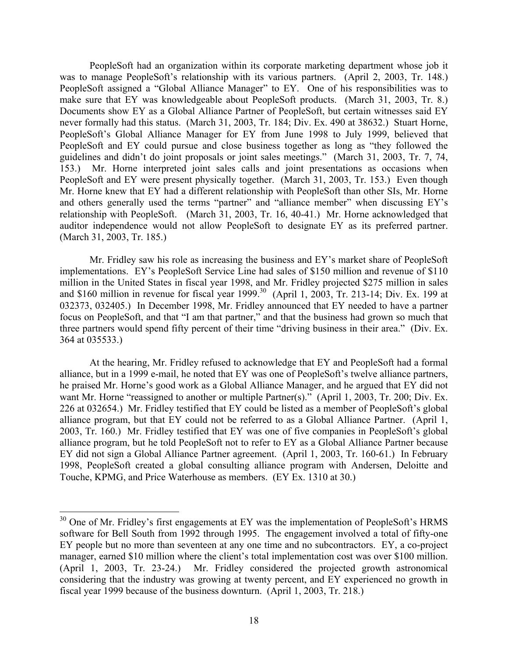PeopleSoft had an organization within its corporate marketing department whose job it was to manage PeopleSoft's relationship with its various partners. (April 2, 2003, Tr. 148.) PeopleSoft assigned a "Global Alliance Manager" to EY. One of his responsibilities was to make sure that EY was knowledgeable about PeopleSoft products. (March 31, 2003, Tr. 8.) Documents show EY as a Global Alliance Partner of PeopleSoft, but certain witnesses said EY never formally had this status. (March 31, 2003, Tr. 184; Div. Ex. 490 at 38632.) Stuart Horne, PeopleSoft's Global Alliance Manager for EY from June 1998 to July 1999, believed that PeopleSoft and EY could pursue and close business together as long as "they followed the guidelines and didn't do joint proposals or joint sales meetings." (March 31, 2003, Tr. 7, 74, 153.) Mr. Horne interpreted joint sales calls and joint presentations as occasions when PeopleSoft and EY were present physically together. (March 31, 2003, Tr. 153.) Even though Mr. Horne knew that EY had a different relationship with PeopleSoft than other SIs, Mr. Horne and others generally used the terms "partner" and "alliance member" when discussing EY's relationship with PeopleSoft. (March 31, 2003, Tr. 16, 40-41.) Mr. Horne acknowledged that auditor independence would not allow PeopleSoft to designate EY as its preferred partner. (March 31, 2003, Tr. 185.)

Mr. Fridley saw his role as increasing the business and EY's market share of PeopleSoft implementations. EY's PeopleSoft Service Line had sales of \$150 million and revenue of \$110 million in the United States in fiscal year 1998, and Mr. Fridley projected \$275 million in sales and \$160 million in revenue for fiscal year  $1999$ .<sup>30</sup> (April 1, 2003, Tr. 213-14; Div. Ex. 199 at 032373, 032405.) In December 1998, Mr. Fridley announced that EY needed to have a partner focus on PeopleSoft, and that "I am that partner," and that the business had grown so much that three partners would spend fifty percent of their time "driving business in their area." (Div. Ex. 364 at 035533.)

At the hearing, Mr. Fridley refused to acknowledge that EY and PeopleSoft had a formal alliance, but in a 1999 e-mail, he noted that EY was one of PeopleSoft's twelve alliance partners, he praised Mr. Horne's good work as a Global Alliance Manager, and he argued that EY did not want Mr. Horne "reassigned to another or multiple Partner(s)." (April 1, 2003, Tr. 200; Div. Ex. 226 at 032654.) Mr. Fridley testified that EY could be listed as a member of PeopleSoft's global alliance program, but that EY could not be referred to as a Global Alliance Partner. (April 1, 2003, Tr. 160.) Mr. Fridley testified that EY was one of five companies in PeopleSoft's global alliance program, but he told PeopleSoft not to refer to EY as a Global Alliance Partner because EY did not sign a Global Alliance Partner agreement. (April 1, 2003, Tr. 160-61.) In February 1998, PeopleSoft created a global consulting alliance program with Andersen, Deloitte and Touche, KPMG, and Price Waterhouse as members. (EY Ex. 1310 at 30.)

1

<span id="page-17-0"></span> $30$  One of Mr. Fridley's first engagements at EY was the implementation of PeopleSoft's HRMS software for Bell South from 1992 through 1995. The engagement involved a total of fifty-one EY people but no more than seventeen at any one time and no subcontractors. EY, a co-project manager, earned \$10 million where the client's total implementation cost was over \$100 million. (April 1, 2003, Tr. 23-24.) Mr. Fridley considered the projected growth astronomical considering that the industry was growing at twenty percent, and EY experienced no growth in fiscal year 1999 because of the business downturn. (April 1, 2003, Tr. 218.)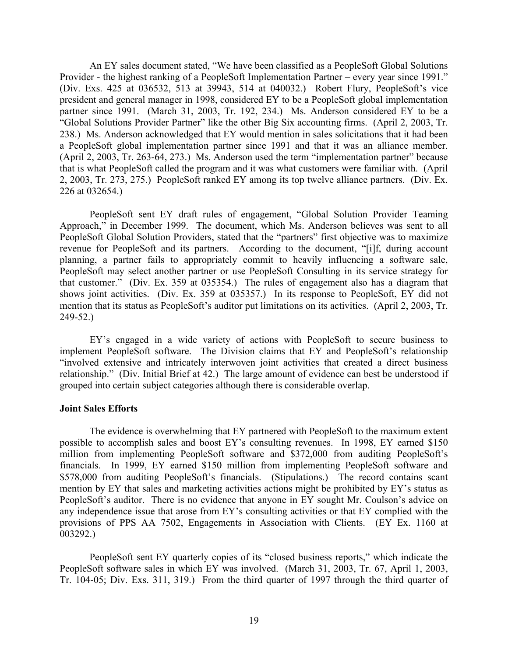An EY sales document stated, "We have been classified as a PeopleSoft Global Solutions Provider - the highest ranking of a PeopleSoft Implementation Partner – every year since 1991." (Div. Exs. 425 at 036532, 513 at 39943, 514 at 040032.) Robert Flury, PeopleSoft's vice president and general manager in 1998, considered EY to be a PeopleSoft global implementation partner since 1991. (March 31, 2003, Tr. 192, 234.) Ms. Anderson considered EY to be a "Global Solutions Provider Partner" like the other Big Six accounting firms. (April 2, 2003, Tr. 238.) Ms. Anderson acknowledged that EY would mention in sales solicitations that it had been a PeopleSoft global implementation partner since 1991 and that it was an alliance member. (April 2, 2003, Tr. 263-64, 273.) Ms. Anderson used the term "implementation partner" because that is what PeopleSoft called the program and it was what customers were familiar with. (April 2, 2003, Tr. 273, 275.) PeopleSoft ranked EY among its top twelve alliance partners. (Div. Ex. 226 at 032654.)

PeopleSoft sent EY draft rules of engagement, "Global Solution Provider Teaming Approach," in December 1999. The document, which Ms. Anderson believes was sent to all PeopleSoft Global Solution Providers, stated that the "partners" first objective was to maximize revenue for PeopleSoft and its partners. According to the document, "[i]f, during account planning, a partner fails to appropriately commit to heavily influencing a software sale, PeopleSoft may select another partner or use PeopleSoft Consulting in its service strategy for that customer." (Div. Ex. 359 at 035354.) The rules of engagement also has a diagram that shows joint activities. (Div. Ex. 359 at 035357.) In its response to PeopleSoft, EY did not mention that its status as PeopleSoft's auditor put limitations on its activities. (April 2, 2003, Tr. 249-52.)

EY's engaged in a wide variety of actions with PeopleSoft to secure business to implement PeopleSoft software. The Division claims that EY and PeopleSoft's relationship "involved extensive and intricately interwoven joint activities that created a direct business relationship." (Div. Initial Brief at 42.) The large amount of evidence can best be understood if grouped into certain subject categories although there is considerable overlap.

### **Joint Sales Efforts**

The evidence is overwhelming that EY partnered with PeopleSoft to the maximum extent possible to accomplish sales and boost EY's consulting revenues. In 1998, EY earned \$150 million from implementing PeopleSoft software and \$372,000 from auditing PeopleSoft's financials. In 1999, EY earned \$150 million from implementing PeopleSoft software and \$578,000 from auditing PeopleSoft's financials. (Stipulations.) The record contains scant mention by EY that sales and marketing activities actions might be prohibited by EY's status as PeopleSoft's auditor. There is no evidence that anyone in EY sought Mr. Coulson's advice on any independence issue that arose from EY's consulting activities or that EY complied with the provisions of PPS AA 7502, Engagements in Association with Clients. (EY Ex. 1160 at 003292.)

PeopleSoft sent EY quarterly copies of its "closed business reports," which indicate the PeopleSoft software sales in which EY was involved. (March 31, 2003, Tr. 67, April 1, 2003, Tr. 104-05; Div. Exs. 311, 319.) From the third quarter of 1997 through the third quarter of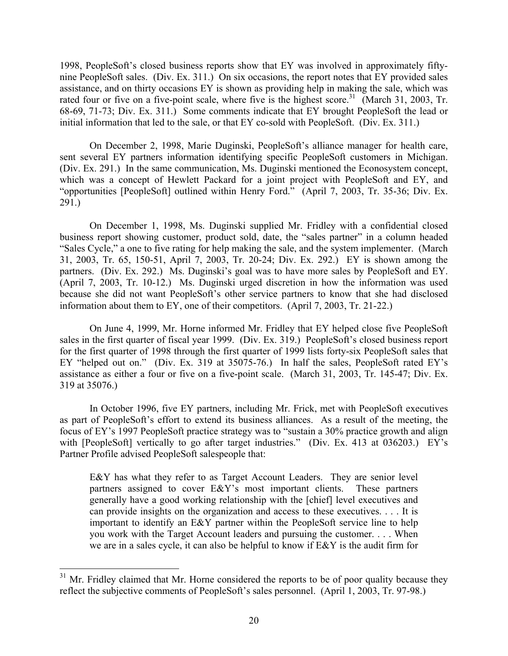1998, PeopleSoft's closed business reports show that EY was involved in approximately fiftynine PeopleSoft sales. (Div. Ex. 311.) On six occasions, the report notes that EY provided sales assistance, and on thirty occasions EY is shown as providing help in making the sale, which was rated four or five on a five-point scale, where five is the highest score.<sup>31</sup> (March 31, 2003, Tr. 68-69, 71-73; Div. Ex. 311.) Some comments indicate that EY brought PeopleSoft the lead or initial information that led to the sale, or that EY co-sold with PeopleSoft. (Div. Ex. 311.)

On December 2, 1998, Marie Duginski, PeopleSoft's alliance manager for health care, sent several EY partners information identifying specific PeopleSoft customers in Michigan. (Div. Ex. 291.) In the same communication, Ms. Duginski mentioned the Econosystem concept, which was a concept of Hewlett Packard for a joint project with PeopleSoft and EY, and "opportunities [PeopleSoft] outlined within Henry Ford." (April 7, 2003, Tr. 35-36; Div. Ex. 291.)

On December 1, 1998, Ms. Duginski supplied Mr. Fridley with a confidential closed business report showing customer, product sold, date, the "sales partner" in a column headed "Sales Cycle," a one to five rating for help making the sale, and the system implementer. (March 31, 2003, Tr. 65, 150-51, April 7, 2003, Tr. 20-24; Div. Ex. 292.) EY is shown among the partners. (Div. Ex. 292.) Ms. Duginski's goal was to have more sales by PeopleSoft and EY. (April 7, 2003, Tr. 10-12.) Ms. Duginski urged discretion in how the information was used because she did not want PeopleSoft's other service partners to know that she had disclosed information about them to EY, one of their competitors. (April 7, 2003, Tr. 21-22.)

On June 4, 1999, Mr. Horne informed Mr. Fridley that EY helped close five PeopleSoft sales in the first quarter of fiscal year 1999. (Div. Ex. 319.) PeopleSoft's closed business report for the first quarter of 1998 through the first quarter of 1999 lists forty-six PeopleSoft sales that EY "helped out on." (Div. Ex. 319 at 35075-76.) In half the sales, PeopleSoft rated EY's assistance as either a four or five on a five-point scale. (March 31, 2003, Tr. 145-47; Div. Ex. 319 at 35076.)

In October 1996, five EY partners, including Mr. Frick, met with PeopleSoft executives as part of PeopleSoft's effort to extend its business alliances. As a result of the meeting, the focus of EY's 1997 PeopleSoft practice strategy was to "sustain a 30% practice growth and align with [PeopleSoft] vertically to go after target industries." (Div. Ex. 413 at 036203.) EY's Partner Profile advised PeopleSoft salespeople that:

E&Y has what they refer to as Target Account Leaders. They are senior level partners assigned to cover E&Y's most important clients. These partners generally have a good working relationship with the [chief] level executives and can provide insights on the organization and access to these executives. . . . It is important to identify an E&Y partner within the PeopleSoft service line to help you work with the Target Account leaders and pursuing the customer. . . . When we are in a sales cycle, it can also be helpful to know if E&Y is the audit firm for

<span id="page-19-0"></span> $31$  Mr. Fridley claimed that Mr. Horne considered the reports to be of poor quality because they reflect the subjective comments of PeopleSoft's sales personnel. (April 1, 2003, Tr. 97-98.)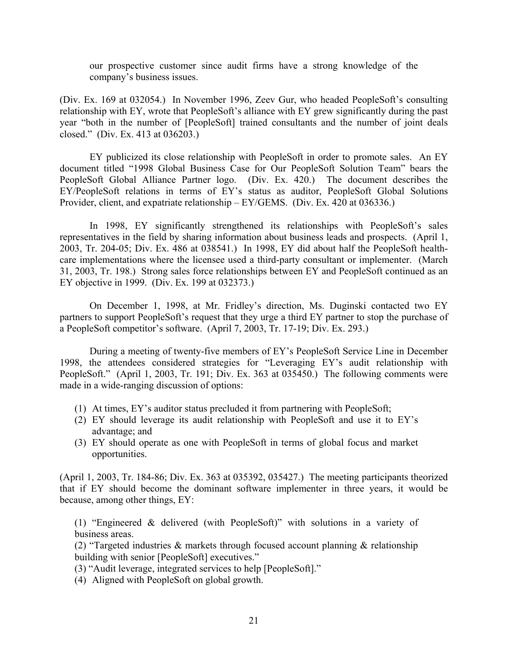our prospective customer since audit firms have a strong knowledge of the company's business issues.

(Div. Ex. 169 at 032054.) In November 1996, Zeev Gur, who headed PeopleSoft's consulting relationship with EY, wrote that PeopleSoft's alliance with EY grew significantly during the past year "both in the number of [PeopleSoft] trained consultants and the number of joint deals closed." (Div. Ex. 413 at 036203.)

EY publicized its close relationship with PeopleSoft in order to promote sales. An EY document titled "1998 Global Business Case for Our PeopleSoft Solution Team" bears the PeopleSoft Global Alliance Partner logo. (Div. Ex. 420.) The document describes the EY/PeopleSoft relations in terms of EY's status as auditor, PeopleSoft Global Solutions Provider, client, and expatriate relationship – EY/GEMS. (Div. Ex. 420 at 036336.)

In 1998, EY significantly strengthened its relationships with PeopleSoft's sales representatives in the field by sharing information about business leads and prospects. (April 1, 2003, Tr. 204-05; Div. Ex. 486 at 038541.) In 1998, EY did about half the PeopleSoft healthcare implementations where the licensee used a third-party consultant or implementer. (March 31, 2003, Tr. 198.) Strong sales force relationships between EY and PeopleSoft continued as an EY objective in 1999. (Div. Ex. 199 at 032373.)

On December 1, 1998, at Mr. Fridley's direction, Ms. Duginski contacted two EY partners to support PeopleSoft's request that they urge a third EY partner to stop the purchase of a PeopleSoft competitor's software. (April 7, 2003, Tr. 17-19; Div. Ex. 293.)

During a meeting of twenty-five members of EY's PeopleSoft Service Line in December 1998, the attendees considered strategies for "Leveraging EY's audit relationship with PeopleSoft." (April 1, 2003, Tr. 191; Div. Ex. 363 at 035450.) The following comments were made in a wide-ranging discussion of options:

- (1) At times, EY's auditor status precluded it from partnering with PeopleSoft;
- (2) EY should leverage its audit relationship with PeopleSoft and use it to EY's advantage; and
- (3) EY should operate as one with PeopleSoft in terms of global focus and market opportunities.

(April 1, 2003, Tr. 184-86; Div. Ex. 363 at 035392, 035427.) The meeting participants theorized that if EY should become the dominant software implementer in three years, it would be because, among other things, EY:

(1) "Engineered & delivered (with PeopleSoft)" with solutions in a variety of business areas.

(2) "Targeted industries & markets through focused account planning & relationship building with senior [PeopleSoft] executives."

- (3) "Audit leverage, integrated services to help [PeopleSoft]."
- (4) Aligned with PeopleSoft on global growth.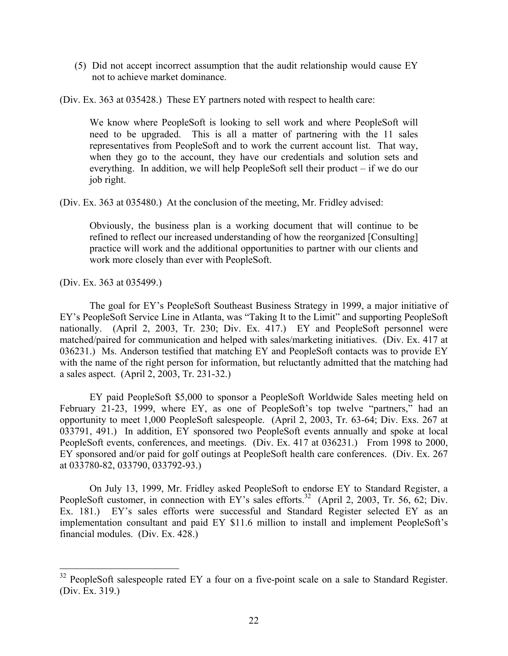(5) Did not accept incorrect assumption that the audit relationship would cause EY not to achieve market dominance.

(Div. Ex. 363 at 035428.) These EY partners noted with respect to health care:

We know where PeopleSoft is looking to sell work and where PeopleSoft will need to be upgraded. This is all a matter of partnering with the 11 sales representatives from PeopleSoft and to work the current account list. That way, when they go to the account, they have our credentials and solution sets and everything. In addition, we will help PeopleSoft sell their product – if we do our job right.

(Div. Ex. 363 at 035480.) At the conclusion of the meeting, Mr. Fridley advised:

Obviously, the business plan is a working document that will continue to be refined to reflect our increased understanding of how the reorganized [Consulting] practice will work and the additional opportunities to partner with our clients and work more closely than ever with PeopleSoft.

(Div. Ex. 363 at 035499.)

1

The goal for EY's PeopleSoft Southeast Business Strategy in 1999, a major initiative of EY's PeopleSoft Service Line in Atlanta, was "Taking It to the Limit" and supporting PeopleSoft nationally. (April 2, 2003, Tr. 230; Div. Ex. 417.) EY and PeopleSoft personnel were matched/paired for communication and helped with sales/marketing initiatives. (Div. Ex. 417 at 036231.) Ms. Anderson testified that matching EY and PeopleSoft contacts was to provide EY with the name of the right person for information, but reluctantly admitted that the matching had a sales aspect. (April 2, 2003, Tr. 231-32.)

EY paid PeopleSoft \$5,000 to sponsor a PeopleSoft Worldwide Sales meeting held on February 21-23, 1999, where EY, as one of PeopleSoft's top twelve "partners," had an opportunity to meet 1,000 PeopleSoft salespeople. (April 2, 2003, Tr. 63-64; Div. Exs. 267 at 033791, 491.) In addition, EY sponsored two PeopleSoft events annually and spoke at local PeopleSoft events, conferences, and meetings. (Div. Ex. 417 at 036231.) From 1998 to 2000, EY sponsored and/or paid for golf outings at PeopleSoft health care conferences. (Div. Ex. 267 at 033780-82, 033790, 033792-93.)

On July 13, 1999, Mr. Fridley asked PeopleSoft to endorse EY to Standard Register, a PeopleSoft customer, in connection with EY's sales efforts.<sup>32</sup> (April 2, 2003, Tr. 56, 62; Div. Ex. 181.) EY's sales efforts were successful and Standard Register selected EY as an implementation consultant and paid EY \$11.6 million to install and implement PeopleSoft's financial modules. (Div. Ex. 428.)

<span id="page-21-0"></span> $32$  PeopleSoft salespeople rated EY a four on a five-point scale on a sale to Standard Register. (Div. Ex. 319.)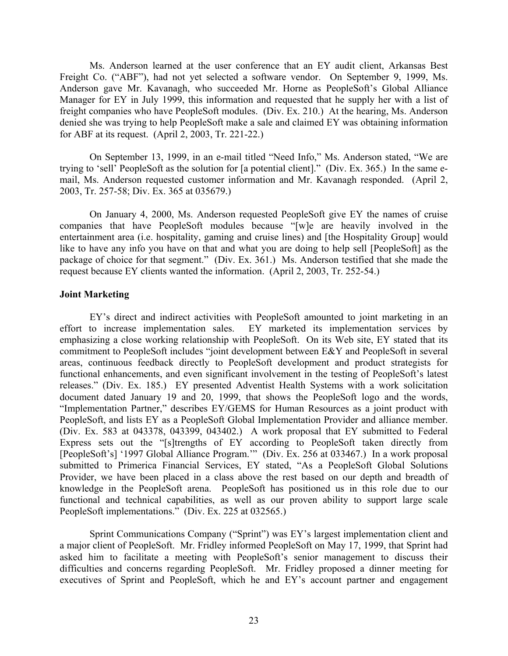Ms. Anderson learned at the user conference that an EY audit client, Arkansas Best Freight Co. ("ABF"), had not yet selected a software vendor. On September 9, 1999, Ms. Anderson gave Mr. Kavanagh, who succeeded Mr. Horne as PeopleSoft's Global Alliance Manager for EY in July 1999, this information and requested that he supply her with a list of freight companies who have PeopleSoft modules. (Div. Ex. 210.) At the hearing, Ms. Anderson denied she was trying to help PeopleSoft make a sale and claimed EY was obtaining information for ABF at its request. (April 2, 2003, Tr. 221-22.)

On September 13, 1999, in an e-mail titled "Need Info," Ms. Anderson stated, "We are trying to 'sell' PeopleSoft as the solution for [a potential client]." (Div. Ex. 365.) In the same email, Ms. Anderson requested customer information and Mr. Kavanagh responded. (April 2, 2003, Tr. 257-58; Div. Ex. 365 at 035679.)

On January 4, 2000, Ms. Anderson requested PeopleSoft give EY the names of cruise companies that have PeopleSoft modules because "[w]e are heavily involved in the entertainment area (i.e. hospitality, gaming and cruise lines) and [the Hospitality Group] would like to have any info you have on that and what you are doing to help sell [PeopleSoft] as the package of choice for that segment." (Div. Ex. 361.) Ms. Anderson testified that she made the request because EY clients wanted the information. (April 2, 2003, Tr. 252-54.)

# **Joint Marketing**

EY's direct and indirect activities with PeopleSoft amounted to joint marketing in an effort to increase implementation sales. EY marketed its implementation services by emphasizing a close working relationship with PeopleSoft. On its Web site, EY stated that its commitment to PeopleSoft includes "joint development between E&Y and PeopleSoft in several areas, continuous feedback directly to PeopleSoft development and product strategists for functional enhancements, and even significant involvement in the testing of PeopleSoft's latest releases." (Div. Ex. 185.) EY presented Adventist Health Systems with a work solicitation document dated January 19 and 20, 1999, that shows the PeopleSoft logo and the words, "Implementation Partner," describes EY/GEMS for Human Resources as a joint product with PeopleSoft, and lists EY as a PeopleSoft Global Implementation Provider and alliance member. (Div. Ex. 583 at 043378, 043399, 043402.) A work proposal that EY submitted to Federal Express sets out the "[s]trengths of EY according to PeopleSoft taken directly from [PeopleSoft's] '1997 Global Alliance Program.'" (Div. Ex. 256 at 033467.) In a work proposal submitted to Primerica Financial Services, EY stated, "As a PeopleSoft Global Solutions Provider, we have been placed in a class above the rest based on our depth and breadth of knowledge in the PeopleSoft arena. PeopleSoft has positioned us in this role due to our functional and technical capabilities, as well as our proven ability to support large scale PeopleSoft implementations." (Div. Ex. 225 at 032565.)

Sprint Communications Company ("Sprint") was EY's largest implementation client and a major client of PeopleSoft. Mr. Fridley informed PeopleSoft on May 17, 1999, that Sprint had asked him to facilitate a meeting with PeopleSoft's senior management to discuss their difficulties and concerns regarding PeopleSoft. Mr. Fridley proposed a dinner meeting for executives of Sprint and PeopleSoft, which he and EY's account partner and engagement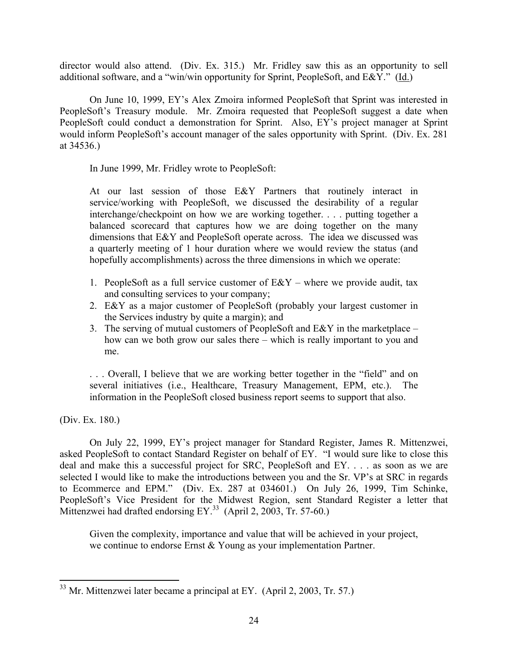director would also attend. (Div. Ex. 315.) Mr. Fridley saw this as an opportunity to sell additional software, and a "win/win opportunity for Sprint, PeopleSoft, and E&Y." (Id.)

On June 10, 1999, EY's Alex Zmoira informed PeopleSoft that Sprint was interested in PeopleSoft's Treasury module. Mr. Zmoira requested that PeopleSoft suggest a date when PeopleSoft could conduct a demonstration for Sprint. Also, EY's project manager at Sprint would inform PeopleSoft's account manager of the sales opportunity with Sprint. (Div. Ex. 281 at 34536.)

In June 1999, Mr. Fridley wrote to PeopleSoft:

At our last session of those E&Y Partners that routinely interact in service/working with PeopleSoft, we discussed the desirability of a regular interchange/checkpoint on how we are working together. . . . putting together a balanced scorecard that captures how we are doing together on the many dimensions that E&Y and PeopleSoft operate across. The idea we discussed was a quarterly meeting of 1 hour duration where we would review the status (and hopefully accomplishments) across the three dimensions in which we operate:

- 1. PeopleSoft as a full service customer of  $E\&Y$  where we provide audit, tax and consulting services to your company;
- 2. E&Y as a major customer of PeopleSoft (probably your largest customer in the Services industry by quite a margin); and
- 3. The serving of mutual customers of PeopleSoft and E&Y in the marketplace how can we both grow our sales there – which is really important to you and me.

. . . Overall, I believe that we are working better together in the "field" and on several initiatives (i.e., Healthcare, Treasury Management, EPM, etc.). The information in the PeopleSoft closed business report seems to support that also.

(Div. Ex. 180.)

On July 22, 1999, EY's project manager for Standard Register, James R. Mittenzwei, asked PeopleSoft to contact Standard Register on behalf of EY. "I would sure like to close this deal and make this a successful project for SRC, PeopleSoft and EY. . . . as soon as we are selected I would like to make the introductions between you and the Sr. VP's at SRC in regards to Ecommerce and EPM." (Div. Ex. 287 at 034601.) On July 26, 1999, Tim Schinke, PeopleSoft's Vice President for the Midwest Region, sent Standard Register a letter that Mittenzwei had drafted endorsing EY.<sup>33</sup> (April 2, 2003, Tr. 57-60.)

Given the complexity, importance and value that will be achieved in your project, we continue to endorse Ernst & Young as your implementation Partner.

<span id="page-23-0"></span> $\overline{a}$  $33$  Mr. Mittenzwei later became a principal at EY. (April 2, 2003, Tr. 57.)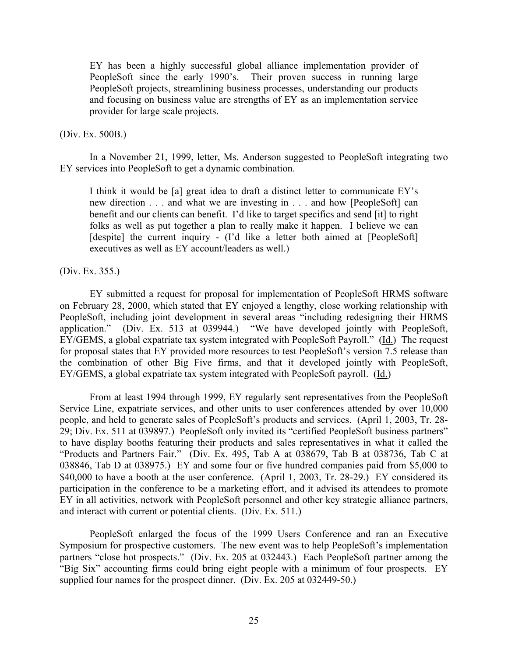EY has been a highly successful global alliance implementation provider of PeopleSoft since the early 1990's. Their proven success in running large PeopleSoft projects, streamlining business processes, understanding our products and focusing on business value are strengths of EY as an implementation service provider for large scale projects.

## (Div. Ex. 500B.)

In a November 21, 1999, letter, Ms. Anderson suggested to PeopleSoft integrating two EY services into PeopleSoft to get a dynamic combination.

I think it would be [a] great idea to draft a distinct letter to communicate EY's new direction . . . and what we are investing in . . . and how [PeopleSoft] can benefit and our clients can benefit. I'd like to target specifics and send [it] to right folks as well as put together a plan to really make it happen. I believe we can [despite] the current inquiry - (I'd like a letter both aimed at [PeopleSoft] executives as well as EY account/leaders as well.)

### (Div. Ex. 355.)

EY submitted a request for proposal for implementation of PeopleSoft HRMS software on February 28, 2000, which stated that EY enjoyed a lengthy, close working relationship with PeopleSoft, including joint development in several areas "including redesigning their HRMS application." (Div. Ex. 513 at 039944.) "We have developed jointly with PeopleSoft, EY/GEMS, a global expatriate tax system integrated with PeopleSoft Payroll." (Id.) The request for proposal states that EY provided more resources to test PeopleSoft's version 7.5 release than the combination of other Big Five firms, and that it developed jointly with PeopleSoft, EY/GEMS, a global expatriate tax system integrated with PeopleSoft payroll. (Id.)

From at least 1994 through 1999, EY regularly sent representatives from the PeopleSoft Service Line, expatriate services, and other units to user conferences attended by over 10,000 people, and held to generate sales of PeopleSoft's products and services. (April 1, 2003, Tr. 28- 29; Div. Ex. 511 at 039897.) PeopleSoft only invited its "certified PeopleSoft business partners" to have display booths featuring their products and sales representatives in what it called the "Products and Partners Fair." (Div. Ex. 495, Tab A at 038679, Tab B at 038736, Tab C at 038846, Tab D at 038975.) EY and some four or five hundred companies paid from \$5,000 to \$40,000 to have a booth at the user conference. (April 1, 2003, Tr. 28-29.) EY considered its participation in the conference to be a marketing effort, and it advised its attendees to promote EY in all activities, network with PeopleSoft personnel and other key strategic alliance partners, and interact with current or potential clients. (Div. Ex. 511.)

PeopleSoft enlarged the focus of the 1999 Users Conference and ran an Executive Symposium for prospective customers. The new event was to help PeopleSoft's implementation partners "close hot prospects."(Div. Ex. 205 at 032443.) Each PeopleSoft partner among the "Big Six" accounting firms could bring eight people with a minimum of four prospects. EY supplied four names for the prospect dinner. (Div. Ex. 205 at 032449-50.)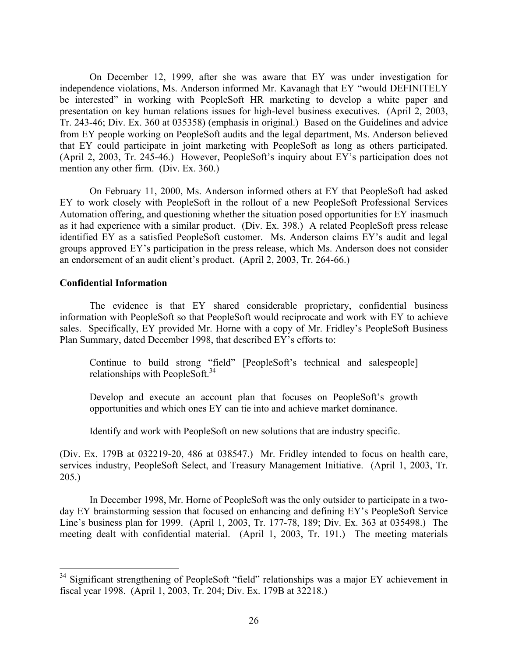On December 12, 1999, after she was aware that EY was under investigation for independence violations, Ms. Anderson informed Mr. Kavanagh that EY "would DEFINITELY be interested" in working with PeopleSoft HR marketing to develop a white paper and presentation on key human relations issues for high-level business executives. (April 2, 2003, Tr. 243-46; Div. Ex. 360 at 035358) (emphasis in original.) Based on the Guidelines and advice from EY people working on PeopleSoft audits and the legal department, Ms. Anderson believed that EY could participate in joint marketing with PeopleSoft as long as others participated. (April 2, 2003, Tr. 245-46.) However, PeopleSoft's inquiry about EY's participation does not mention any other firm. (Div. Ex. 360.)

On February 11, 2000, Ms. Anderson informed others at EY that PeopleSoft had asked EY to work closely with PeopleSoft in the rollout of a new PeopleSoft Professional Services Automation offering, and questioning whether the situation posed opportunities for EY inasmuch as it had experience with a similar product. (Div. Ex. 398.) A related PeopleSoft press release identified EY as a satisfied PeopleSoft customer. Ms. Anderson claims EY's audit and legal groups approved EY's participation in the press release, which Ms. Anderson does not consider an endorsement of an audit client's product. (April 2, 2003, Tr. 264-66.)

# **Confidential Information**

1

The evidence is that EY shared considerable proprietary, confidential business information with PeopleSoft so that PeopleSoft would reciprocate and work with EY to achieve sales. Specifically, EY provided Mr. Horne with a copy of Mr. Fridley's PeopleSoft Business Plan Summary, dated December 1998, that described EY's efforts to:

Continue to build strong "field" [PeopleSoft's technical and salespeople] relationships with PeopleSoft.<sup>[34](#page-25-0)</sup>

Develop and execute an account plan that focuses on PeopleSoft's growth opportunities and which ones EY can tie into and achieve market dominance.

Identify and work with PeopleSoft on new solutions that are industry specific.

(Div. Ex. 179B at 032219-20, 486 at 038547.) Mr. Fridley intended to focus on health care, services industry, PeopleSoft Select, and Treasury Management Initiative. (April 1, 2003, Tr. 205.)

In December 1998, Mr. Horne of PeopleSoft was the only outsider to participate in a twoday EY brainstorming session that focused on enhancing and defining EY's PeopleSoft Service Line's business plan for 1999. (April 1, 2003, Tr. 177-78, 189; Div. Ex. 363 at 035498.) The meeting dealt with confidential material. (April 1, 2003, Tr. 191.) The meeting materials

<span id="page-25-0"></span><sup>&</sup>lt;sup>34</sup> Significant strengthening of PeopleSoft "field" relationships was a major EY achievement in fiscal year 1998. (April 1, 2003, Tr. 204; Div. Ex. 179B at 32218.)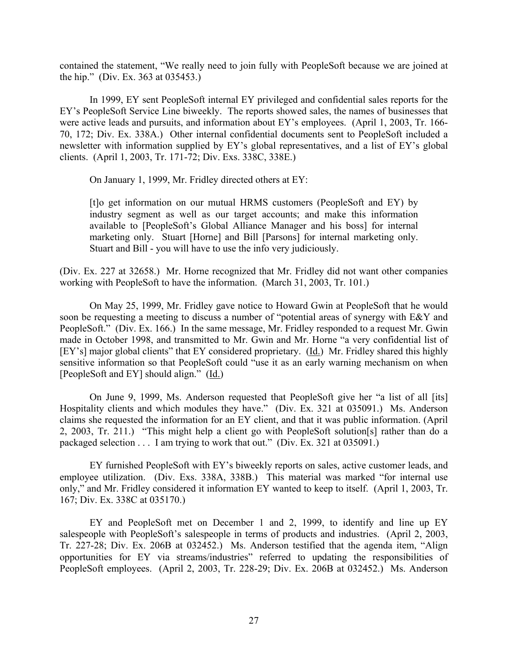contained the statement, "We really need to join fully with PeopleSoft because we are joined at the hip." (Div. Ex. 363 at 035453.)

In 1999, EY sent PeopleSoft internal EY privileged and confidential sales reports for the EY's PeopleSoft Service Line biweekly. The reports showed sales, the names of businesses that were active leads and pursuits, and information about EY's employees. (April 1, 2003, Tr. 166- 70, 172; Div. Ex. 338A.) Other internal confidential documents sent to PeopleSoft included a newsletter with information supplied by EY's global representatives, and a list of EY's global clients. (April 1, 2003, Tr. 171-72; Div. Exs. 338C, 338E.)

On January 1, 1999, Mr. Fridley directed others at EY:

[t]o get information on our mutual HRMS customers (PeopleSoft and EY) by industry segment as well as our target accounts; and make this information available to [PeopleSoft's Global Alliance Manager and his boss] for internal marketing only. Stuart [Horne] and Bill [Parsons] for internal marketing only. Stuart and Bill - you will have to use the info very judiciously.

(Div. Ex. 227 at 32658.) Mr. Horne recognized that Mr. Fridley did not want other companies working with PeopleSoft to have the information. (March 31, 2003, Tr. 101.)

On May 25, 1999, Mr. Fridley gave notice to Howard Gwin at PeopleSoft that he would soon be requesting a meeting to discuss a number of "potential areas of synergy with E&Y and PeopleSoft." (Div. Ex. 166.) In the same message, Mr. Fridley responded to a request Mr. Gwin made in October 1998, and transmitted to Mr. Gwin and Mr. Horne "a very confidential list of [EY's] major global clients" that EY considered proprietary. (Id.) Mr. Fridley shared this highly sensitive information so that PeopleSoft could "use it as an early warning mechanism on when [PeopleSoft and EY] should align." (Id.)

On June 9, 1999, Ms. Anderson requested that PeopleSoft give her "a list of all [its] Hospitality clients and which modules they have." (Div. Ex. 321 at 035091.) Ms. Anderson claims she requested the information for an EY client, and that it was public information. (April 2, 2003, Tr. 211.) "This might help a client go with PeopleSoft solution[s] rather than do a packaged selection . . . I am trying to work that out." (Div. Ex. 321 at 035091.)

EY furnished PeopleSoft with EY's biweekly reports on sales, active customer leads, and employee utilization. (Div. Exs. 338A, 338B.) This material was marked "for internal use only," and Mr. Fridley considered it information EY wanted to keep to itself. (April 1, 2003, Tr. 167; Div. Ex. 338C at 035170.)

EY and PeopleSoft met on December 1 and 2, 1999, to identify and line up EY salespeople with PeopleSoft's salespeople in terms of products and industries. (April 2, 2003, Tr. 227-28; Div. Ex. 206B at 032452.) Ms. Anderson testified that the agenda item, "Align opportunities for EY via streams/industries" referred to updating the responsibilities of PeopleSoft employees. (April 2, 2003, Tr. 228-29; Div. Ex. 206B at 032452.) Ms. Anderson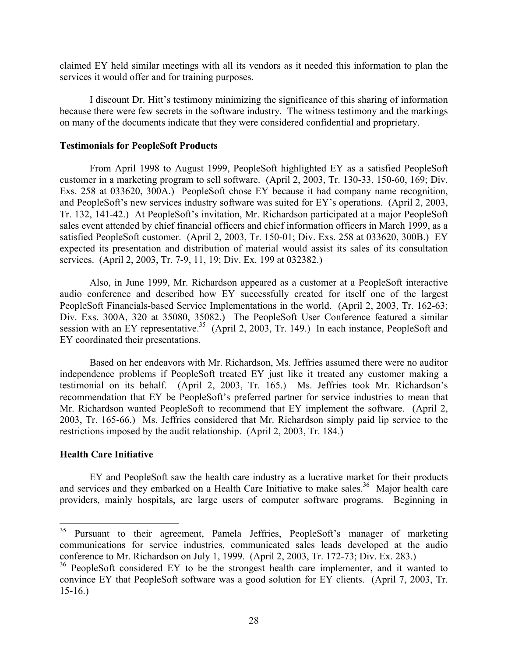claimed EY held similar meetings with all its vendors as it needed this information to plan the services it would offer and for training purposes.

I discount Dr. Hitt's testimony minimizing the significance of this sharing of information because there were few secrets in the software industry. The witness testimony and the markings on many of the documents indicate that they were considered confidential and proprietary.

## **Testimonials for PeopleSoft Products**

From April 1998 to August 1999, PeopleSoft highlighted EY as a satisfied PeopleSoft customer in a marketing program to sell software. (April 2, 2003, Tr. 130-33, 150-60, 169; Div. Exs. 258 at 033620, 300A.) PeopleSoft chose EY because it had company name recognition, and PeopleSoft's new services industry software was suited for EY's operations. (April 2, 2003, Tr. 132, 141-42.) At PeopleSoft's invitation, Mr. Richardson participated at a major PeopleSoft sales event attended by chief financial officers and chief information officers in March 1999, as a satisfied PeopleSoft customer. (April 2, 2003, Tr. 150-01; Div. Exs. 258 at 033620, 300B.) EY expected its presentation and distribution of material would assist its sales of its consultation services. (April 2, 2003, Tr. 7-9, 11, 19; Div. Ex. 199 at 032382.)

Also, in June 1999, Mr. Richardson appeared as a customer at a PeopleSoft interactive audio conference and described how EY successfully created for itself one of the largest PeopleSoft Financials-based Service Implementations in the world. (April 2, 2003, Tr. 162-63; Div. Exs. 300A, 320 at 35080, 35082.) The PeopleSoft User Conference featured a similar session with an EY representative.<sup>35</sup> (April 2, 2003, Tr. 149.) In each instance, PeopleSoft and EY coordinated their presentations.

Based on her endeavors with Mr. Richardson, Ms. Jeffries assumed there were no auditor independence problems if PeopleSoft treated EY just like it treated any customer making a testimonial on its behalf. (April 2, 2003, Tr. 165.) Ms. Jeffries took Mr. Richardson's recommendation that EY be PeopleSoft's preferred partner for service industries to mean that Mr. Richardson wanted PeopleSoft to recommend that EY implement the software. (April 2, 2003, Tr. 165-66.) Ms. Jeffries considered that Mr. Richardson simply paid lip service to the restrictions imposed by the audit relationship. (April 2, 2003, Tr. 184.)

# **Health Care Initiative**

 $\overline{a}$ 

EY and PeopleSoft saw the health care industry as a lucrative market for their products and services and they embarked on a Health Care Initiative to make sales.<sup>36</sup> Major health care providers, mainly hospitals, are large users of computer software programs. Beginning in

<span id="page-27-0"></span><sup>&</sup>lt;sup>35</sup> Pursuant to their agreement, Pamela Jeffries, PeopleSoft's manager of marketing communications for service industries, communicated sales leads developed at the audio conference to Mr. Richardson on July 1, 1999. (April 2, 2003, Tr. 172-73; Div. Ex. 283.)

<span id="page-27-1"></span><sup>&</sup>lt;sup>36</sup> PeopleSoft considered EY to be the strongest health care implementer, and it wanted to convince EY that PeopleSoft software was a good solution for EY clients. (April 7, 2003, Tr. 15-16.)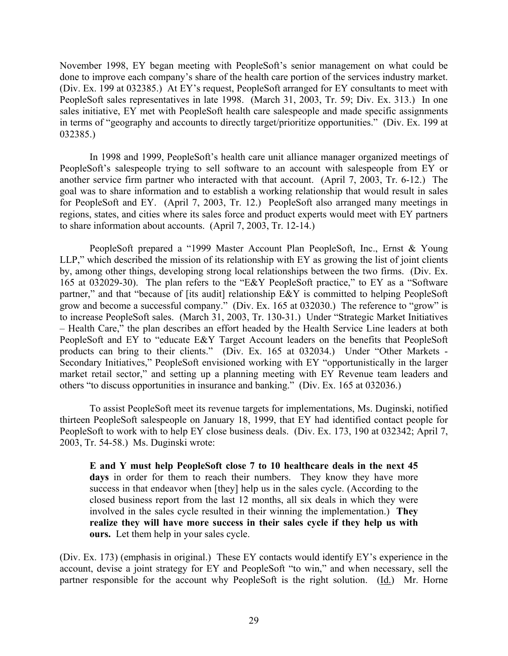November 1998, EY began meeting with PeopleSoft's senior management on what could be done to improve each company's share of the health care portion of the services industry market. (Div. Ex. 199 at 032385.) At EY's request, PeopleSoft arranged for EY consultants to meet with PeopleSoft sales representatives in late 1998. (March 31, 2003, Tr. 59; Div. Ex. 313.) In one sales initiative, EY met with PeopleSoft health care salespeople and made specific assignments in terms of "geography and accounts to directly target/prioritize opportunities." (Div. Ex. 199 at 032385.)

In 1998 and 1999, PeopleSoft's health care unit alliance manager organized meetings of PeopleSoft's salespeople trying to sell software to an account with salespeople from EY or another service firm partner who interacted with that account. (April 7, 2003, Tr. 6-12.) The goal was to share information and to establish a working relationship that would result in sales for PeopleSoft and EY. (April 7, 2003, Tr. 12.) PeopleSoft also arranged many meetings in regions, states, and cities where its sales force and product experts would meet with EY partners to share information about accounts. (April 7, 2003, Tr. 12-14.)

PeopleSoft prepared a "1999 Master Account Plan PeopleSoft, Inc., Ernst & Young LLP," which described the mission of its relationship with EY as growing the list of joint clients by, among other things, developing strong local relationships between the two firms. (Div. Ex. 165 at 032029-30). The plan refers to the "E&Y PeopleSoft practice," to EY as a "Software partner," and that "because of [its audit] relationship E&Y is committed to helping PeopleSoft grow and become a successful company." (Div. Ex. 165 at 032030.) The reference to "grow" is to increase PeopleSoft sales. (March 31, 2003, Tr. 130-31.) Under "Strategic Market Initiatives – Health Care," the plan describes an effort headed by the Health Service Line leaders at both PeopleSoft and EY to "educate E&Y Target Account leaders on the benefits that PeopleSoft products can bring to their clients." (Div. Ex. 165 at 032034.) Under "Other Markets - Secondary Initiatives," PeopleSoft envisioned working with EY "opportunistically in the larger market retail sector," and setting up a planning meeting with EY Revenue team leaders and others "to discuss opportunities in insurance and banking." (Div. Ex. 165 at 032036.)

To assist PeopleSoft meet its revenue targets for implementations, Ms. Duginski, notified thirteen PeopleSoft salespeople on January 18, 1999, that EY had identified contact people for PeopleSoft to work with to help EY close business deals. (Div. Ex. 173, 190 at 032342; April 7, 2003, Tr. 54-58.) Ms. Duginski wrote:

**E and Y must help PeopleSoft close 7 to 10 healthcare deals in the next 45**  days in order for them to reach their numbers. They know they have more success in that endeavor when [they] help us in the sales cycle. (According to the closed business report from the last 12 months, all six deals in which they were involved in the sales cycle resulted in their winning the implementation.) **They realize they will have more success in their sales cycle if they help us with ours.** Let them help in your sales cycle.

(Div. Ex. 173) (emphasis in original.) These EY contacts would identify EY's experience in the account, devise a joint strategy for EY and PeopleSoft "to win," and when necessary, sell the partner responsible for the account why PeopleSoft is the right solution. (Id.) Mr. Horne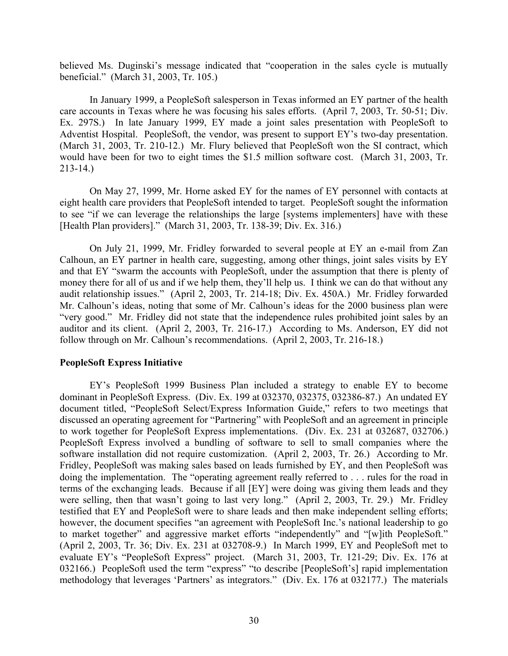believed Ms. Duginski's message indicated that "cooperation in the sales cycle is mutually beneficial." (March 31, 2003, Tr. 105.)

In January 1999, a PeopleSoft salesperson in Texas informed an EY partner of the health care accounts in Texas where he was focusing his sales efforts. (April 7, 2003, Tr. 50-51; Div. Ex. 297S.) In late January 1999, EY made a joint sales presentation with PeopleSoft to Adventist Hospital. PeopleSoft, the vendor, was present to support EY's two-day presentation. (March 31, 2003, Tr. 210-12.) Mr. Flury believed that PeopleSoft won the SI contract, which would have been for two to eight times the \$1.5 million software cost. (March 31, 2003, Tr. 213-14.)

On May 27, 1999, Mr. Horne asked EY for the names of EY personnel with contacts at eight health care providers that PeopleSoft intended to target. PeopleSoft sought the information to see "if we can leverage the relationships the large [systems implementers] have with these [Health Plan providers]." (March 31, 2003, Tr. 138-39; Div. Ex. 316.)

On July 21, 1999, Mr. Fridley forwarded to several people at EY an e-mail from Zan Calhoun, an EY partner in health care, suggesting, among other things, joint sales visits by EY and that EY "swarm the accounts with PeopleSoft, under the assumption that there is plenty of money there for all of us and if we help them, they'll help us. I think we can do that without any audit relationship issues." (April 2, 2003, Tr. 214-18; Div. Ex. 450A.) Mr. Fridley forwarded Mr. Calhoun's ideas, noting that some of Mr. Calhoun's ideas for the 2000 business plan were "very good." Mr. Fridley did not state that the independence rules prohibited joint sales by an auditor and its client. (April 2, 2003, Tr. 216-17.) According to Ms. Anderson, EY did not follow through on Mr. Calhoun's recommendations. (April 2, 2003, Tr. 216-18.)

# **PeopleSoft Express Initiative**

EY's PeopleSoft 1999 Business Plan included a strategy to enable EY to become dominant in PeopleSoft Express. (Div. Ex. 199 at 032370, 032375, 032386-87.) An undated EY document titled, "PeopleSoft Select/Express Information Guide," refers to two meetings that discussed an operating agreement for "Partnering" with PeopleSoft and an agreement in principle to work together for PeopleSoft Express implementations. (Div. Ex. 231 at 032687, 032706.) PeopleSoft Express involved a bundling of software to sell to small companies where the software installation did not require customization. (April 2, 2003, Tr. 26.) According to Mr. Fridley, PeopleSoft was making sales based on leads furnished by EY, and then PeopleSoft was doing the implementation. The "operating agreement really referred to . . . rules for the road in terms of the exchanging leads. Because if all [EY] were doing was giving them leads and they were selling, then that wasn't going to last very long." (April 2, 2003, Tr. 29.) Mr. Fridley testified that EY and PeopleSoft were to share leads and then make independent selling efforts; however, the document specifies "an agreement with PeopleSoft Inc.'s national leadership to go to market together" and aggressive market efforts "independently" and "[w]ith PeopleSoft." (April 2, 2003, Tr. 36; Div. Ex. 231 at 032708-9.) In March 1999, EY and PeopleSoft met to evaluate EY's "PeopleSoft Express" project. (March 31, 2003, Tr. 121-29; Div. Ex. 176 at 032166.) PeopleSoft used the term "express" "to describe [PeopleSoft's] rapid implementation methodology that leverages 'Partners' as integrators." (Div. Ex. 176 at 032177.) The materials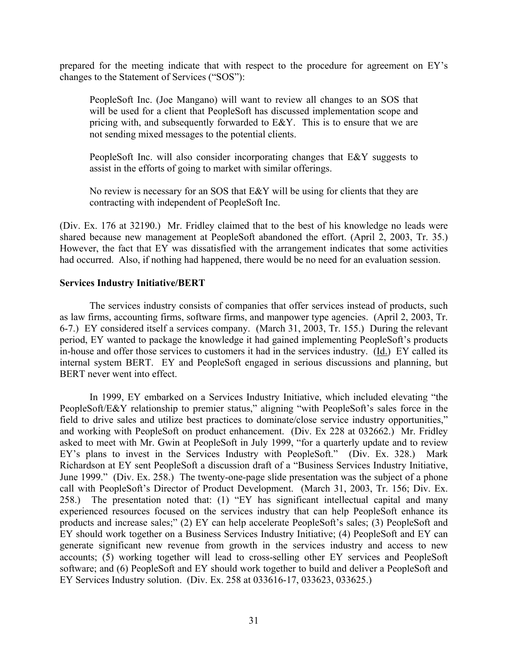prepared for the meeting indicate that with respect to the procedure for agreement on EY's changes to the Statement of Services ("SOS"):

PeopleSoft Inc. (Joe Mangano) will want to review all changes to an SOS that will be used for a client that PeopleSoft has discussed implementation scope and pricing with, and subsequently forwarded to E&Y. This is to ensure that we are not sending mixed messages to the potential clients.

PeopleSoft Inc. will also consider incorporating changes that E&Y suggests to assist in the efforts of going to market with similar offerings.

No review is necessary for an SOS that E&Y will be using for clients that they are contracting with independent of PeopleSoft Inc.

(Div. Ex. 176 at 32190.) Mr. Fridley claimed that to the best of his knowledge no leads were shared because new management at PeopleSoft abandoned the effort. (April 2, 2003, Tr. 35.) However, the fact that EY was dissatisfied with the arrangement indicates that some activities had occurred. Also, if nothing had happened, there would be no need for an evaluation session.

### **Services Industry Initiative/BERT**

The services industry consists of companies that offer services instead of products, such as law firms, accounting firms, software firms, and manpower type agencies. (April 2, 2003, Tr. 6-7.) EY considered itself a services company. (March 31, 2003, Tr. 155.) During the relevant period, EY wanted to package the knowledge it had gained implementing PeopleSoft's products in-house and offer those services to customers it had in the services industry. (Id.) EY called its internal system BERT. EY and PeopleSoft engaged in serious discussions and planning, but BERT never went into effect.

In 1999, EY embarked on a Services Industry Initiative, which included elevating "the PeopleSoft/E&Y relationship to premier status," aligning "with PeopleSoft's sales force in the field to drive sales and utilize best practices to dominate/close service industry opportunities," and working with PeopleSoft on product enhancement. (Div. Ex 228 at 032662.) Mr. Fridley asked to meet with Mr. Gwin at PeopleSoft in July 1999, "for a quarterly update and to review EY's plans to invest in the Services Industry with PeopleSoft." (Div. Ex. 328.) Mark Richardson at EY sent PeopleSoft a discussion draft of a "Business Services Industry Initiative, June 1999." (Div. Ex. 258.) The twenty-one-page slide presentation was the subject of a phone call with PeopleSoft's Director of Product Development. (March 31, 2003, Tr. 156; Div. Ex. 258.) The presentation noted that: (1) "EY has significant intellectual capital and many experienced resources focused on the services industry that can help PeopleSoft enhance its products and increase sales;" (2) EY can help accelerate PeopleSoft's sales; (3) PeopleSoft and EY should work together on a Business Services Industry Initiative; (4) PeopleSoft and EY can generate significant new revenue from growth in the services industry and access to new accounts; (5) working together will lead to cross-selling other EY services and PeopleSoft software; and (6) PeopleSoft and EY should work together to build and deliver a PeopleSoft and EY Services Industry solution. (Div. Ex. 258 at 033616-17, 033623, 033625.)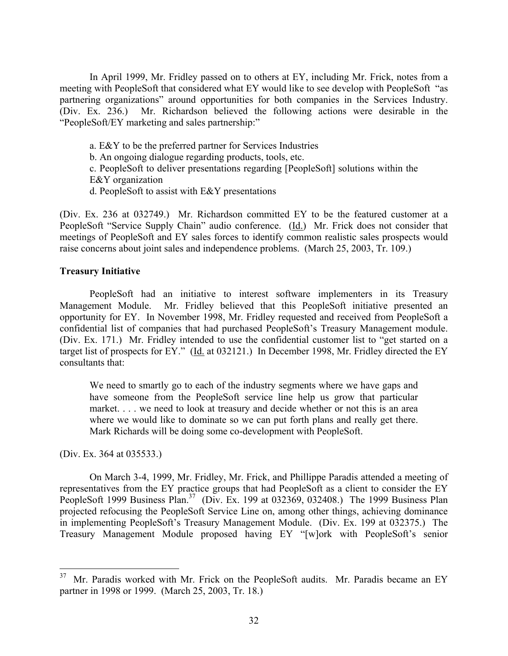In April 1999, Mr. Fridley passed on to others at EY, including Mr. Frick, notes from a meeting with PeopleSoft that considered what EY would like to see develop with PeopleSoft "as partnering organizations" around opportunities for both companies in the Services Industry. (Div. Ex. 236.) Mr. Richardson believed the following actions were desirable in the "PeopleSoft/EY marketing and sales partnership:"

a. E&Y to be the preferred partner for Services Industries

b. An ongoing dialogue regarding products, tools, etc.

c. PeopleSoft to deliver presentations regarding [PeopleSoft] solutions within the E&Y organization

d. PeopleSoft to assist with E&Y presentations

(Div. Ex. 236 at 032749.) Mr. Richardson committed EY to be the featured customer at a PeopleSoft "Service Supply Chain" audio conference. (Id.) Mr. Frick does not consider that meetings of PeopleSoft and EY sales forces to identify common realistic sales prospects would raise concerns about joint sales and independence problems. (March 25, 2003, Tr. 109.)

# **Treasury Initiative**

PeopleSoft had an initiative to interest software implementers in its Treasury Management Module. Mr. Fridley believed that this PeopleSoft initiative presented an opportunity for EY. In November 1998, Mr. Fridley requested and received from PeopleSoft a confidential list of companies that had purchased PeopleSoft's Treasury Management module. (Div. Ex. 171.) Mr. Fridley intended to use the confidential customer list to "get started on a target list of prospects for EY." (Id. at 032121.) In December 1998, Mr. Fridley directed the EY consultants that:

We need to smartly go to each of the industry segments where we have gaps and have someone from the PeopleSoft service line help us grow that particular market. . . . we need to look at treasury and decide whether or not this is an area where we would like to dominate so we can put forth plans and really get there. Mark Richards will be doing some co-development with PeopleSoft.

(Div. Ex. 364 at 035533.)

1

On March 3-4, 1999, Mr. Fridley, Mr. Frick, and Phillippe Paradis attended a meeting of representatives from the EY practice groups that had PeopleSoft as a client to consider the EY PeopleSoft 1999 Business Plan.<sup>37</sup> (Div. Ex. 199 at 032369, 032408.) The 1999 Business Plan projected refocusing the PeopleSoft Service Line on, among other things, achieving dominance in implementing PeopleSoft's Treasury Management Module. (Div. Ex. 199 at 032375.) The Treasury Management Module proposed having EY "[w]ork with PeopleSoft's senior

<span id="page-31-0"></span> $37$  Mr. Paradis worked with Mr. Frick on the PeopleSoft audits. Mr. Paradis became an EY partner in 1998 or 1999. (March 25, 2003, Tr. 18.)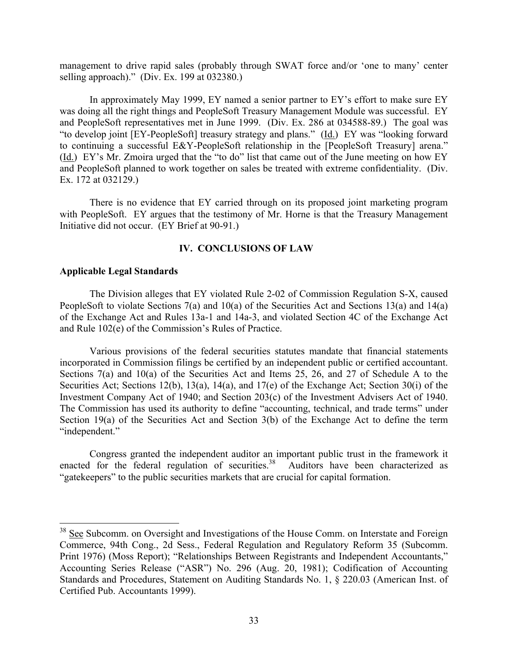management to drive rapid sales (probably through SWAT force and/or 'one to many' center selling approach)." (Div. Ex. 199 at 032380.)

In approximately May 1999, EY named a senior partner to EY's effort to make sure EY was doing all the right things and PeopleSoft Treasury Management Module was successful. EY and PeopleSoft representatives met in June 1999. (Div. Ex. 286 at 034588-89.) The goal was "to develop joint [EY-PeopleSoft] treasury strategy and plans." (Id.) EY was "looking forward to continuing a successful E&Y-PeopleSoft relationship in the [PeopleSoft Treasury] arena." (Id.) EY's Mr. Zmoira urged that the "to do" list that came out of the June meeting on how EY and PeopleSoft planned to work together on sales be treated with extreme confidentiality. (Div. Ex. 172 at 032129.)

There is no evidence that EY carried through on its proposed joint marketing program with PeopleSoft. EY argues that the testimony of Mr. Horne is that the Treasury Management Initiative did not occur. (EY Brief at 90-91.)

### **IV. CONCLUSIONS OF LAW**

### **Applicable Legal Standards**

 $\overline{a}$ 

The Division alleges that EY violated Rule 2-02 of Commission Regulation S-X, caused PeopleSoft to violate Sections 7(a) and 10(a) of the Securities Act and Sections 13(a) and 14(a) of the Exchange Act and Rules 13a-1 and 14a-3, and violated Section 4C of the Exchange Act and Rule 102(e) of the Commission's Rules of Practice.

Various provisions of the federal securities statutes mandate that financial statements incorporated in Commission filings be certified by an independent public or certified accountant. Sections 7(a) and 10(a) of the Securities Act and Items 25, 26, and 27 of Schedule A to the Securities Act; Sections 12(b), 13(a), 14(a), and 17(e) of the Exchange Act; Section 30(i) of the Investment Company Act of 1940; and Section 203(c) of the Investment Advisers Act of 1940. The Commission has used its authority to define "accounting, technical, and trade terms" under Section 19(a) of the Securities Act and Section 3(b) of the Exchange Act to define the term "independent."

Congress granted the independent auditor an important public trust in the framework it enacted for the federal regulation of securities.<sup>38</sup> Auditors have been characterized as "gatekeepers" to the public securities markets that are crucial for capital formation.

<span id="page-32-0"></span> $38$  See Subcomm. on Oversight and Investigations of the House Comm. on Interstate and Foreign Commerce, 94th Cong., 2d Sess., Federal Regulation and Regulatory Reform 35 (Subcomm. Print 1976) (Moss Report); "Relationships Between Registrants and Independent Accountants," Accounting Series Release ("ASR") No. 296 (Aug. 20, 1981); Codification of Accounting Standards and Procedures, Statement on Auditing Standards No. 1, § 220.03 (American Inst. of Certified Pub. Accountants 1999).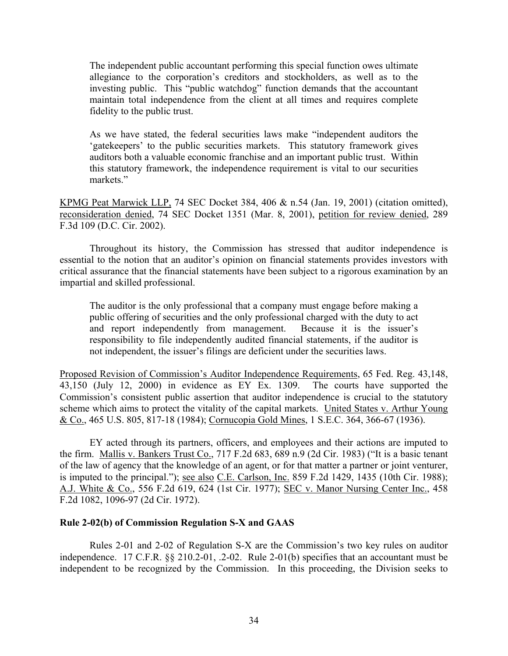The independent public accountant performing this special function owes ultimate allegiance to the corporation's creditors and stockholders, as well as to the investing public. This "public watchdog" function demands that the accountant maintain total independence from the client at all times and requires complete fidelity to the public trust.

As we have stated, the federal securities laws make "independent auditors the 'gatekeepers' to the public securities markets. This statutory framework gives auditors both a valuable economic franchise and an important public trust. Within this statutory framework, the independence requirement is vital to our securities markets."

KPMG Peat Marwick LLP, 74 SEC Docket 384, 406 & n.54 (Jan. 19, 2001) (citation omitted), reconsideration denied, 74 SEC Docket 1351 (Mar. 8, 2001), petition for review denied, 289 F.3d 109 (D.C. Cir. 2002).

Throughout its history, the Commission has stressed that auditor independence is essential to the notion that an auditor's opinion on financial statements provides investors with critical assurance that the financial statements have been subject to a rigorous examination by an impartial and skilled professional.

The auditor is the only professional that a company must engage before making a public offering of securities and the only professional charged with the duty to act and report independently from management. Because it is the issuer's responsibility to file independently audited financial statements, if the auditor is not independent, the issuer's filings are deficient under the securities laws.

Proposed Revision of Commission's Auditor Independence Requirements, 65 Fed. Reg. 43,148, 43,150 (July 12, 2000) in evidence as EY Ex. 1309. The courts have supported the Commission's consistent public assertion that auditor independence is crucial to the statutory scheme which aims to protect the vitality of the capital markets. United States v. Arthur Young & Co., 465 U.S. 805, 817-18 (1984); Cornucopia Gold Mines, 1 S.E.C. 364, 366-67 (1936).

EY acted through its partners, officers, and employees and their actions are imputed to the firm. Mallis v. Bankers Trust Co., 717 F.2d 683, 689 n.9 (2d Cir. 1983) ("It is a basic tenant of the law of agency that the knowledge of an agent, or for that matter a partner or joint venturer, is imputed to the principal."); see also C.E. Carlson, Inc. 859 F.2d 1429, 1435 (10th Cir. 1988); A.J. White & Co., 556 F.2d 619, 624 (1st Cir. 1977); SEC v. Manor Nursing Center Inc., 458 F.2d 1082, 1096-97 (2d Cir. 1972).

### **Rule 2-02(b) of Commission Regulation S-X and GAAS**

Rules 2-01 and 2-02 of Regulation S-X are the Commission's two key rules on auditor independence. 17 C.F.R. §§ 210.2-01, .2-02. Rule 2-01(b) specifies that an accountant must be independent to be recognized by the Commission. In this proceeding, the Division seeks to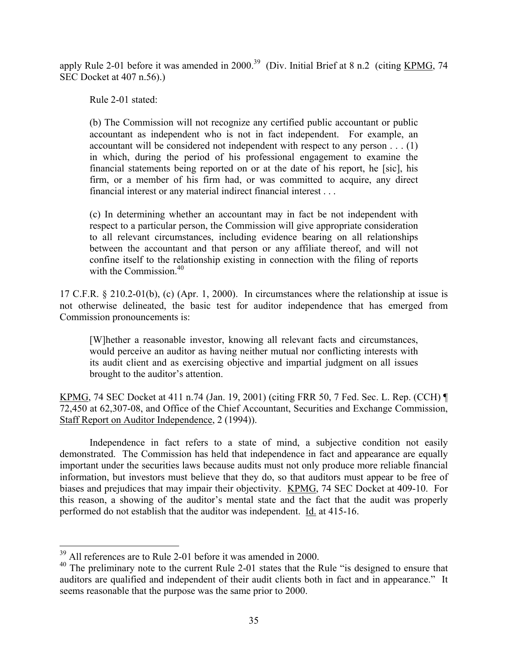apply Rule 2-01 before it was amended in  $2000^{39}$  $2000^{39}$  $2000^{39}$  (Div. Initial Brief at 8 n.2 (citing KPMG, 74 SEC Docket at 407 n.56).)

Rule 2-01 stated:

(b) The Commission will not recognize any certified public accountant or public accountant as independent who is not in fact independent. For example, an accountant will be considered not independent with respect to any person . . . (1) in which, during the period of his professional engagement to examine the financial statements being reported on or at the date of his report, he [sic], his firm, or a member of his firm had, or was committed to acquire, any direct financial interest or any material indirect financial interest . . .

(c) In determining whether an accountant may in fact be not independent with respect to a particular person, the Commission will give appropriate consideration to all relevant circumstances, including evidence bearing on all relationships between the accountant and that person or any affiliate thereof, and will not confine itself to the relationship existing in connection with the filing of reports with the Commission  $40$ 

17 C.F.R. § 210.2-01(b), (c) (Apr. 1, 2000). In circumstances where the relationship at issue is not otherwise delineated, the basic test for auditor independence that has emerged from Commission pronouncements is:

[W]hether a reasonable investor, knowing all relevant facts and circumstances, would perceive an auditor as having neither mutual nor conflicting interests with its audit client and as exercising objective and impartial judgment on all issues brought to the auditor's attention.

KPMG, 74 SEC Docket at 411 n.74 (Jan. 19, 2001) (citing FRR 50, 7 Fed. Sec. L. Rep. (CCH) ¶ 72,450 at 62,307-08, and Office of the Chief Accountant, Securities and Exchange Commission, Staff Report on Auditor Independence, 2 (1994)).

Independence in fact refers to a state of mind, a subjective condition not easily demonstrated. The Commission has held that independence in fact and appearance are equally important under the securities laws because audits must not only produce more reliable financial information, but investors must believe that they do, so that auditors must appear to be free of biases and prejudices that may impair their objectivity. KPMG, 74 SEC Docket at 409-10. For this reason, a showing of the auditor's mental state and the fact that the audit was properly performed do not establish that the auditor was independent. Id. at 415-16.

<span id="page-34-0"></span><sup>&</sup>lt;sup>39</sup> All references are to Rule 2-01 before it was amended in 2000.

<span id="page-34-1"></span><sup>&</sup>lt;sup>40</sup> The preliminary note to the current Rule 2-01 states that the Rule "is designed to ensure that auditors are qualified and independent of their audit clients both in fact and in appearance." It seems reasonable that the purpose was the same prior to 2000.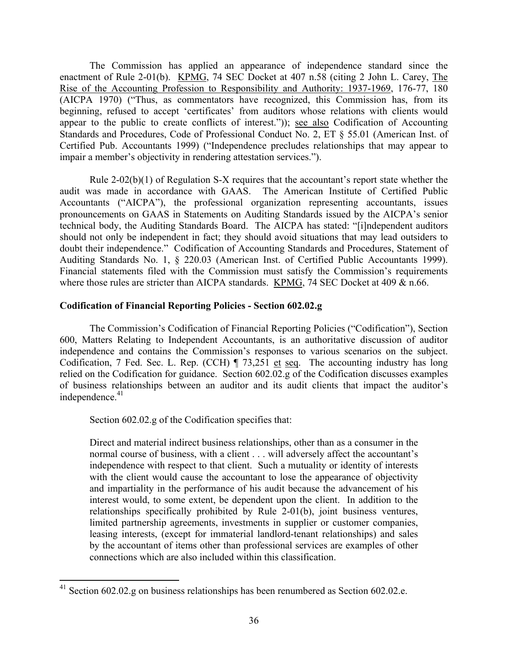The Commission has applied an appearance of independence standard since the enactment of Rule 2-01(b). KPMG, 74 SEC Docket at 407 n.58 (citing 2 John L. Carey, The Rise of the Accounting Profession to Responsibility and Authority: 1937-1969, 176-77, 180 (AICPA 1970) ("Thus, as commentators have recognized, this Commission has, from its beginning, refused to accept 'certificates' from auditors whose relations with clients would appear to the public to create conflicts of interest.")); see also Codification of Accounting Standards and Procedures, Code of Professional Conduct No. 2, ET § 55.01 (American Inst. of Certified Pub. Accountants 1999) ("Independence precludes relationships that may appear to impair a member's objectivity in rendering attestation services.").

Rule 2-02(b)(1) of Regulation S-X requires that the accountant's report state whether the audit was made in accordance with GAAS. The American Institute of Certified Public Accountants ("AICPA"), the professional organization representing accountants, issues pronouncements on GAAS in Statements on Auditing Standards issued by the AICPA's senior technical body, the Auditing Standards Board. The AICPA has stated: "[i]ndependent auditors should not only be independent in fact; they should avoid situations that may lead outsiders to doubt their independence." Codification of Accounting Standards and Procedures, Statement of Auditing Standards No. 1, § 220.03 (American Inst. of Certified Public Accountants 1999). Financial statements filed with the Commission must satisfy the Commission's requirements where those rules are stricter than AICPA standards. KPMG, 74 SEC Docket at 409 & n.66.

# **Codification of Financial Reporting Policies - Section 602.02.g**

The Commission's Codification of Financial Reporting Policies ("Codification"), Section 600, Matters Relating to Independent Accountants, is an authoritative discussion of auditor independence and contains the Commission's responses to various scenarios on the subject. Codification, 7 Fed. Sec. L. Rep. (CCH) ¶ 73,251 et seq. The accounting industry has long relied on the Codification for guidance. Section 602.02.g of the Codification discusses examples of business relationships between an auditor and its audit clients that impact the auditor's independence.<sup>41</sup>

Section 602.02.g of the Codification specifies that:

Direct and material indirect business relationships, other than as a consumer in the normal course of business, with a client . . . will adversely affect the accountant's independence with respect to that client. Such a mutuality or identity of interests with the client would cause the accountant to lose the appearance of objectivity and impartiality in the performance of his audit because the advancement of his interest would, to some extent, be dependent upon the client. In addition to the relationships specifically prohibited by Rule 2-01(b), joint business ventures, limited partnership agreements, investments in supplier or customer companies, leasing interests, (except for immaterial landlord-tenant relationships) and sales by the accountant of items other than professional services are examples of other connections which are also included within this classification.

<span id="page-35-0"></span> $\overline{a}$  $41$  Section 602.02.g on business relationships has been renumbered as Section 602.02.e.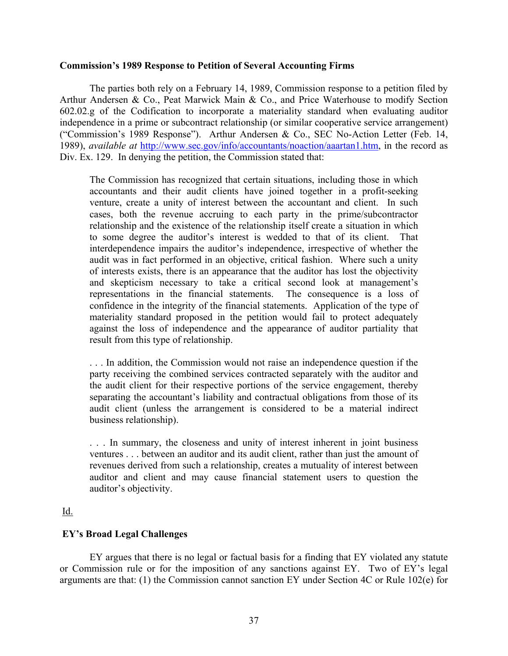## **Commission's 1989 Response to Petition of Several Accounting Firms**

The parties both rely on a February 14, 1989, Commission response to a petition filed by Arthur Andersen & Co., Peat Marwick Main & Co., and Price Waterhouse to modify Section 602.02.g of the Codification to incorporate a materiality standard when evaluating auditor independence in a prime or subcontract relationship (or similar cooperative service arrangement) ("Commission's 1989 Response"). Arthur Andersen & Co., SEC No-Action Letter (Feb. 14, 1989), *available at* http://www.sec.gov/info/accountants/noaction/aaartan1.htm, in the record as Div. Ex. 129. In denying the petition, the Commission stated that:

The Commission has recognized that certain situations, including those in which accountants and their audit clients have joined together in a profit-seeking venture, create a unity of interest between the accountant and client. In such cases, both the revenue accruing to each party in the prime/subcontractor relationship and the existence of the relationship itself create a situation in which to some degree the auditor's interest is wedded to that of its client. That interdependence impairs the auditor's independence, irrespective of whether the audit was in fact performed in an objective, critical fashion. Where such a unity of interests exists, there is an appearance that the auditor has lost the objectivity and skepticism necessary to take a critical second look at management's representations in the financial statements. The consequence is a loss of confidence in the integrity of the financial statements. Application of the type of materiality standard proposed in the petition would fail to protect adequately against the loss of independence and the appearance of auditor partiality that result from this type of relationship.

. . . In addition, the Commission would not raise an independence question if the party receiving the combined services contracted separately with the auditor and the audit client for their respective portions of the service engagement, thereby separating the accountant's liability and contractual obligations from those of its audit client (unless the arrangement is considered to be a material indirect business relationship).

. . . In summary, the closeness and unity of interest inherent in joint business ventures . . . between an auditor and its audit client, rather than just the amount of revenues derived from such a relationship, creates a mutuality of interest between auditor and client and may cause financial statement users to question the auditor's objectivity.

# Id.

# **EY's Broad Legal Challenges**

EY argues that there is no legal or factual basis for a finding that EY violated any statute or Commission rule or for the imposition of any sanctions against EY. Two of EY's legal arguments are that: (1) the Commission cannot sanction EY under Section 4C or Rule 102(e) for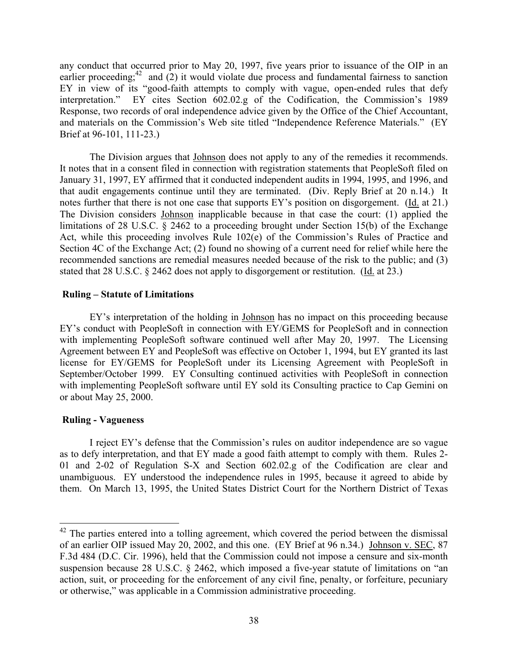any conduct that occurred prior to May 20, 1997, five years prior to issuance of the OIP in an earlier proceeding;<sup>42</sup> and  $(2)$  it would violate due process and fundamental fairness to sanction EY in view of its "good-faith attempts to comply with vague, open-ended rules that defy interpretation." EY cites Section 602.02.g of the Codification, the Commission's 1989 Response, two records of oral independence advice given by the Office of the Chief Accountant, and materials on the Commission's Web site titled "Independence Reference Materials." (EY Brief at 96-101, 111-23.)

The Division argues that Johnson does not apply to any of the remedies it recommends. It notes that in a consent filed in connection with registration statements that PeopleSoft filed on January 31, 1997, EY affirmed that it conducted independent audits in 1994, 1995, and 1996, and that audit engagements continue until they are terminated. (Div. Reply Brief at 20 n.14.) It notes further that there is not one case that supports EY's position on disgorgement. (Id. at 21.) The Division considers Johnson inapplicable because in that case the court: (1) applied the limitations of 28 U.S.C. § 2462 to a proceeding brought under Section 15(b) of the Exchange Act, while this proceeding involves Rule 102(e) of the Commission's Rules of Practice and Section 4C of the Exchange Act; (2) found no showing of a current need for relief while here the recommended sanctions are remedial measures needed because of the risk to the public; and (3) stated that 28 U.S.C. § 2462 does not apply to disgorgement or restitution. (Id. at 23.)

# **Ruling – Statute of Limitations**

EY's interpretation of the holding in Johnson has no impact on this proceeding because EY's conduct with PeopleSoft in connection with EY/GEMS for PeopleSoft and in connection with implementing PeopleSoft software continued well after May 20, 1997. The Licensing Agreement between EY and PeopleSoft was effective on October 1, 1994, but EY granted its last license for EY/GEMS for PeopleSoft under its Licensing Agreement with PeopleSoft in September/October 1999. EY Consulting continued activities with PeopleSoft in connection with implementing PeopleSoft software until EY sold its Consulting practice to Cap Gemini on or about May 25, 2000.

# **Ruling - Vagueness**

 $\overline{a}$ 

I reject EY's defense that the Commission's rules on auditor independence are so vague as to defy interpretation, and that EY made a good faith attempt to comply with them. Rules 2- 01 and 2-02 of Regulation S-X and Section 602.02.g of the Codification are clear and unambiguous. EY understood the independence rules in 1995, because it agreed to abide by them. On March 13, 1995, the United States District Court for the Northern District of Texas

<span id="page-37-0"></span> $42$  The parties entered into a tolling agreement, which covered the period between the dismissal of an earlier OIP issued May 20, 2002, and this one. (EY Brief at 96 n.34.) Johnson v. SEC, 87 F.3d 484 (D.C. Cir. 1996), held that the Commission could not impose a censure and six-month suspension because 28 U.S.C. § 2462, which imposed a five-year statute of limitations on "an action, suit, or proceeding for the enforcement of any civil fine, penalty, or forfeiture, pecuniary or otherwise," was applicable in a Commission administrative proceeding.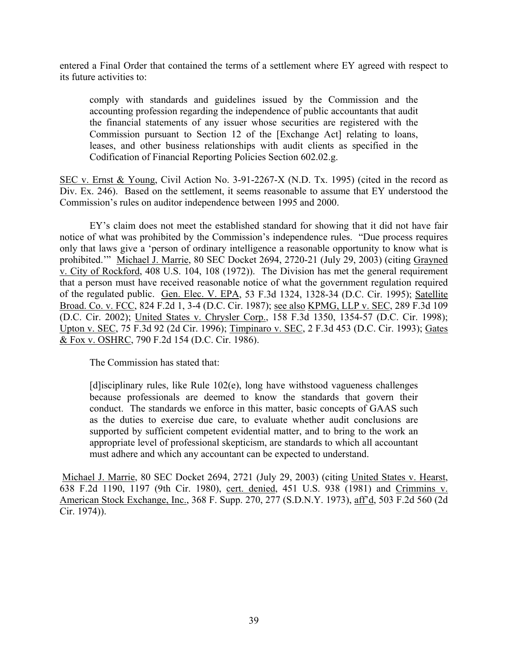entered a Final Order that contained the terms of a settlement where EY agreed with respect to its future activities to:

comply with standards and guidelines issued by the Commission and the accounting profession regarding the independence of public accountants that audit the financial statements of any issuer whose securities are registered with the Commission pursuant to Section 12 of the [Exchange Act] relating to loans, leases, and other business relationships with audit clients as specified in the Codification of Financial Reporting Policies Section 602.02.g.

SEC v. Ernst & Young, Civil Action No. 3-91-2267-X (N.D. Tx. 1995) (cited in the record as Div. Ex. 246). Based on the settlement, it seems reasonable to assume that EY understood the Commission's rules on auditor independence between 1995 and 2000.

EY's claim does not meet the established standard for showing that it did not have fair notice of what was prohibited by the Commission's independence rules. "Due process requires only that laws give a 'person of ordinary intelligence a reasonable opportunity to know what is prohibited.'" Michael J. Marrie, 80 SEC Docket 2694, 2720-21 (July 29, 2003) (citing Grayned v. City of Rockford, 408 U.S. 104, 108 (1972)). The Division has met the general requirement that a person must have received reasonable notice of what the government regulation required of the regulated public. Gen. Elec. V. EPA, 53 F.3d 1324, 1328-34 (D.C. Cir. 1995); Satellite Broad. Co. v. FCC, 824 F.2d 1, 3-4 (D.C. Cir. 1987); see also KPMG, LLP v. SEC, 289 F.3d 109 (D.C. Cir. 2002); United States v. Chrysler Corp., 158 F.3d 1350, 1354-57 (D.C. Cir. 1998); Upton v. SEC, 75 F.3d 92 (2d Cir. 1996); Timpinaro v. SEC, 2 F.3d 453 (D.C. Cir. 1993); Gates & Fox v. OSHRC, 790 F.2d 154 (D.C. Cir. 1986).

The Commission has stated that:

[d]isciplinary rules, like Rule 102(e), long have withstood vagueness challenges because professionals are deemed to know the standards that govern their conduct. The standards we enforce in this matter, basic concepts of GAAS such as the duties to exercise due care, to evaluate whether audit conclusions are supported by sufficient competent evidential matter, and to bring to the work an appropriate level of professional skepticism, are standards to which all accountant must adhere and which any accountant can be expected to understand.

Michael J. Marrie, 80 SEC Docket 2694, 2721 (July 29, 2003) (citing United States v. Hearst, 638 F.2d 1190, 1197 (9th Cir. 1980), cert. denied, 451 U.S. 938 (1981) and Crimmins v. American Stock Exchange, Inc., 368 F. Supp. 270, 277 (S.D.N.Y. 1973), aff'd, 503 F.2d 560 (2d Cir. 1974)).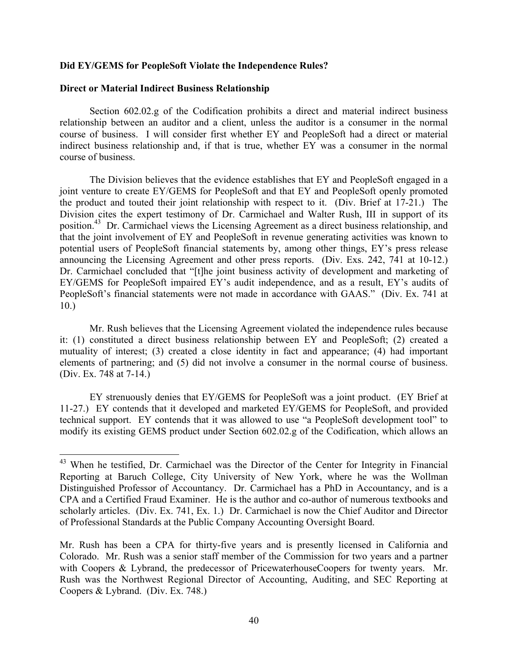## **Did EY/GEMS for PeopleSoft Violate the Independence Rules?**

# **Direct or Material Indirect Business Relationship**

1

Section 602.02.g of the Codification prohibits a direct and material indirect business relationship between an auditor and a client, unless the auditor is a consumer in the normal course of business. I will consider first whether EY and PeopleSoft had a direct or material indirect business relationship and, if that is true, whether EY was a consumer in the normal course of business.

The Division believes that the evidence establishes that EY and PeopleSoft engaged in a joint venture to create EY/GEMS for PeopleSoft and that EY and PeopleSoft openly promoted the product and touted their joint relationship with respect to it. (Div. Brief at 17-21.) The Division cites the expert testimony of Dr. Carmichael and Walter Rush, III in support of its position.[43](#page-39-0) Dr. Carmichael views the Licensing Agreement as a direct business relationship, and that the joint involvement of EY and PeopleSoft in revenue generating activities was known to potential users of PeopleSoft financial statements by, among other things, EY's press release announcing the Licensing Agreement and other press reports. (Div. Exs. 242, 741 at 10-12.) Dr. Carmichael concluded that "[t]he joint business activity of development and marketing of EY/GEMS for PeopleSoft impaired EY's audit independence, and as a result, EY's audits of PeopleSoft's financial statements were not made in accordance with GAAS." (Div. Ex. 741 at 10.)

Mr. Rush believes that the Licensing Agreement violated the independence rules because it: (1) constituted a direct business relationship between EY and PeopleSoft; (2) created a mutuality of interest; (3) created a close identity in fact and appearance; (4) had important elements of partnering; and (5) did not involve a consumer in the normal course of business. (Div. Ex. 748 at 7-14.)

EY strenuously denies that EY/GEMS for PeopleSoft was a joint product. (EY Brief at 11-27.) EY contends that it developed and marketed EY/GEMS for PeopleSoft, and provided technical support. EY contends that it was allowed to use "a PeopleSoft development tool" to modify its existing GEMS product under Section 602.02.g of the Codification, which allows an

<span id="page-39-0"></span><sup>&</sup>lt;sup>43</sup> When he testified, Dr. Carmichael was the Director of the Center for Integrity in Financial Reporting at Baruch College, City University of New York, where he was the Wollman Distinguished Professor of Accountancy. Dr. Carmichael has a PhD in Accountancy, and is a CPA and a Certified Fraud Examiner. He is the author and co-author of numerous textbooks and scholarly articles. (Div. Ex. 741, Ex. 1.) Dr. Carmichael is now the Chief Auditor and Director of Professional Standards at the Public Company Accounting Oversight Board.

Mr. Rush has been a CPA for thirty-five years and is presently licensed in California and Colorado. Mr. Rush was a senior staff member of the Commission for two years and a partner with Coopers & Lybrand, the predecessor of PricewaterhouseCoopers for twenty years. Mr. Rush was the Northwest Regional Director of Accounting, Auditing, and SEC Reporting at Coopers & Lybrand. (Div. Ex. 748.)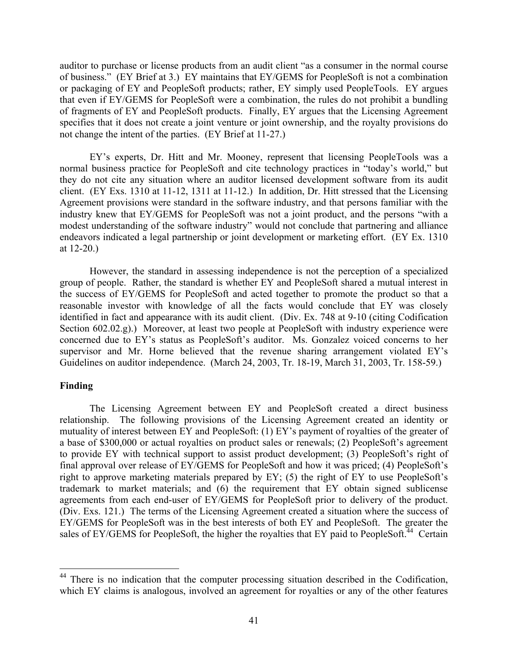<span id="page-40-0"></span>auditor to purchase or license products from an audit client "as a consumer in the normal course of business." (EY Brief at 3.) EY maintains that EY/GEMS for PeopleSoft is not a combination or packaging of EY and PeopleSoft products; rather, EY simply used PeopleTools. EY argues that even if EY/GEMS for PeopleSoft were a combination, the rules do not prohibit a bundling of fragments of EY and PeopleSoft products. Finally, EY argues that the Licensing Agreement specifies that it does not create a joint venture or joint ownership, and the royalty provisions do not change the intent of the parties. (EY Brief at 11-27.)

EY's experts, Dr. Hitt and Mr. Mooney, represent that licensing PeopleTools was a normal business practice for PeopleSoft and cite technology practices in "today's world," but they do not cite any situation where an auditor licensed development software from its audit client. (EY Exs. 1310 at 11-12, 1311 at 11-12.) In addition, Dr. Hitt stressed that the Licensing Agreement provisions were standard in the software industry, and that persons familiar with the industry knew that EY/GEMS for PeopleSoft was not a joint product, and the persons "with a modest understanding of the software industry" would not conclude that partnering and alliance endeavors indicated a legal partnership or joint development or marketing effort. (EY Ex. 1310 at 12-20.)

However, the standard in assessing independence is not the perception of a specialized group of people. Rather, the standard is whether EY and PeopleSoft shared a mutual interest in the success of EY/GEMS for PeopleSoft and acted together to promote the product so that a reasonable investor with knowledge of all the facts would conclude that EY was closely identified in fact and appearance with its audit client. (Div. Ex. 748 at 9-10 (citing Codification Section 602.02.g).) Moreover, at least two people at PeopleSoft with industry experience were concerned due to EY's status as PeopleSoft's auditor. Ms. Gonzalez voiced concerns to her supervisor and Mr. Horne believed that the revenue sharing arrangement violated EY's Guidelines on auditor independence. (March 24, 2003, Tr. 18-19, March 31, 2003, Tr. 158-59.)

## **Finding**

 $\overline{a}$ 

The Licensing Agreement between EY and PeopleSoft created a direct business relationship. The following provisions of the Licensing Agreement created an identity or mutuality of interest between EY and PeopleSoft: (1) EY's payment of royalties of the greater of a base of \$300,000 or actual royalties on product sales or renewals; (2) PeopleSoft's agreement to provide EY with technical support to assist product development; (3) PeopleSoft's right of final approval over release of EY/GEMS for PeopleSoft and how it was priced; (4) PeopleSoft's right to approve marketing materials prepared by EY; (5) the right of EY to use PeopleSoft's trademark to market materials; and (6) the requirement that EY obtain signed sublicense agreements from each end-user of EY/GEMS for PeopleSoft prior to delivery of the product. (Div. Exs. 121.) The terms of the Licensing Agreement created a situation where the success of EY/GEMS for PeopleSoft was in the best interests of both EY and PeopleSoft. The greater the sales of  $EY/GEMS$  for PeopleSoft, the higher the royalties that  $EY$  paid to PeopleSoft.<sup> $44$ </sup> Certain

<sup>&</sup>lt;sup>44</sup> There is no indication that the computer processing situation described in the Codification, which EY claims is analogous, involved an agreement for royalties or any of the other features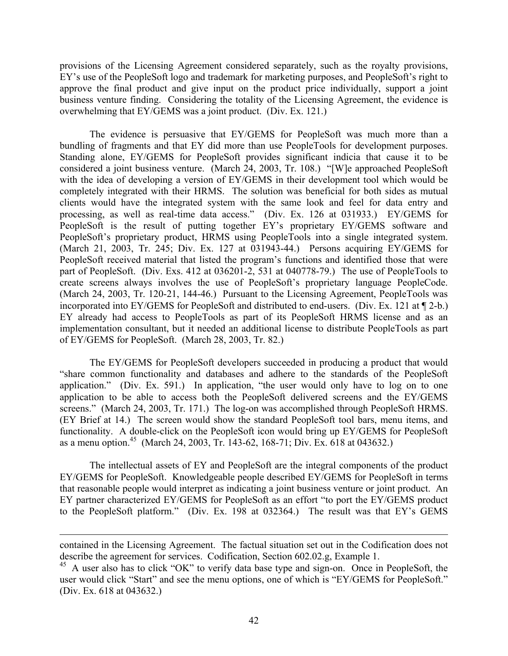provisions of the Licensing Agreement considered separately, such as the royalty provisions, EY's use of the PeopleSoft logo and trademark for marketing purposes, and PeopleSoft's right to approve the final product and give input on the product price individually, support a joint business venture finding. Considering the totality of the Licensing Agreement, the evidence is overwhelming that EY/GEMS was a joint product. (Div. Ex. 121.)

The evidence is persuasive that EY/GEMS for PeopleSoft was much more than a bundling of fragments and that EY did more than use PeopleTools for development purposes. Standing alone, EY/GEMS for PeopleSoft provides significant indicia that cause it to be considered a joint business venture. (March 24, 2003, Tr. 108.) "[W]e approached PeopleSoft with the idea of developing a version of EY/GEMS in their development tool which would be completely integrated with their HRMS. The solution was beneficial for both sides as mutual clients would have the integrated system with the same look and feel for data entry and processing, as well as real-time data access." (Div. Ex. 126 at 031933.) EY/GEMS for PeopleSoft is the result of putting together EY's proprietary EY/GEMS software and PeopleSoft's proprietary product, HRMS using PeopleTools into a single integrated system. (March 21, 2003, Tr. 245; Div. Ex. 127 at 031943-44.) Persons acquiring EY/GEMS for PeopleSoft received material that listed the program's functions and identified those that were part of PeopleSoft. (Div. Exs. 412 at 036201-2, 531 at 040778-79.) The use of PeopleTools to create screens always involves the use of PeopleSoft's proprietary language PeopleCode. (March 24, 2003, Tr. 120-21, 144-46.) Pursuant to the Licensing Agreement, PeopleTools was incorporated into EY/GEMS for PeopleSoft and distributed to end-users. (Div. Ex. 121 at ¶ 2-b.) EY already had access to PeopleTools as part of its PeopleSoft HRMS license and as an implementation consultant, but it needed an additional license to distribute PeopleTools as part of EY/GEMS for PeopleSoft. (March 28, 2003, Tr. 82.)

The EY/GEMS for PeopleSoft developers succeeded in producing a product that would "share common functionality and databases and adhere to the standards of the PeopleSoft application." (Div. Ex. 591.) In application, "the user would only have to log on to one application to be able to access both the PeopleSoft delivered screens and the EY/GEMS screens." (March 24, 2003, Tr. 171.) The log-on was accomplished through PeopleSoft HRMS. (EY Brief at 14.) The screen would show the standard PeopleSoft tool bars, menu items, and functionality. A double-click on the PeopleSoft icon would bring up EY/GEMS for PeopleSoft as a menu option.[45](#page-41-0) (March 24, 2003, Tr. 143-62, 168-71; Div. Ex. 618 at 043632.)

The intellectual assets of EY and PeopleSoft are the integral components of the product EY/GEMS for PeopleSoft. Knowledgeable people described EY/GEMS for PeopleSoft in terms that reasonable people would interpret as indicating a joint business venture or joint product. An EY partner characterized EY/GEMS for PeopleSoft as an effort "to port the EY/GEMS product to the PeopleSoft platform." (Div. Ex. 198 at 032364.) The result was that EY's GEMS

1

contained in the Licensing Agreement. The factual situation set out in the Codification does not describe the agreement for services. Codification, Section 602.02.g, Example 1.

<span id="page-41-0"></span><sup>&</sup>lt;sup>45</sup> A user also has to click "OK" to verify data base type and sign-on. Once in PeopleSoft, the user would click "Start" and see the menu options, one of which is "EY/GEMS for PeopleSoft." (Div. Ex. 618 at 043632.)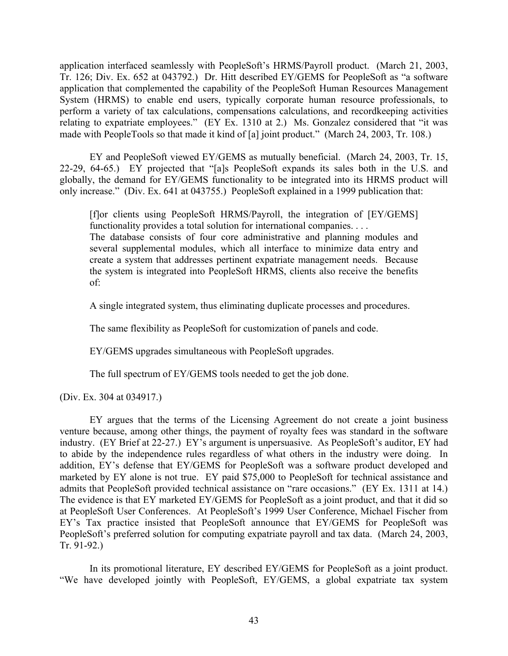application interfaced seamlessly with PeopleSoft's HRMS/Payroll product. (March 21, 2003, Tr. 126; Div. Ex. 652 at 043792.) Dr. Hitt described EY/GEMS for PeopleSoft as "a software application that complemented the capability of the PeopleSoft Human Resources Management System (HRMS) to enable end users, typically corporate human resource professionals, to perform a variety of tax calculations, compensations calculations, and recordkeeping activities relating to expatriate employees." (EY Ex. 1310 at 2.) Ms. Gonzalez considered that "it was made with PeopleTools so that made it kind of [a] joint product." (March 24, 2003, Tr. 108.)

EY and PeopleSoft viewed EY/GEMS as mutually beneficial. (March 24, 2003, Tr. 15, 22-29, 64-65.) EY projected that "[a]s PeopleSoft expands its sales both in the U.S. and globally, the demand for EY/GEMS functionality to be integrated into its HRMS product will only increase." (Div. Ex. 641 at 043755.) PeopleSoft explained in a 1999 publication that:

[f]or clients using PeopleSoft HRMS/Payroll, the integration of [EY/GEMS] functionality provides a total solution for international companies. . . .

The database consists of four core administrative and planning modules and several supplemental modules, which all interface to minimize data entry and create a system that addresses pertinent expatriate management needs. Because the system is integrated into PeopleSoft HRMS, clients also receive the benefits of:

A single integrated system, thus eliminating duplicate processes and procedures.

The same flexibility as PeopleSoft for customization of panels and code.

EY/GEMS upgrades simultaneous with PeopleSoft upgrades.

The full spectrum of EY/GEMS tools needed to get the job done.

(Div. Ex. 304 at 034917.)

EY argues that the terms of the Licensing Agreement do not create a joint business venture because, among other things, the payment of royalty fees was standard in the software industry. (EY Brief at 22-27.) EY's argument is unpersuasive. As PeopleSoft's auditor, EY had to abide by the independence rules regardless of what others in the industry were doing. In addition, EY's defense that EY/GEMS for PeopleSoft was a software product developed and marketed by EY alone is not true. EY paid \$75,000 to PeopleSoft for technical assistance and admits that PeopleSoft provided technical assistance on "rare occasions." (EY Ex. 1311 at 14.) The evidence is that EY marketed EY/GEMS for PeopleSoft as a joint product, and that it did so at PeopleSoft User Conferences. At PeopleSoft's 1999 User Conference, Michael Fischer from EY's Tax practice insisted that PeopleSoft announce that EY/GEMS for PeopleSoft was PeopleSoft's preferred solution for computing expatriate payroll and tax data. (March 24, 2003, Tr. 91-92.)

In its promotional literature, EY described EY/GEMS for PeopleSoft as a joint product. "We have developed jointly with PeopleSoft, EY/GEMS, a global expatriate tax system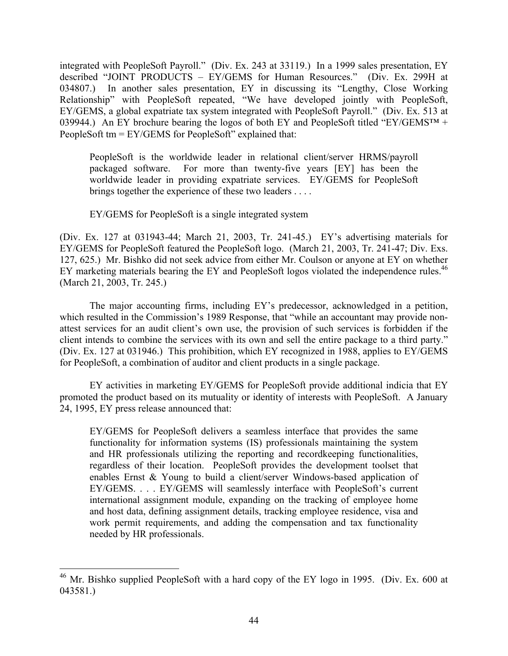integrated with PeopleSoft Payroll." (Div. Ex. 243 at 33119.) In a 1999 sales presentation, EY described "JOINT PRODUCTS – EY/GEMS for Human Resources." (Div. Ex. 299H at 034807.) In another sales presentation, EY in discussing its "Lengthy, Close Working Relationship" with PeopleSoft repeated, "We have developed jointly with PeopleSoft, EY/GEMS, a global expatriate tax system integrated with PeopleSoft Payroll." (Div. Ex. 513 at 039944.) An EY brochure bearing the logos of both EY and PeopleSoft titled "EY/GEMS<sup>TM</sup> + PeopleSoft tm = EY/GEMS for PeopleSoft" explained that:

PeopleSoft is the worldwide leader in relational client/server HRMS/payroll packaged software. For more than twenty-five years [EY] has been the worldwide leader in providing expatriate services. EY/GEMS for PeopleSoft brings together the experience of these two leaders . . . .

EY/GEMS for PeopleSoft is a single integrated system

(Div. Ex. 127 at 031943-44; March 21, 2003, Tr. 241-45.) EY's advertising materials for EY/GEMS for PeopleSoft featured the PeopleSoft logo. (March 21, 2003, Tr. 241-47; Div. Exs. 127, 625.) Mr. Bishko did not seek advice from either Mr. Coulson or anyone at EY on whether EY marketing materials bearing the EY and PeopleSoft logos violated the independence rules.<sup>46</sup> (March 21, 2003, Tr. 245.)

The major accounting firms, including EY's predecessor, acknowledged in a petition, which resulted in the Commission's 1989 Response, that "while an accountant may provide nonattest services for an audit client's own use, the provision of such services is forbidden if the client intends to combine the services with its own and sell the entire package to a third party." (Div. Ex. 127 at 031946.) This prohibition, which EY recognized in 1988, applies to EY/GEMS for PeopleSoft, a combination of auditor and client products in a single package.

EY activities in marketing EY/GEMS for PeopleSoft provide additional indicia that EY promoted the product based on its mutuality or identity of interests with PeopleSoft. A January 24, 1995, EY press release announced that:

EY/GEMS for PeopleSoft delivers a seamless interface that provides the same functionality for information systems (IS) professionals maintaining the system and HR professionals utilizing the reporting and recordkeeping functionalities, regardless of their location. PeopleSoft provides the development toolset that enables Ernst & Young to build a client/server Windows-based application of EY/GEMS. . . . EY/GEMS will seamlessly interface with PeopleSoft's current international assignment module, expanding on the tracking of employee home and host data, defining assignment details, tracking employee residence, visa and work permit requirements, and adding the compensation and tax functionality needed by HR professionals.

<span id="page-43-0"></span> $46$  Mr. Bishko supplied PeopleSoft with a hard copy of the EY logo in 1995. (Div. Ex. 600 at 043581.)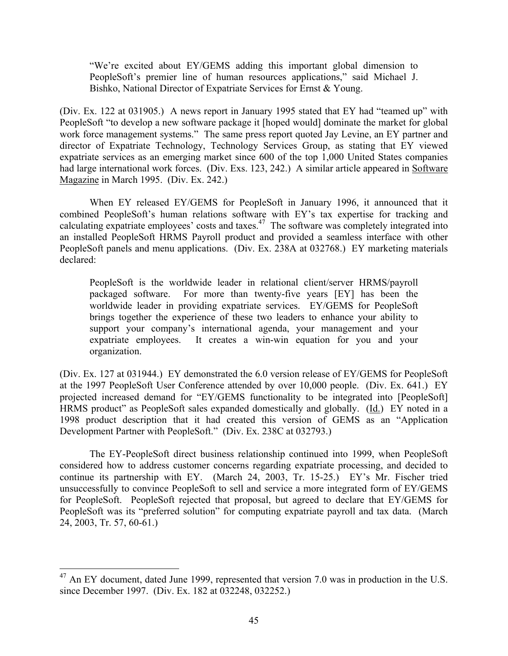"We're excited about EY/GEMS adding this important global dimension to PeopleSoft's premier line of human resources applications," said Michael J. Bishko, National Director of Expatriate Services for Ernst & Young.

(Div. Ex. 122 at 031905.) A news report in January 1995 stated that EY had "teamed up" with PeopleSoft "to develop a new software package it [hoped would] dominate the market for global work force management systems." The same press report quoted Jay Levine, an EY partner and director of Expatriate Technology, Technology Services Group, as stating that EY viewed expatriate services as an emerging market since 600 of the top 1,000 United States companies had large international work forces. (Div. Exs. 123, 242.) A similar article appeared in Software Magazine in March 1995. (Div. Ex. 242.)

When EY released EY/GEMS for PeopleSoft in January 1996, it announced that it combined PeopleSoft's human relations software with EY's tax expertise for tracking and calculating expatriate employees' costs and taxes.<sup>47</sup> The software was completely integrated into an installed PeopleSoft HRMS Payroll product and provided a seamless interface with other PeopleSoft panels and menu applications. (Div. Ex. 238A at 032768.) EY marketing materials declared:

PeopleSoft is the worldwide leader in relational client/server HRMS/payroll packaged software. For more than twenty-five years [EY] has been the worldwide leader in providing expatriate services. EY/GEMS for PeopleSoft brings together the experience of these two leaders to enhance your ability to support your company's international agenda, your management and your expatriate employees. It creates a win-win equation for you and your organization.

(Div. Ex. 127 at 031944.) EY demonstrated the 6.0 version release of EY/GEMS for PeopleSoft at the 1997 PeopleSoft User Conference attended by over 10,000 people. (Div. Ex. 641.) EY projected increased demand for "EY/GEMS functionality to be integrated into [PeopleSoft] HRMS product" as PeopleSoft sales expanded domestically and globally. (Id.) EY noted in a 1998 product description that it had created this version of GEMS as an "Application Development Partner with PeopleSoft." (Div. Ex. 238C at 032793.)

The EY-PeopleSoft direct business relationship continued into 1999, when PeopleSoft considered how to address customer concerns regarding expatriate processing, and decided to continue its partnership with EY. (March 24, 2003, Tr. 15-25.) EY's Mr. Fischer tried unsuccessfully to convince PeopleSoft to sell and service a more integrated form of EY/GEMS for PeopleSoft. PeopleSoft rejected that proposal, but agreed to declare that EY/GEMS for PeopleSoft was its "preferred solution" for computing expatriate payroll and tax data. (March 24, 2003, Tr. 57, 60-61.)

<span id="page-44-0"></span> $^{47}$  An EY document, dated June 1999, represented that version 7.0 was in production in the U.S. since December 1997. (Div. Ex. 182 at 032248, 032252.)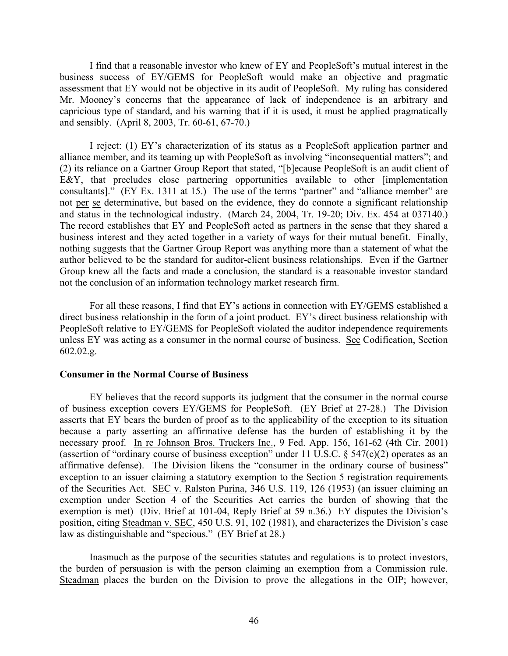I find that a reasonable investor who knew of EY and PeopleSoft's mutual interest in the business success of EY/GEMS for PeopleSoft would make an objective and pragmatic assessment that EY would not be objective in its audit of PeopleSoft. My ruling has considered Mr. Mooney's concerns that the appearance of lack of independence is an arbitrary and capricious type of standard, and his warning that if it is used, it must be applied pragmatically and sensibly. (April 8, 2003, Tr. 60-61, 67-70.)

I reject: (1) EY's characterization of its status as a PeopleSoft application partner and alliance member, and its teaming up with PeopleSoft as involving "inconsequential matters"; and (2) its reliance on a Gartner Group Report that stated, "[b]ecause PeopleSoft is an audit client of E&Y, that precludes close partnering opportunities available to other [implementation consultants]." (EY Ex. 1311 at 15.) The use of the terms "partner" and "alliance member" are not per se determinative, but based on the evidence, they do connote a significant relationship and status in the technological industry. (March 24, 2004, Tr. 19-20; Div. Ex. 454 at 037140.) The record establishes that EY and PeopleSoft acted as partners in the sense that they shared a business interest and they acted together in a variety of ways for their mutual benefit. Finally, nothing suggests that the Gartner Group Report was anything more than a statement of what the author believed to be the standard for auditor-client business relationships. Even if the Gartner Group knew all the facts and made a conclusion, the standard is a reasonable investor standard not the conclusion of an information technology market research firm.

For all these reasons, I find that EY's actions in connection with EY/GEMS established a direct business relationship in the form of a joint product. EY's direct business relationship with PeopleSoft relative to EY/GEMS for PeopleSoft violated the auditor independence requirements unless EY was acting as a consumer in the normal course of business. See Codification, Section 602.02.g.

### **Consumer in the Normal Course of Business**

EY believes that the record supports its judgment that the consumer in the normal course of business exception covers EY/GEMS for PeopleSoft. (EY Brief at 27-28.) The Division asserts that EY bears the burden of proof as to the applicability of the exception to its situation because a party asserting an affirmative defense has the burden of establishing it by the necessary proof. In re Johnson Bros. Truckers Inc., 9 Fed. App. 156, 161-62 (4th Cir. 2001) (assertion of "ordinary course of business exception" under 11 U.S.C.  $\S$  547(c)(2) operates as an affirmative defense). The Division likens the "consumer in the ordinary course of business" exception to an issuer claiming a statutory exemption to the Section 5 registration requirements of the Securities Act. SEC v. Ralston Purina, 346 U.S. 119, 126 (1953) (an issuer claiming an exemption under Section 4 of the Securities Act carries the burden of showing that the exemption is met) (Div. Brief at 101-04, Reply Brief at 59 n.36.) EY disputes the Division's position, citing Steadman v. SEC, 450 U.S. 91, 102 (1981), and characterizes the Division's case law as distinguishable and "specious." (EY Brief at 28.)

Inasmuch as the purpose of the securities statutes and regulations is to protect investors, the burden of persuasion is with the person claiming an exemption from a Commission rule. Steadman places the burden on the Division to prove the allegations in the OIP; however,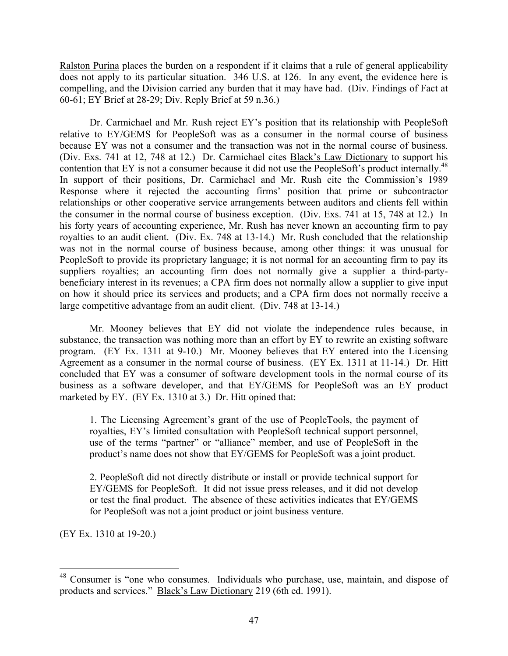Ralston Purina places the burden on a respondent if it claims that a rule of general applicability does not apply to its particular situation. 346 U.S. at 126. In any event, the evidence here is compelling, and the Division carried any burden that it may have had. (Div. Findings of Fact at 60-61; EY Brief at 28-29; Div. Reply Brief at 59 n.36.)

Dr. Carmichael and Mr. Rush reject EY's position that its relationship with PeopleSoft relative to EY/GEMS for PeopleSoft was as a consumer in the normal course of business because EY was not a consumer and the transaction was not in the normal course of business. (Div. Exs. 741 at 12, 748 at 12.) Dr. Carmichael cites Black's Law Dictionary to support his contention that EY is not a consumer because it did not use the PeopleSoft's product internally.<sup>48</sup> In support of their positions, Dr. Carmichael and Mr. Rush cite the Commission's 1989 Response where it rejected the accounting firms' position that prime or subcontractor relationships or other cooperative service arrangements between auditors and clients fell within the consumer in the normal course of business exception. (Div. Exs. 741 at 15, 748 at 12.) In his forty years of accounting experience, Mr. Rush has never known an accounting firm to pay royalties to an audit client. (Div. Ex. 748 at 13-14.) Mr. Rush concluded that the relationship was not in the normal course of business because, among other things: it was unusual for PeopleSoft to provide its proprietary language; it is not normal for an accounting firm to pay its suppliers royalties; an accounting firm does not normally give a supplier a third-partybeneficiary interest in its revenues; a CPA firm does not normally allow a supplier to give input on how it should price its services and products; and a CPA firm does not normally receive a large competitive advantage from an audit client. (Div. 748 at 13-14.)

Mr. Mooney believes that EY did not violate the independence rules because, in substance, the transaction was nothing more than an effort by EY to rewrite an existing software program. (EY Ex. 1311 at 9-10.) Mr. Mooney believes that EY entered into the Licensing Agreement as a consumer in the normal course of business. (EY Ex. 1311 at 11-14.) Dr. Hitt concluded that EY was a consumer of software development tools in the normal course of its business as a software developer, and that EY/GEMS for PeopleSoft was an EY product marketed by EY. (EY Ex. 1310 at 3.) Dr. Hitt opined that:

1. The Licensing Agreement's grant of the use of PeopleTools, the payment of royalties, EY's limited consultation with PeopleSoft technical support personnel, use of the terms "partner" or "alliance" member, and use of PeopleSoft in the product's name does not show that EY/GEMS for PeopleSoft was a joint product.

2. PeopleSoft did not directly distribute or install or provide technical support for EY/GEMS for PeopleSoft. It did not issue press releases, and it did not develop or test the final product. The absence of these activities indicates that EY/GEMS for PeopleSoft was not a joint product or joint business venture.

(EY Ex. 1310 at 19-20.)

<span id="page-46-0"></span><sup>&</sup>lt;sup>48</sup> Consumer is "one who consumes. Individuals who purchase, use, maintain, and dispose of products and services." Black's Law Dictionary 219 (6th ed. 1991).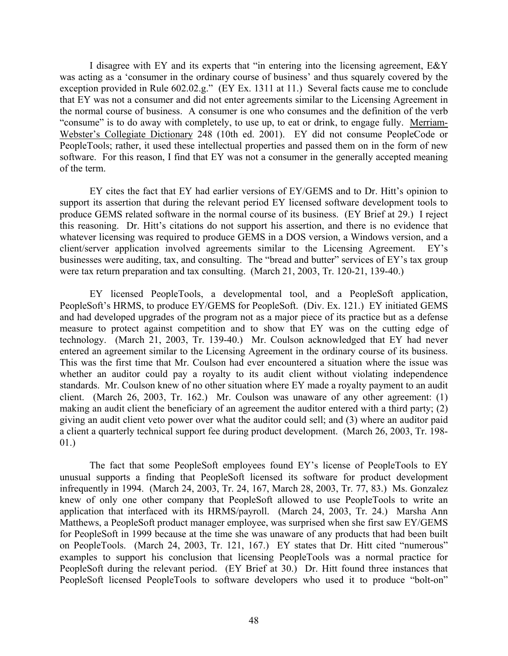I disagree with EY and its experts that "in entering into the licensing agreement, E&Y was acting as a 'consumer in the ordinary course of business' and thus squarely covered by the exception provided in Rule 602.02.g." (EY Ex. 1311 at 11.) Several facts cause me to conclude that EY was not a consumer and did not enter agreements similar to the Licensing Agreement in the normal course of business. A consumer is one who consumes and the definition of the verb "consume" is to do away with completely, to use up, to eat or drink, to engage fully. Merriam-Webster's Collegiate Dictionary 248 (10th ed. 2001). EY did not consume PeopleCode or PeopleTools; rather, it used these intellectual properties and passed them on in the form of new software. For this reason, I find that EY was not a consumer in the generally accepted meaning of the term.

EY cites the fact that EY had earlier versions of EY/GEMS and to Dr. Hitt's opinion to support its assertion that during the relevant period EY licensed software development tools to produce GEMS related software in the normal course of its business. (EY Brief at 29.) I reject this reasoning. Dr. Hitt's citations do not support his assertion, and there is no evidence that whatever licensing was required to produce GEMS in a DOS version, a Windows version, and a client/server application involved agreements similar to the Licensing Agreement. EY's businesses were auditing, tax, and consulting. The "bread and butter" services of EY's tax group were tax return preparation and tax consulting. (March 21, 2003, Tr. 120-21, 139-40.)

EY licensed PeopleTools, a developmental tool, and a PeopleSoft application, PeopleSoft's HRMS, to produce EY/GEMS for PeopleSoft. (Div. Ex. 121.) EY initiated GEMS and had developed upgrades of the program not as a major piece of its practice but as a defense measure to protect against competition and to show that EY was on the cutting edge of technology. (March 21, 2003, Tr. 139-40.) Mr. Coulson acknowledged that EY had never entered an agreement similar to the Licensing Agreement in the ordinary course of its business. This was the first time that Mr. Coulson had ever encountered a situation where the issue was whether an auditor could pay a royalty to its audit client without violating independence standards. Mr. Coulson knew of no other situation where EY made a royalty payment to an audit client. (March 26, 2003, Tr. 162.) Mr. Coulson was unaware of any other agreement: (1) making an audit client the beneficiary of an agreement the auditor entered with a third party; (2) giving an audit client veto power over what the auditor could sell; and (3) where an auditor paid a client a quarterly technical support fee during product development. (March 26, 2003, Tr. 198- 01.)

The fact that some PeopleSoft employees found EY's license of PeopleTools to EY unusual supports a finding that PeopleSoft licensed its software for product development infrequently in 1994. (March 24, 2003, Tr. 24, 167, March 28, 2003, Tr. 77, 83.) Ms. Gonzalez knew of only one other company that PeopleSoft allowed to use PeopleTools to write an application that interfaced with its HRMS/payroll. (March 24, 2003, Tr. 24.) Marsha Ann Matthews, a PeopleSoft product manager employee, was surprised when she first saw EY/GEMS for PeopleSoft in 1999 because at the time she was unaware of any products that had been built on PeopleTools. (March 24, 2003, Tr. 121, 167.) EY states that Dr. Hitt cited "numerous" examples to support his conclusion that licensing PeopleTools was a normal practice for PeopleSoft during the relevant period. (EY Brief at 30.) Dr. Hitt found three instances that PeopleSoft licensed PeopleTools to software developers who used it to produce "bolt-on"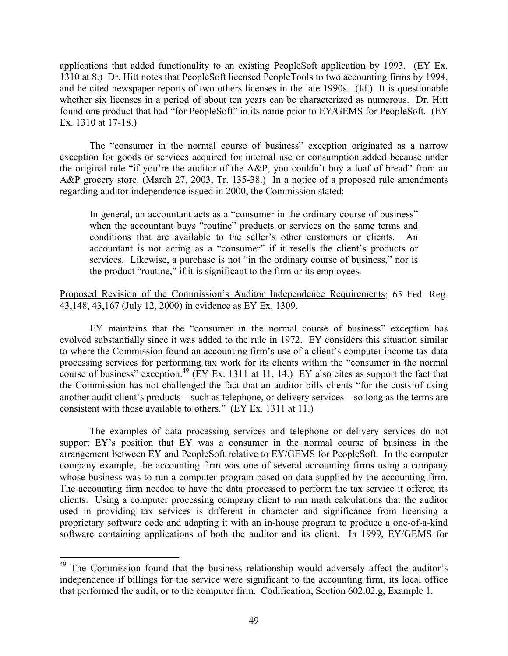applications that added functionality to an existing PeopleSoft application by 1993. (EY Ex. 1310 at 8.) Dr. Hitt notes that PeopleSoft licensed PeopleTools to two accounting firms by 1994, and he cited newspaper reports of two others licenses in the late 1990s. (Id.) It is questionable whether six licenses in a period of about ten years can be characterized as numerous. Dr. Hitt found one product that had "for PeopleSoft" in its name prior to EY/GEMS for PeopleSoft. (EY Ex. 1310 at 17-18.)

The "consumer in the normal course of business" exception originated as a narrow exception for goods or services acquired for internal use or consumption added because under the original rule "if you're the auditor of the A&P, you couldn't buy a loaf of bread" from an A&P grocery store. (March 27, 2003, Tr. 135-38.) In a notice of a proposed rule amendments regarding auditor independence issued in 2000, the Commission stated:

In general, an accountant acts as a "consumer in the ordinary course of business" when the accountant buys "routine" products or services on the same terms and conditions that are available to the seller's other customers or clients. An accountant is not acting as a "consumer" if it resells the client's products or services. Likewise, a purchase is not "in the ordinary course of business," nor is the product "routine," if it is significant to the firm or its employees.

Proposed Revision of the Commission's Auditor Independence Requirements; 65 Fed. Reg. 43,148, 43,167 (July 12, 2000) in evidence as EY Ex. 1309.

EY maintains that the "consumer in the normal course of business" exception has evolved substantially since it was added to the rule in 1972. EY considers this situation similar to where the Commission found an accounting firm's use of a client's computer income tax data processing services for performing tax work for its clients within the "consumer in the normal course of business" exception.<sup>49</sup> (EY Ex. 1311 at 11, 14.) EY also cites as support the fact that the Commission has not challenged the fact that an auditor bills clients "for the costs of using another audit client's products – such as telephone, or delivery services – so long as the terms are consistent with those available to others." (EY Ex. 1311 at 11.)

The examples of data processing services and telephone or delivery services do not support EY's position that EY was a consumer in the normal course of business in the arrangement between EY and PeopleSoft relative to EY/GEMS for PeopleSoft. In the computer company example, the accounting firm was one of several accounting firms using a company whose business was to run a computer program based on data supplied by the accounting firm. The accounting firm needed to have the data processed to perform the tax service it offered its clients. Using a computer processing company client to run math calculations that the auditor used in providing tax services is different in character and significance from licensing a proprietary software code and adapting it with an in-house program to produce a one-of-a-kind software containing applications of both the auditor and its client. In 1999, EY/GEMS for

<span id="page-48-0"></span><sup>&</sup>lt;sup>49</sup> The Commission found that the business relationship would adversely affect the auditor's independence if billings for the service were significant to the accounting firm, its local office that performed the audit, or to the computer firm. Codification, Section 602.02.g, Example 1.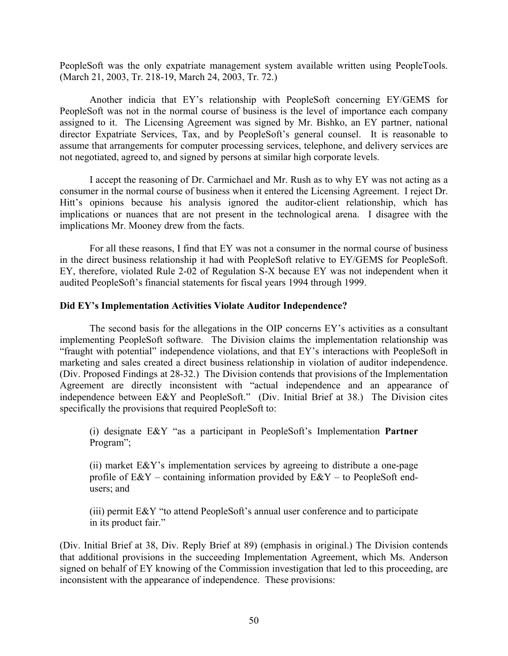PeopleSoft was the only expatriate management system available written using PeopleTools. (March 21, 2003, Tr. 218-19, March 24, 2003, Tr. 72.)

Another indicia that EY's relationship with PeopleSoft concerning EY/GEMS for PeopleSoft was not in the normal course of business is the level of importance each company assigned to it. The Licensing Agreement was signed by Mr. Bishko, an EY partner, national director Expatriate Services, Tax, and by PeopleSoft's general counsel. It is reasonable to assume that arrangements for computer processing services, telephone, and delivery services are not negotiated, agreed to, and signed by persons at similar high corporate levels.

I accept the reasoning of Dr. Carmichael and Mr. Rush as to why EY was not acting as a consumer in the normal course of business when it entered the Licensing Agreement. I reject Dr. Hitt's opinions because his analysis ignored the auditor-client relationship, which has implications or nuances that are not present in the technological arena. I disagree with the implications Mr. Mooney drew from the facts.

For all these reasons, I find that EY was not a consumer in the normal course of business in the direct business relationship it had with PeopleSoft relative to EY/GEMS for PeopleSoft. EY, therefore, violated Rule 2-02 of Regulation S-X because EY was not independent when it audited PeopleSoft's financial statements for fiscal years 1994 through 1999.

# **Did EY's Implementation Activities Violate Auditor Independence?**

The second basis for the allegations in the OIP concerns EY's activities as a consultant implementing PeopleSoft software. The Division claims the implementation relationship was "fraught with potential" independence violations, and that EY's interactions with PeopleSoft in marketing and sales created a direct business relationship in violation of auditor independence. (Div. Proposed Findings at 28-32.) The Division contends that provisions of the Implementation Agreement are directly inconsistent with "actual independence and an appearance of independence between E&Y and PeopleSoft." (Div. Initial Brief at 38.) The Division cites specifically the provisions that required PeopleSoft to:

(i) designate E&Y "as a participant in PeopleSoft's Implementation **Partner** Program";

(ii) market E&Y's implementation services by agreeing to distribute a one-page profile of  $E(X)$  – containing information provided by  $E(X)$  – to PeopleSoft endusers; and

(iii) permit E&Y "to attend PeopleSoft's annual user conference and to participate in its product fair."

(Div. Initial Brief at 38, Div. Reply Brief at 89) (emphasis in original.) The Division contends that additional provisions in the succeeding Implementation Agreement, which Ms. Anderson signed on behalf of EY knowing of the Commission investigation that led to this proceeding, are inconsistent with the appearance of independence. These provisions: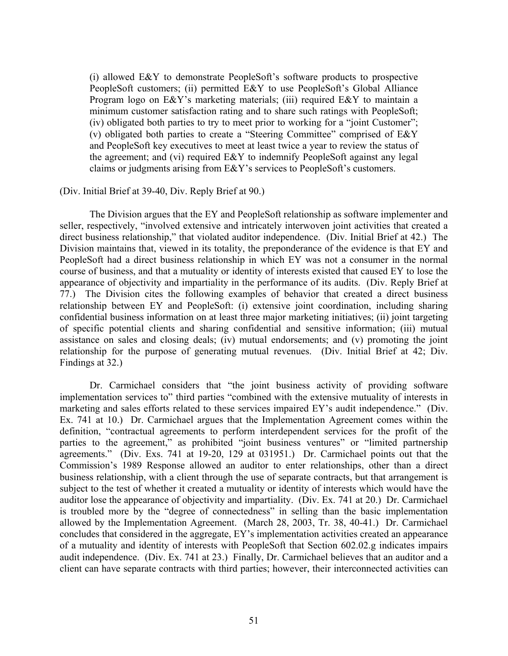(i) allowed E&Y to demonstrate PeopleSoft's software products to prospective PeopleSoft customers; (ii) permitted E&Y to use PeopleSoft's Global Alliance Program logo on E&Y's marketing materials; (iii) required E&Y to maintain a minimum customer satisfaction rating and to share such ratings with PeopleSoft; (iv) obligated both parties to try to meet prior to working for a "joint Customer"; (v) obligated both parties to create a "Steering Committee" comprised of E&Y and PeopleSoft key executives to meet at least twice a year to review the status of the agreement; and (vi) required E&Y to indemnify PeopleSoft against any legal claims or judgments arising from E&Y's services to PeopleSoft's customers.

## (Div. Initial Brief at 39-40, Div. Reply Brief at 90.)

The Division argues that the EY and PeopleSoft relationship as software implementer and seller, respectively, "involved extensive and intricately interwoven joint activities that created a direct business relationship," that violated auditor independence. (Div. Initial Brief at 42.) The Division maintains that, viewed in its totality, the preponderance of the evidence is that EY and PeopleSoft had a direct business relationship in which EY was not a consumer in the normal course of business, and that a mutuality or identity of interests existed that caused EY to lose the appearance of objectivity and impartiality in the performance of its audits. (Div. Reply Brief at 77.) The Division cites the following examples of behavior that created a direct business relationship between EY and PeopleSoft: (i) extensive joint coordination, including sharing confidential business information on at least three major marketing initiatives; (ii) joint targeting of specific potential clients and sharing confidential and sensitive information; (iii) mutual assistance on sales and closing deals; (iv) mutual endorsements; and (v) promoting the joint relationship for the purpose of generating mutual revenues. (Div. Initial Brief at 42; Div. Findings at 32.)

Dr. Carmichael considers that "the joint business activity of providing software implementation services to" third parties "combined with the extensive mutuality of interests in marketing and sales efforts related to these services impaired EY's audit independence." (Div. Ex. 741 at 10.) Dr. Carmichael argues that the Implementation Agreement comes within the definition, "contractual agreements to perform interdependent services for the profit of the parties to the agreement," as prohibited "joint business ventures" or "limited partnership agreements." (Div. Exs. 741 at 19-20, 129 at 031951.) Dr. Carmichael points out that the Commission's 1989 Response allowed an auditor to enter relationships, other than a direct business relationship, with a client through the use of separate contracts, but that arrangement is subject to the test of whether it created a mutuality or identity of interests which would have the auditor lose the appearance of objectivity and impartiality. (Div. Ex. 741 at 20.) Dr. Carmichael is troubled more by the "degree of connectedness" in selling than the basic implementation allowed by the Implementation Agreement. (March 28, 2003, Tr. 38, 40-41.) Dr. Carmichael concludes that considered in the aggregate, EY's implementation activities created an appearance of a mutuality and identity of interests with PeopleSoft that Section 602.02.g indicates impairs audit independence. (Div. Ex. 741 at 23.) Finally, Dr. Carmichael believes that an auditor and a client can have separate contracts with third parties; however, their interconnected activities can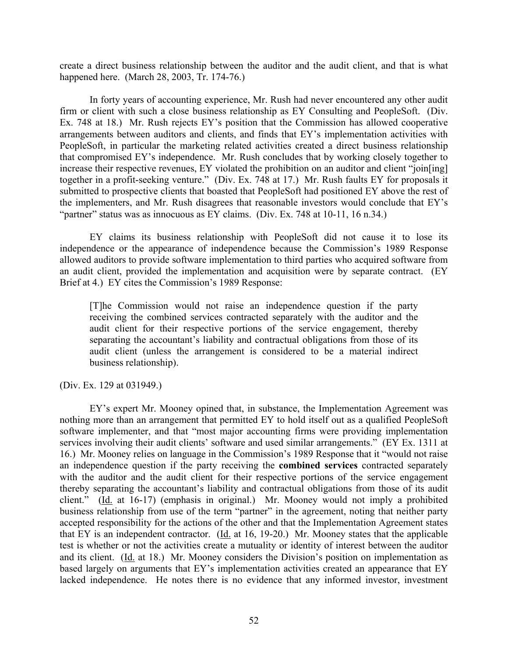create a direct business relationship between the auditor and the audit client, and that is what happened here. (March 28, 2003, Tr. 174-76.)

In forty years of accounting experience, Mr. Rush had never encountered any other audit firm or client with such a close business relationship as EY Consulting and PeopleSoft. (Div. Ex. 748 at 18.) Mr. Rush rejects EY's position that the Commission has allowed cooperative arrangements between auditors and clients, and finds that EY's implementation activities with PeopleSoft, in particular the marketing related activities created a direct business relationship that compromised EY's independence. Mr. Rush concludes that by working closely together to increase their respective revenues, EY violated the prohibition on an auditor and client "join[ing] together in a profit-seeking venture." (Div. Ex. 748 at 17.) Mr. Rush faults EY for proposals it submitted to prospective clients that boasted that PeopleSoft had positioned EY above the rest of the implementers, and Mr. Rush disagrees that reasonable investors would conclude that EY's "partner" status was as innocuous as EY claims. (Div. Ex. 748 at 10-11, 16 n.34.)

EY claims its business relationship with PeopleSoft did not cause it to lose its independence or the appearance of independence because the Commission's 1989 Response allowed auditors to provide software implementation to third parties who acquired software from an audit client, provided the implementation and acquisition were by separate contract. (EY Brief at 4.) EY cites the Commission's 1989 Response:

[T]he Commission would not raise an independence question if the party receiving the combined services contracted separately with the auditor and the audit client for their respective portions of the service engagement, thereby separating the accountant's liability and contractual obligations from those of its audit client (unless the arrangement is considered to be a material indirect business relationship).

(Div. Ex. 129 at 031949.)

EY's expert Mr. Mooney opined that, in substance, the Implementation Agreement was nothing more than an arrangement that permitted EY to hold itself out as a qualified PeopleSoft software implementer, and that "most major accounting firms were providing implementation services involving their audit clients' software and used similar arrangements." (EY Ex. 1311 at 16.) Mr. Mooney relies on language in the Commission's 1989 Response that it "would not raise an independence question if the party receiving the **combined services** contracted separately with the auditor and the audit client for their respective portions of the service engagement thereby separating the accountant's liability and contractual obligations from those of its audit client." (Id. at 16-17) (emphasis in original.) Mr. Mooney would not imply a prohibited business relationship from use of the term "partner" in the agreement, noting that neither party accepted responsibility for the actions of the other and that the Implementation Agreement states that EY is an independent contractor. (Id. at 16, 19-20.) Mr. Mooney states that the applicable test is whether or not the activities create a mutuality or identity of interest between the auditor and its client. (Id. at 18.) Mr. Mooney considers the Division's position on implementation as based largely on arguments that EY's implementation activities created an appearance that EY lacked independence. He notes there is no evidence that any informed investor, investment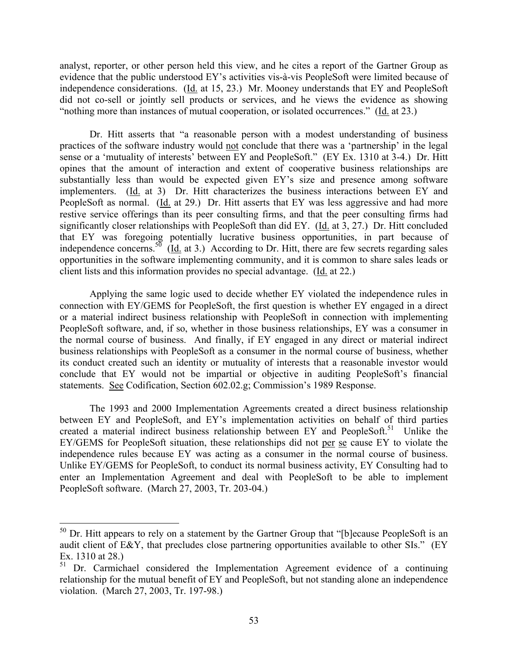analyst, reporter, or other person held this view, and he cites a report of the Gartner Group as evidence that the public understood EY's activities vis-à-vis PeopleSoft were limited because of independence considerations. (Id. at 15, 23.) Mr. Mooney understands that EY and PeopleSoft did not co-sell or jointly sell products or services, and he views the evidence as showing "nothing more than instances of mutual cooperation, or isolated occurrences." (Id. at 23.)

Dr. Hitt asserts that "a reasonable person with a modest understanding of business practices of the software industry would not conclude that there was a 'partnership' in the legal sense or a 'mutuality of interests' between EY and PeopleSoft." (EY Ex. 1310 at 3-4.) Dr. Hitt opines that the amount of interaction and extent of cooperative business relationships are substantially less than would be expected given EY's size and presence among software implementers. (Id. at 3) Dr. Hitt characterizes the business interactions between EY and PeopleSoft as normal. (Id. at 29.) Dr. Hitt asserts that EY was less aggressive and had more restive service offerings than its peer consulting firms, and that the peer consulting firms had significantly closer relationships with PeopleSoft than did EY. (Id. at 3, 27.) Dr. Hitt concluded that EY was foregoing potentially lucrative business opportunities, in part because of independence concerns.<sup>50</sup> ( $\underline{Id}$  at 3.) According to Dr. Hitt, there are few secrets regarding sales opportunities in the software implementing community, and it is common to share sales leads or client lists and this information provides no special advantage. (Id. at 22.)

Applying the same logic used to decide whether EY violated the independence rules in connection with EY/GEMS for PeopleSoft, the first question is whether EY engaged in a direct or a material indirect business relationship with PeopleSoft in connection with implementing PeopleSoft software, and, if so, whether in those business relationships, EY was a consumer in the normal course of business. And finally, if EY engaged in any direct or material indirect business relationships with PeopleSoft as a consumer in the normal course of business, whether its conduct created such an identity or mutuality of interests that a reasonable investor would conclude that EY would not be impartial or objective in auditing PeopleSoft's financial statements. See Codification, Section 602.02.g; Commission's 1989 Response.

The 1993 and 2000 Implementation Agreements created a direct business relationship between EY and PeopleSoft, and EY's implementation activities on behalf of third parties created a material indirect business relationship between EY and PeopleSoft.<sup>51</sup> Unlike the EY/GEMS for PeopleSoft situation, these relationships did not per se cause EY to violate the independence rules because EY was acting as a consumer in the normal course of business. Unlike EY/GEMS for PeopleSoft, to conduct its normal business activity, EY Consulting had to enter an Implementation Agreement and deal with PeopleSoft to be able to implement PeopleSoft software. (March 27, 2003, Tr. 203-04.)

<u>.</u>

<span id="page-52-0"></span> $50$  Dr. Hitt appears to rely on a statement by the Gartner Group that "[b] ecause PeopleSoft is an audit client of E&Y, that precludes close partnering opportunities available to other SIs." (EY Ex. 1310 at 28.)

<span id="page-52-1"></span> $51$  Dr. Carmichael considered the Implementation Agreement evidence of a continuing relationship for the mutual benefit of EY and PeopleSoft, but not standing alone an independence violation. (March 27, 2003, Tr. 197-98.)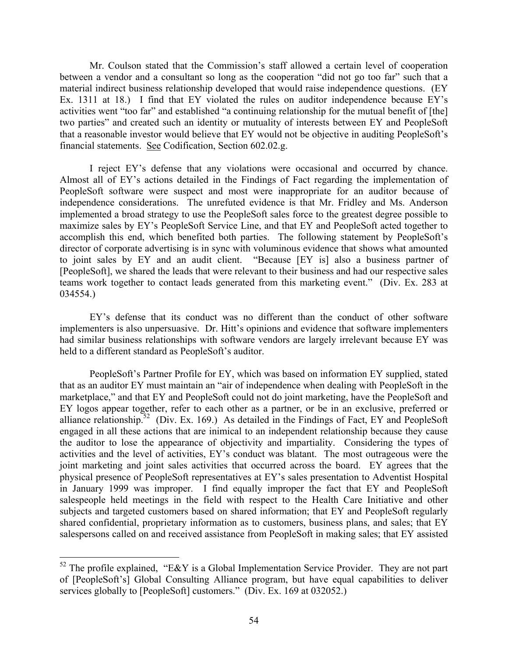Mr. Coulson stated that the Commission's staff allowed a certain level of cooperation between a vendor and a consultant so long as the cooperation "did not go too far" such that a material indirect business relationship developed that would raise independence questions. (EY Ex. 1311 at 18.) I find that EY violated the rules on auditor independence because EY's activities went "too far" and established "a continuing relationship for the mutual benefit of [the] two parties" and created such an identity or mutuality of interests between EY and PeopleSoft that a reasonable investor would believe that EY would not be objective in auditing PeopleSoft's financial statements. See Codification, Section 602.02.g.

I reject EY's defense that any violations were occasional and occurred by chance. Almost all of EY's actions detailed in the Findings of Fact regarding the implementation of PeopleSoft software were suspect and most were inappropriate for an auditor because of independence considerations. The unrefuted evidence is that Mr. Fridley and Ms. Anderson implemented a broad strategy to use the PeopleSoft sales force to the greatest degree possible to maximize sales by EY's PeopleSoft Service Line, and that EY and PeopleSoft acted together to accomplish this end, which benefited both parties. The following statement by PeopleSoft's director of corporate advertising is in sync with voluminous evidence that shows what amounted to joint sales by EY and an audit client. "Because [EY is] also a business partner of [PeopleSoft], we shared the leads that were relevant to their business and had our respective sales teams work together to contact leads generated from this marketing event." (Div. Ex. 283 at 034554.)

EY's defense that its conduct was no different than the conduct of other software implementers is also unpersuasive. Dr. Hitt's opinions and evidence that software implementers had similar business relationships with software vendors are largely irrelevant because EY was held to a different standard as PeopleSoft's auditor.

PeopleSoft's Partner Profile for EY, which was based on information EY supplied, stated that as an auditor EY must maintain an "air of independence when dealing with PeopleSoft in the marketplace," and that EY and PeopleSoft could not do joint marketing, have the PeopleSoft and EY logos appear together, refer to each other as a partner, or be in an exclusive, preferred or alliance relationship.<sup>52</sup> (Div. Ex. 169.) As detailed in the Findings of Fact, EY and PeopleSoft engaged in all these actions that are inimical to an independent relationship because they cause the auditor to lose the appearance of objectivity and impartiality. Considering the types of activities and the level of activities, EY's conduct was blatant. The most outrageous were the joint marketing and joint sales activities that occurred across the board. EY agrees that the physical presence of PeopleSoft representatives at EY's sales presentation to Adventist Hospital in January 1999 was improper. I find equally improper the fact that EY and PeopleSoft salespeople held meetings in the field with respect to the Health Care Initiative and other subjects and targeted customers based on shared information; that EY and PeopleSoft regularly shared confidential, proprietary information as to customers, business plans, and sales; that EY salespersons called on and received assistance from PeopleSoft in making sales; that EY assisted

<span id="page-53-0"></span> $52$  The profile explained, "E&Y is a Global Implementation Service Provider. They are not part of [PeopleSoft's] Global Consulting Alliance program, but have equal capabilities to deliver services globally to [PeopleSoft] customers." (Div. Ex. 169 at 032052.)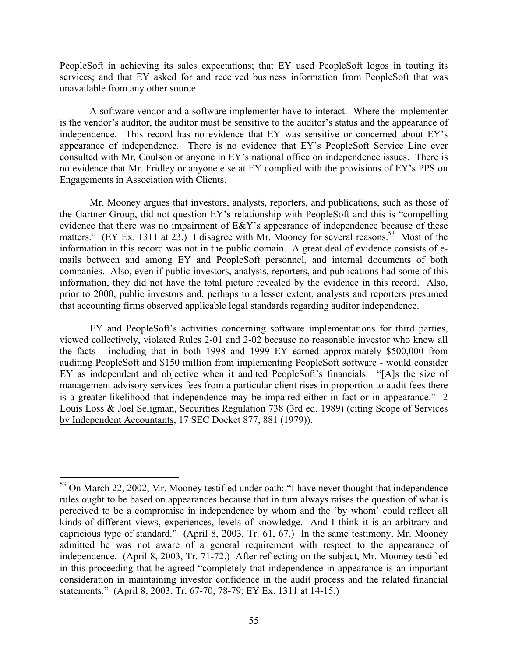PeopleSoft in achieving its sales expectations; that EY used PeopleSoft logos in touting its services; and that EY asked for and received business information from PeopleSoft that was unavailable from any other source.

A software vendor and a software implementer have to interact. Where the implementer is the vendor's auditor, the auditor must be sensitive to the auditor's status and the appearance of independence. This record has no evidence that EY was sensitive or concerned about EY's appearance of independence. There is no evidence that EY's PeopleSoft Service Line ever consulted with Mr. Coulson or anyone in EY's national office on independence issues. There is no evidence that Mr. Fridley or anyone else at EY complied with the provisions of EY's PPS on Engagements in Association with Clients.

Mr. Mooney argues that investors, analysts, reporters, and publications, such as those of the Gartner Group, did not question EY's relationship with PeopleSoft and this is "compelling evidence that there was no impairment of E&Y's appearance of independence because of these matters." (EY Ex. 1311 at 23.) I disagree with Mr. Mooney for several reasons.<sup>53</sup> Most of the information in this record was not in the public domain. A great deal of evidence consists of emails between and among EY and PeopleSoft personnel, and internal documents of both companies. Also, even if public investors, analysts, reporters, and publications had some of this information, they did not have the total picture revealed by the evidence in this record. Also, prior to 2000, public investors and, perhaps to a lesser extent, analysts and reporters presumed that accounting firms observed applicable legal standards regarding auditor independence.

EY and PeopleSoft's activities concerning software implementations for third parties, viewed collectively, violated Rules 2-01 and 2-02 because no reasonable investor who knew all the facts - including that in both 1998 and 1999 EY earned approximately \$500,000 from auditing PeopleSoft and \$150 million from implementing PeopleSoft software - would consider EY as independent and objective when it audited PeopleSoft's financials. "[A]s the size of management advisory services fees from a particular client rises in proportion to audit fees there is a greater likelihood that independence may be impaired either in fact or in appearance." 2 Louis Loss & Joel Seligman, Securities Regulation 738 (3rd ed. 1989) (citing Scope of Services by Independent Accountants, 17 SEC Docket 877, 881 (1979)).

1

<span id="page-54-0"></span><sup>&</sup>lt;sup>53</sup> On March 22, 2002, Mr. Mooney testified under oath: "I have never thought that independence rules ought to be based on appearances because that in turn always raises the question of what is perceived to be a compromise in independence by whom and the 'by whom' could reflect all kinds of different views, experiences, levels of knowledge. And I think it is an arbitrary and capricious type of standard." (April 8, 2003, Tr. 61, 67.) In the same testimony, Mr. Mooney admitted he was not aware of a general requirement with respect to the appearance of independence. (April 8, 2003, Tr. 71-72.) After reflecting on the subject, Mr. Mooney testified in this proceeding that he agreed "completely that independence in appearance is an important consideration in maintaining investor confidence in the audit process and the related financial statements." (April 8, 2003, Tr. 67-70, 78-79; EY Ex. 1311 at 14-15.)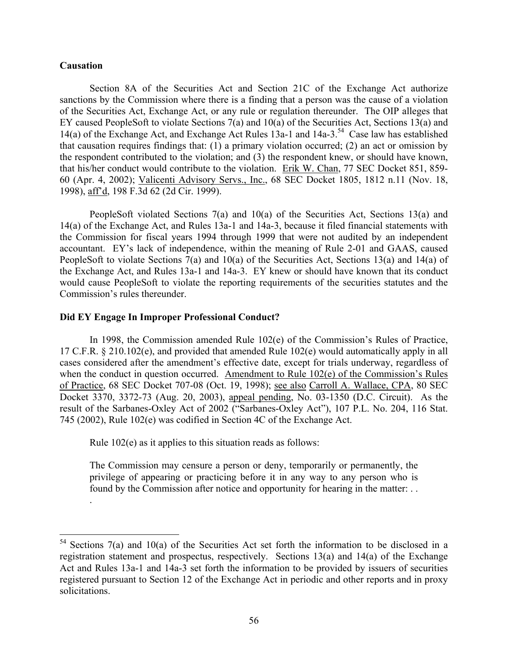# **Causation**

.

 $\overline{a}$ 

Section 8A of the Securities Act and Section 21C of the Exchange Act authorize sanctions by the Commission where there is a finding that a person was the cause of a violation of the Securities Act, Exchange Act, or any rule or regulation thereunder. The OIP alleges that EY caused PeopleSoft to violate Sections 7(a) and 10(a) of the Securities Act, Sections 13(a) and 14(a) of the Exchange Act, and Exchange Act Rules 13a-1 and 14a-3.<sup>54</sup> Case law has established that causation requires findings that: (1) a primary violation occurred; (2) an act or omission by the respondent contributed to the violation; and (3) the respondent knew, or should have known, that his/her conduct would contribute to the violation. Erik W. Chan, 77 SEC Docket 851, 859- 60 (Apr. 4, 2002); Valicenti Advisory Servs., Inc., 68 SEC Docket 1805, 1812 n.11 (Nov. 18, 1998), aff'd, 198 F.3d 62 (2d Cir. 1999).

PeopleSoft violated Sections 7(a) and 10(a) of the Securities Act, Sections 13(a) and 14(a) of the Exchange Act, and Rules 13a-1 and 14a-3, because it filed financial statements with the Commission for fiscal years 1994 through 1999 that were not audited by an independent accountant. EY's lack of independence, within the meaning of Rule 2-01 and GAAS, caused PeopleSoft to violate Sections 7(a) and 10(a) of the Securities Act, Sections 13(a) and 14(a) of the Exchange Act, and Rules 13a-1 and 14a-3. EY knew or should have known that its conduct would cause PeopleSoft to violate the reporting requirements of the securities statutes and the Commission's rules thereunder.

# **Did EY Engage In Improper Professional Conduct?**

In 1998, the Commission amended Rule 102(e) of the Commission's Rules of Practice, 17 C.F.R. § 210.102(e), and provided that amended Rule 102(e) would automatically apply in all cases considered after the amendment's effective date, except for trials underway, regardless of when the conduct in question occurred. Amendment to Rule 102(e) of the Commission's Rules of Practice, 68 SEC Docket 707-08 (Oct. 19, 1998); see also Carroll A. Wallace, CPA, 80 SEC Docket 3370, 3372-73 (Aug. 20, 2003), appeal pending, No. 03-1350 (D.C. Circuit). As the result of the Sarbanes-Oxley Act of 2002 ("Sarbanes-Oxley Act"), 107 P.L. No. 204, 116 Stat. 745 (2002), Rule 102(e) was codified in Section 4C of the Exchange Act.

Rule 102(e) as it applies to this situation reads as follows:

The Commission may censure a person or deny, temporarily or permanently, the privilege of appearing or practicing before it in any way to any person who is found by the Commission after notice and opportunity for hearing in the matter: . .

<span id="page-55-0"></span> $54$  Sections 7(a) and 10(a) of the Securities Act set forth the information to be disclosed in a registration statement and prospectus, respectively. Sections 13(a) and 14(a) of the Exchange Act and Rules 13a-1 and 14a-3 set forth the information to be provided by issuers of securities registered pursuant to Section 12 of the Exchange Act in periodic and other reports and in proxy solicitations.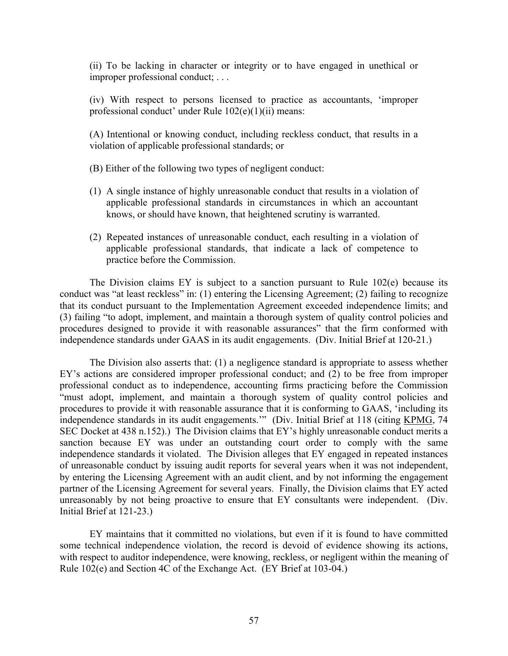(ii) To be lacking in character or integrity or to have engaged in unethical or improper professional conduct; . . .

(iv) With respect to persons licensed to practice as accountants, 'improper professional conduct' under Rule 102(e)(1)(ii) means:

(A) Intentional or knowing conduct, including reckless conduct, that results in a violation of applicable professional standards; or

(B) Either of the following two types of negligent conduct:

- (1) A single instance of highly unreasonable conduct that results in a violation of applicable professional standards in circumstances in which an accountant knows, or should have known, that heightened scrutiny is warranted.
- (2) Repeated instances of unreasonable conduct, each resulting in a violation of applicable professional standards, that indicate a lack of competence to practice before the Commission.

The Division claims EY is subject to a sanction pursuant to Rule 102(e) because its conduct was "at least reckless" in: (1) entering the Licensing Agreement; (2) failing to recognize that its conduct pursuant to the Implementation Agreement exceeded independence limits; and (3) failing "to adopt, implement, and maintain a thorough system of quality control policies and procedures designed to provide it with reasonable assurances" that the firm conformed with independence standards under GAAS in its audit engagements. (Div. Initial Brief at 120-21.)

The Division also asserts that: (1) a negligence standard is appropriate to assess whether EY's actions are considered improper professional conduct; and (2) to be free from improper professional conduct as to independence, accounting firms practicing before the Commission "must adopt, implement, and maintain a thorough system of quality control policies and procedures to provide it with reasonable assurance that it is conforming to GAAS, 'including its independence standards in its audit engagements."" (Div. Initial Brief at 118 (citing KPMG, 74 SEC Docket at 438 n.152).) The Division claims that EY's highly unreasonable conduct merits a sanction because EY was under an outstanding court order to comply with the same independence standards it violated. The Division alleges that EY engaged in repeated instances of unreasonable conduct by issuing audit reports for several years when it was not independent, by entering the Licensing Agreement with an audit client, and by not informing the engagement partner of the Licensing Agreement for several years. Finally, the Division claims that EY acted unreasonably by not being proactive to ensure that EY consultants were independent. (Div. Initial Brief at 121-23.)

EY maintains that it committed no violations, but even if it is found to have committed some technical independence violation, the record is devoid of evidence showing its actions, with respect to auditor independence, were knowing, reckless, or negligent within the meaning of Rule 102(e) and Section 4C of the Exchange Act. (EY Brief at 103-04.)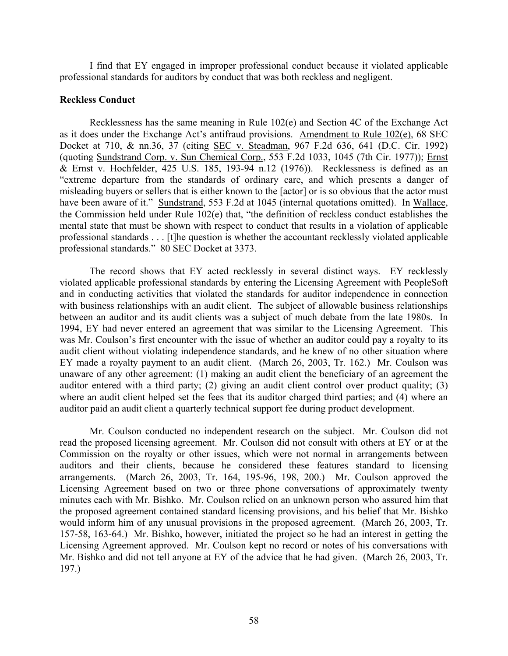I find that EY engaged in improper professional conduct because it violated applicable professional standards for auditors by conduct that was both reckless and negligent.

## **Reckless Conduct**

Recklessness has the same meaning in Rule 102(e) and Section 4C of the Exchange Act as it does under the Exchange Act's antifraud provisions. Amendment to Rule 102(e), 68 SEC Docket at 710, & nn.36, 37 (citing SEC v. Steadman, 967 F.2d 636, 641 (D.C. Cir. 1992) (quoting Sundstrand Corp. v. Sun Chemical Corp., 553 F.2d 1033, 1045 (7th Cir. 1977)); Ernst & Ernst v. Hochfelder, 425 U.S. 185, 193-94 n.12 (1976)). Recklessness is defined as an "extreme departure from the standards of ordinary care, and which presents a danger of misleading buyers or sellers that is either known to the [actor] or is so obvious that the actor must have been aware of it." Sundstrand, 553 F.2d at 1045 (internal quotations omitted). In Wallace, the Commission held under Rule 102(e) that, "the definition of reckless conduct establishes the mental state that must be shown with respect to conduct that results in a violation of applicable professional standards . . . [t]he question is whether the accountant recklessly violated applicable professional standards." 80 SEC Docket at 3373.

The record shows that EY acted recklessly in several distinct ways. EY recklessly violated applicable professional standards by entering the Licensing Agreement with PeopleSoft and in conducting activities that violated the standards for auditor independence in connection with business relationships with an audit client. The subject of allowable business relationships between an auditor and its audit clients was a subject of much debate from the late 1980s. In 1994, EY had never entered an agreement that was similar to the Licensing Agreement. This was Mr. Coulson's first encounter with the issue of whether an auditor could pay a royalty to its audit client without violating independence standards, and he knew of no other situation where EY made a royalty payment to an audit client. (March 26, 2003, Tr. 162.) Mr. Coulson was unaware of any other agreement: (1) making an audit client the beneficiary of an agreement the auditor entered with a third party; (2) giving an audit client control over product quality; (3) where an audit client helped set the fees that its auditor charged third parties; and (4) where an auditor paid an audit client a quarterly technical support fee during product development.

Mr. Coulson conducted no independent research on the subject. Mr. Coulson did not read the proposed licensing agreement. Mr. Coulson did not consult with others at EY or at the Commission on the royalty or other issues, which were not normal in arrangements between auditors and their clients, because he considered these features standard to licensing arrangements. (March 26, 2003, Tr. 164, 195-96, 198, 200.) Mr. Coulson approved the Licensing Agreement based on two or three phone conversations of approximately twenty minutes each with Mr. Bishko. Mr. Coulson relied on an unknown person who assured him that the proposed agreement contained standard licensing provisions, and his belief that Mr. Bishko would inform him of any unusual provisions in the proposed agreement. (March 26, 2003, Tr. 157-58, 163-64.) Mr. Bishko, however, initiated the project so he had an interest in getting the Licensing Agreement approved. Mr. Coulson kept no record or notes of his conversations with Mr. Bishko and did not tell anyone at EY of the advice that he had given. (March 26, 2003, Tr. 197.)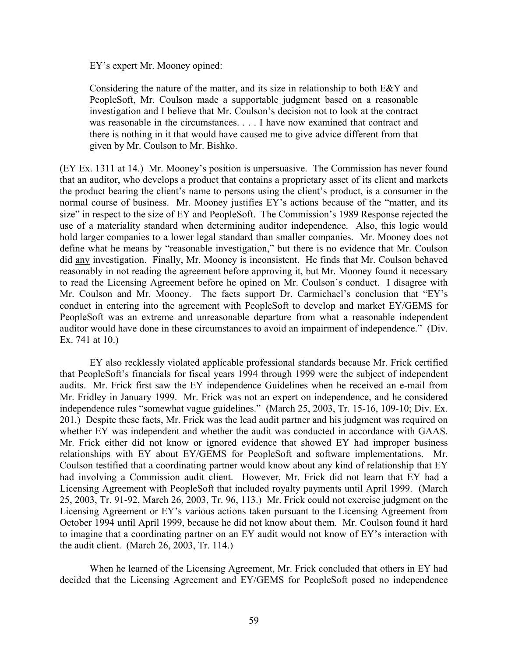EY's expert Mr. Mooney opined:

Considering the nature of the matter, and its size in relationship to both E&Y and PeopleSoft, Mr. Coulson made a supportable judgment based on a reasonable investigation and I believe that Mr. Coulson's decision not to look at the contract was reasonable in the circumstances. . . . I have now examined that contract and there is nothing in it that would have caused me to give advice different from that given by Mr. Coulson to Mr. Bishko.

(EY Ex. 1311 at 14.) Mr. Mooney's position is unpersuasive. The Commission has never found that an auditor, who develops a product that contains a proprietary asset of its client and markets the product bearing the client's name to persons using the client's product, is a consumer in the normal course of business. Mr. Mooney justifies EY's actions because of the "matter, and its size" in respect to the size of EY and PeopleSoft. The Commission's 1989 Response rejected the use of a materiality standard when determining auditor independence. Also, this logic would hold larger companies to a lower legal standard than smaller companies. Mr. Mooney does not define what he means by "reasonable investigation," but there is no evidence that Mr. Coulson did any investigation. Finally, Mr. Mooney is inconsistent. He finds that Mr. Coulson behaved reasonably in not reading the agreement before approving it, but Mr. Mooney found it necessary to read the Licensing Agreement before he opined on Mr. Coulson's conduct. I disagree with Mr. Coulson and Mr. Mooney. The facts support Dr. Carmichael's conclusion that "EY's conduct in entering into the agreement with PeopleSoft to develop and market EY/GEMS for PeopleSoft was an extreme and unreasonable departure from what a reasonable independent auditor would have done in these circumstances to avoid an impairment of independence." (Div. Ex. 741 at 10.)

EY also recklessly violated applicable professional standards because Mr. Frick certified that PeopleSoft's financials for fiscal years 1994 through 1999 were the subject of independent audits. Mr. Frick first saw the EY independence Guidelines when he received an e-mail from Mr. Fridley in January 1999. Mr. Frick was not an expert on independence, and he considered independence rules "somewhat vague guidelines." (March 25, 2003, Tr. 15-16, 109-10; Div. Ex. 201.) Despite these facts, Mr. Frick was the lead audit partner and his judgment was required on whether EY was independent and whether the audit was conducted in accordance with GAAS. Mr. Frick either did not know or ignored evidence that showed EY had improper business relationships with EY about EY/GEMS for PeopleSoft and software implementations. Mr. Coulson testified that a coordinating partner would know about any kind of relationship that EY had involving a Commission audit client. However, Mr. Frick did not learn that EY had a Licensing Agreement with PeopleSoft that included royalty payments until April 1999. (March 25, 2003, Tr. 91-92, March 26, 2003, Tr. 96, 113.)Mr. Frick could not exercise judgment on the Licensing Agreement or EY's various actions taken pursuant to the Licensing Agreement from October 1994 until April 1999, because he did not know about them. Mr. Coulson found it hard to imagine that a coordinating partner on an EY audit would not know of EY's interaction with the audit client. (March 26, 2003, Tr. 114.)

When he learned of the Licensing Agreement, Mr. Frick concluded that others in EY had decided that the Licensing Agreement and EY/GEMS for PeopleSoft posed no independence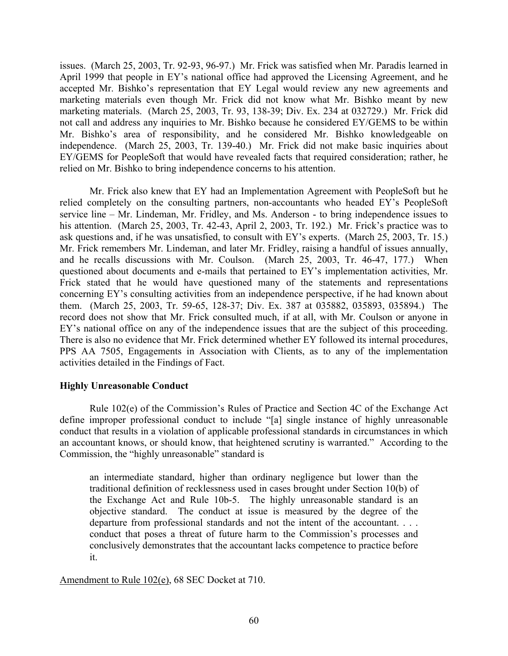issues. (March 25, 2003, Tr. 92-93, 96-97.) Mr. Frick was satisfied when Mr. Paradis learned in April 1999 that people in EY's national office had approved the Licensing Agreement, and he accepted Mr. Bishko's representation that EY Legal would review any new agreements and marketing materials even though Mr. Frick did not know what Mr. Bishko meant by new marketing materials. (March 25, 2003, Tr. 93, 138-39; Div. Ex. 234 at 032729.) Mr. Frick did not call and address any inquiries to Mr. Bishko because he considered EY/GEMS to be within Mr. Bishko's area of responsibility, and he considered Mr. Bishko knowledgeable on independence. (March 25, 2003, Tr. 139-40.) Mr. Frick did not make basic inquiries about EY/GEMS for PeopleSoft that would have revealed facts that required consideration; rather, he relied on Mr. Bishko to bring independence concerns to his attention.

Mr. Frick also knew that EY had an Implementation Agreement with PeopleSoft but he relied completely on the consulting partners, non-accountants who headed EY's PeopleSoft service line – Mr. Lindeman, Mr. Fridley, and Ms. Anderson - to bring independence issues to his attention. (March 25, 2003, Tr. 42-43, April 2, 2003, Tr. 192.) Mr. Frick's practice was to ask questions and, if he was unsatisfied, to consult with EY's experts. (March 25, 2003, Tr. 15.) Mr. Frick remembers Mr. Lindeman, and later Mr. Fridley, raising a handful of issues annually, and he recalls discussions with Mr. Coulson. (March 25, 2003, Tr. 46-47, 177.) When questioned about documents and e-mails that pertained to EY's implementation activities, Mr. Frick stated that he would have questioned many of the statements and representations concerning EY's consulting activities from an independence perspective, if he had known about them. (March 25, 2003, Tr. 59-65, 128-37; Div. Ex. 387 at 035882, 035893, 035894.) The record does not show that Mr. Frick consulted much, if at all, with Mr. Coulson or anyone in EY's national office on any of the independence issues that are the subject of this proceeding. There is also no evidence that Mr. Frick determined whether EY followed its internal procedures, PPS AA 7505, Engagements in Association with Clients, as to any of the implementation activities detailed in the Findings of Fact.

# **Highly Unreasonable Conduct**

Rule 102(e) of the Commission's Rules of Practice and Section 4C of the Exchange Act define improper professional conduct to include "[a] single instance of highly unreasonable conduct that results in a violation of applicable professional standards in circumstances in which an accountant knows, or should know, that heightened scrutiny is warranted." According to the Commission, the "highly unreasonable" standard is

an intermediate standard, higher than ordinary negligence but lower than the traditional definition of recklessness used in cases brought under Section 10(b) of the Exchange Act and Rule 10b-5. The highly unreasonable standard is an objective standard. The conduct at issue is measured by the degree of the departure from professional standards and not the intent of the accountant. . . . conduct that poses a threat of future harm to the Commission's processes and conclusively demonstrates that the accountant lacks competence to practice before it.

Amendment to Rule 102(e), 68 SEC Docket at 710.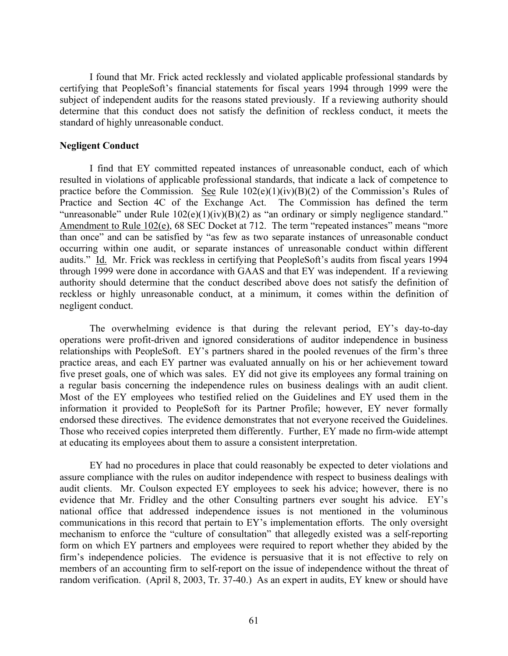I found that Mr. Frick acted recklessly and violated applicable professional standards by certifying that PeopleSoft's financial statements for fiscal years 1994 through 1999 were the subject of independent audits for the reasons stated previously. If a reviewing authority should determine that this conduct does not satisfy the definition of reckless conduct, it meets the standard of highly unreasonable conduct.

## **Negligent Conduct**

I find that EY committed repeated instances of unreasonable conduct, each of which resulted in violations of applicable professional standards, that indicate a lack of competence to practice before the Commission. See Rule  $102(e)(1)(iv)(B)(2)$  of the Commission's Rules of Practice and Section 4C of the Exchange Act. The Commission has defined the term "unreasonable" under Rule  $102(e)(1)(iv)(B)(2)$  as "an ordinary or simply negligence standard." Amendment to Rule 102(e), 68 SEC Docket at 712. The term "repeated instances" means "more than once" and can be satisfied by "as few as two separate instances of unreasonable conduct occurring within one audit, or separate instances of unreasonable conduct within different audits." Id. Mr. Frick was reckless in certifying that PeopleSoft's audits from fiscal years 1994 through 1999 were done in accordance with GAAS and that EY was independent. If a reviewing authority should determine that the conduct described above does not satisfy the definition of reckless or highly unreasonable conduct, at a minimum, it comes within the definition of negligent conduct.

The overwhelming evidence is that during the relevant period, EY's day-to-day operations were profit-driven and ignored considerations of auditor independence in business relationships with PeopleSoft. EY's partners shared in the pooled revenues of the firm's three practice areas, and each EY partner was evaluated annually on his or her achievement toward five preset goals, one of which was sales. EY did not give its employees any formal training on a regular basis concerning the independence rules on business dealings with an audit client. Most of the EY employees who testified relied on the Guidelines and EY used them in the information it provided to PeopleSoft for its Partner Profile; however, EY never formally endorsed these directives. The evidence demonstrates that not everyone received the Guidelines. Those who received copies interpreted them differently. Further, EY made no firm-wide attempt at educating its employees about them to assure a consistent interpretation.

EY had no procedures in place that could reasonably be expected to deter violations and assure compliance with the rules on auditor independence with respect to business dealings with audit clients.Mr. Coulson expected EY employees to seek his advice; however, there is no evidence that Mr. Fridley and the other Consulting partners ever sought his advice. EY's national office that addressed independence issues is not mentioned in the voluminous communications in this record that pertain to EY's implementation efforts. The only oversight mechanism to enforce the "culture of consultation" that allegedly existed was a self-reporting form on which EY partners and employees were required to report whether they abided by the firm's independence policies. The evidence is persuasive that it is not effective to rely on members of an accounting firm to self-report on the issue of independence without the threat of random verification. (April 8, 2003, Tr. 37-40.) As an expert in audits, EY knew or should have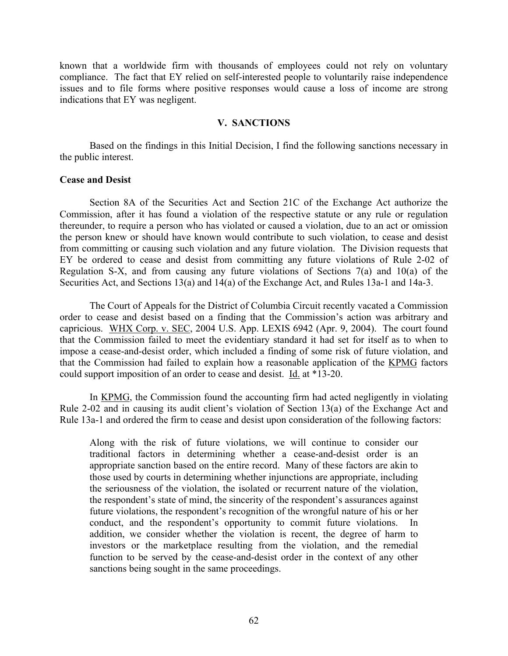known that a worldwide firm with thousands of employees could not rely on voluntary compliance. The fact that EY relied on self-interested people to voluntarily raise independence issues and to file forms where positive responses would cause a loss of income are strong indications that EY was negligent.

# **V. SANCTIONS**

Based on the findings in this Initial Decision, I find the following sanctions necessary in the public interest.

### **Cease and Desist**

Section 8A of the Securities Act and Section 21C of the Exchange Act authorize the Commission, after it has found a violation of the respective statute or any rule or regulation thereunder, to require a person who has violated or caused a violation, due to an act or omission the person knew or should have known would contribute to such violation, to cease and desist from committing or causing such violation and any future violation.The Division requests that EY be ordered to cease and desist from committing any future violations of Rule 2-02 of Regulation S-X, and from causing any future violations of Sections 7(a) and 10(a) of the Securities Act, and Sections 13(a) and 14(a) of the Exchange Act, and Rules 13a-1 and 14a-3.

The Court of Appeals for the District of Columbia Circuit recently vacated a Commission order to cease and desist based on a finding that the Commission's action was arbitrary and capricious. WHX Corp. v. SEC, 2004 U.S. App. LEXIS 6942 (Apr. 9, 2004). The court found that the Commission failed to meet the evidentiary standard it had set for itself as to when to impose a cease-and-desist order, which included a finding of some risk of future violation, and that the Commission had failed to explain how a reasonable application of the KPMG factors could support imposition of an order to cease and desist. Id. at \*13-20.

In KPMG, the Commission found the accounting firm had acted negligently in violating Rule 2-02 and in causing its audit client's violation of Section 13(a) of the Exchange Act and Rule 13a-1 and ordered the firm to cease and desist upon consideration of the following factors:

Along with the risk of future violations, we will continue to consider our traditional factors in determining whether a cease-and-desist order is an appropriate sanction based on the entire record. Many of these factors are akin to those used by courts in determining whether injunctions are appropriate, including the seriousness of the violation, the isolated or recurrent nature of the violation, the respondent's state of mind, the sincerity of the respondent's assurances against future violations, the respondent's recognition of the wrongful nature of his or her conduct, and the respondent's opportunity to commit future violations. In addition, we consider whether the violation is recent, the degree of harm to investors or the marketplace resulting from the violation, and the remedial function to be served by the cease-and-desist order in the context of any other sanctions being sought in the same proceedings.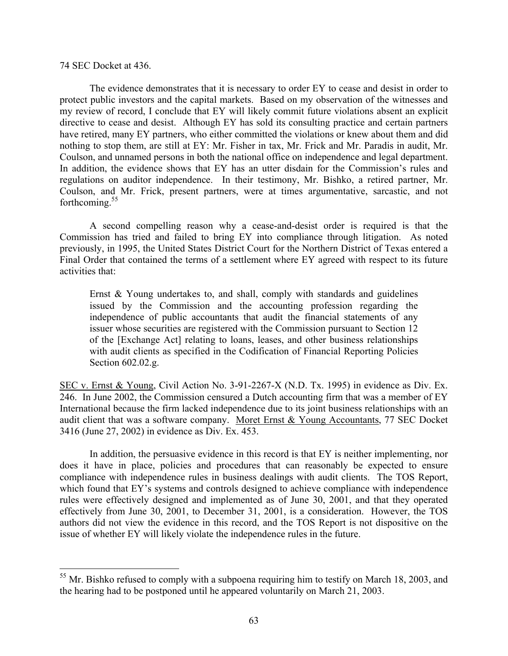## 74 SEC Docket at 436.

 $\overline{a}$ 

The evidence demonstrates that it is necessary to order EY to cease and desist in order to protect public investors and the capital markets. Based on my observation of the witnesses and my review of record, I conclude that EY will likely commit future violations absent an explicit directive to cease and desist. Although EY has sold its consulting practice and certain partners have retired, many EY partners, who either committed the violations or knew about them and did nothing to stop them, are still at EY: Mr. Fisher in tax, Mr. Frick and Mr. Paradis in audit, Mr. Coulson, and unnamed persons in both the national office on independence and legal department. In addition, the evidence shows that EY has an utter disdain for the Commission's rules and regulations on auditor independence. In their testimony, Mr. Bishko, a retired partner, Mr. Coulson, and Mr. Frick, present partners, were at times argumentative, sarcastic, and not forthcoming.<sup>55</sup>

A second compelling reason why a cease-and-desist order is required is that the Commission has tried and failed to bring EY into compliance through litigation. As noted previously, in 1995, the United States District Court for the Northern District of Texas entered a Final Order that contained the terms of a settlement where EY agreed with respect to its future activities that:

Ernst & Young undertakes to, and shall, comply with standards and guidelines issued by the Commission and the accounting profession regarding the independence of public accountants that audit the financial statements of any issuer whose securities are registered with the Commission pursuant to Section 12 of the [Exchange Act] relating to loans, leases, and other business relationships with audit clients as specified in the Codification of Financial Reporting Policies Section 602.02.g.

SEC v. Ernst & Young, Civil Action No. 3-91-2267-X (N.D. Tx. 1995) in evidence as Div. Ex. 246. In June 2002, the Commission censured a Dutch accounting firm that was a member of EY International because the firm lacked independence due to its joint business relationships with an audit client that was a software company. Moret Ernst & Young Accountants, 77 SEC Docket 3416 (June 27, 2002) in evidence as Div. Ex. 453.

In addition, the persuasive evidence in this record is that EY is neither implementing, nor does it have in place, policies and procedures that can reasonably be expected to ensure compliance with independence rules in business dealings with audit clients. The TOS Report, which found that EY's systems and controls designed to achieve compliance with independence rules were effectively designed and implemented as of June 30, 2001, and that they operated effectively from June 30, 2001, to December 31, 2001, is a consideration. However, the TOS authors did not view the evidence in this record, and the TOS Report is not dispositive on the issue of whether EY will likely violate the independence rules in the future.

<span id="page-62-0"></span> $55$  Mr. Bishko refused to comply with a subpoena requiring him to testify on March 18, 2003, and the hearing had to be postponed until he appeared voluntarily on March 21, 2003.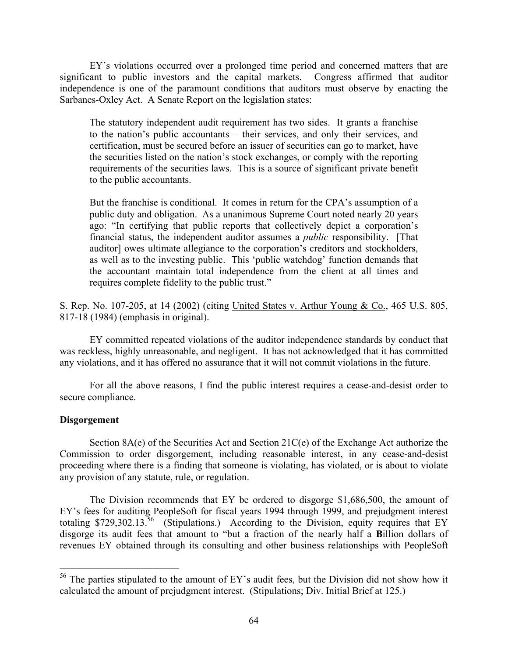EY's violations occurred over a prolonged time period and concerned matters that are significant to public investors and the capital markets. Congress affirmed that auditor independence is one of the paramount conditions that auditors must observe by enacting the Sarbanes-Oxley Act. A Senate Report on the legislation states:

The statutory independent audit requirement has two sides. It grants a franchise to the nation's public accountants – their services, and only their services, and certification, must be secured before an issuer of securities can go to market, have the securities listed on the nation's stock exchanges, or comply with the reporting requirements of the securities laws. This is a source of significant private benefit to the public accountants.

But the franchise is conditional. It comes in return for the CPA's assumption of a public duty and obligation. As a unanimous Supreme Court noted nearly 20 years ago: "In certifying that public reports that collectively depict a corporation's financial status, the independent auditor assumes a *public* responsibility. [That auditor] owes ultimate allegiance to the corporation's creditors and stockholders, as well as to the investing public. This 'public watchdog' function demands that the accountant maintain total independence from the client at all times and requires complete fidelity to the public trust."

S. Rep. No. 107-205, at 14 (2002) (citing United States v. Arthur Young & Co., 465 U.S. 805, 817-18 (1984) (emphasis in original).

EY committed repeated violations of the auditor independence standards by conduct that was reckless, highly unreasonable, and negligent. It has not acknowledged that it has committed any violations, and it has offered no assurance that it will not commit violations in the future.

For all the above reasons, I find the public interest requires a cease-and-desist order to secure compliance.

# **Disgorgement**

 $\overline{a}$ 

Section 8A(e) of the Securities Act and Section 21C(e) of the Exchange Act authorize the Commission to order disgorgement, including reasonable interest, in any cease-and-desist proceeding where there is a finding that someone is violating, has violated, or is about to violate any provision of any statute, rule, or regulation.

The Division recommends that EY be ordered to disgorge \$1,686,500, the amount of EY's fees for auditing PeopleSoft for fiscal years 1994 through 1999, and prejudgment interest totaling \$729,302.13.<sup>56</sup> (Stipulations.) According to the Division, equity requires that EY disgorge its audit fees that amount to "but a fraction of the nearly half a **B**illion dollars of revenues EY obtained through its consulting and other business relationships with PeopleSoft

<span id="page-63-0"></span> $56$  The parties stipulated to the amount of EY's audit fees, but the Division did not show how it calculated the amount of prejudgment interest. (Stipulations; Div. Initial Brief at 125.)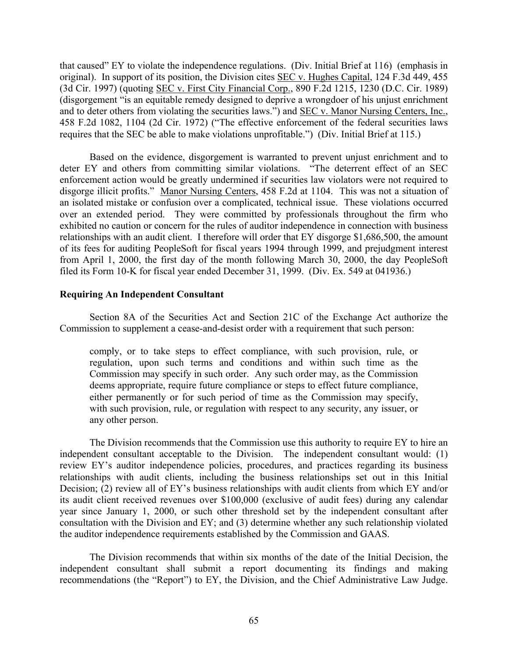that caused" EY to violate the independence regulations. (Div. Initial Brief at 116) (emphasis in original). In support of its position, the Division cites SEC v. Hughes Capital, 124 F.3d 449, 455 (3d Cir. 1997) (quoting SEC v. First City Financial Corp., 890 F.2d 1215, 1230 (D.C. Cir. 1989) (disgorgement "is an equitable remedy designed to deprive a wrongdoer of his unjust enrichment and to deter others from violating the securities laws.") and SEC v. Manor Nursing Centers, Inc., 458 F.2d 1082, 1104 (2d Cir. 1972) ("The effective enforcement of the federal securities laws requires that the SEC be able to make violations unprofitable.") (Div. Initial Brief at 115.)

Based on the evidence, disgorgement is warranted to prevent unjust enrichment and to deter EY and others from committing similar violations. "The deterrent effect of an SEC enforcement action would be greatly undermined if securities law violators were not required to disgorge illicit profits." Manor Nursing Centers, 458 F.2d at 1104. This was not a situation of an isolated mistake or confusion over a complicated, technical issue. These violations occurred over an extended period. They were committed by professionals throughout the firm who exhibited no caution or concern for the rules of auditor independence in connection with business relationships with an audit client. I therefore will order that EY disgorge \$1,686,500, the amount of its fees for auditing PeopleSoft for fiscal years 1994 through 1999, and prejudgment interest from April 1, 2000, the first day of the month following March 30, 2000, the day PeopleSoft filed its Form 10-K for fiscal year ended December 31, 1999. (Div. Ex. 549 at 041936.)

# **Requiring An Independent Consultant**

Section 8A of the Securities Act and Section 21C of the Exchange Act authorize the Commission to supplement a cease-and-desist order with a requirement that such person:

comply, or to take steps to effect compliance, with such provision, rule, or regulation, upon such terms and conditions and within such time as the Commission may specify in such order. Any such order may, as the Commission deems appropriate, require future compliance or steps to effect future compliance, either permanently or for such period of time as the Commission may specify, with such provision, rule, or regulation with respect to any security, any issuer, or any other person.

The Division recommends that the Commission use this authority to require EY to hire an independent consultant acceptable to the Division. The independent consultant would: (1) review EY's auditor independence policies, procedures, and practices regarding its business relationships with audit clients, including the business relationships set out in this Initial Decision; (2) review all of EY's business relationships with audit clients from which EY and/or its audit client received revenues over \$100,000 (exclusive of audit fees) during any calendar year since January 1, 2000, or such other threshold set by the independent consultant after consultation with the Division and EY; and (3) determine whether any such relationship violated the auditor independence requirements established by the Commission and GAAS.

The Division recommends that within six months of the date of the Initial Decision, the independent consultant shall submit a report documenting its findings and making recommendations (the "Report") to EY, the Division, and the Chief Administrative Law Judge.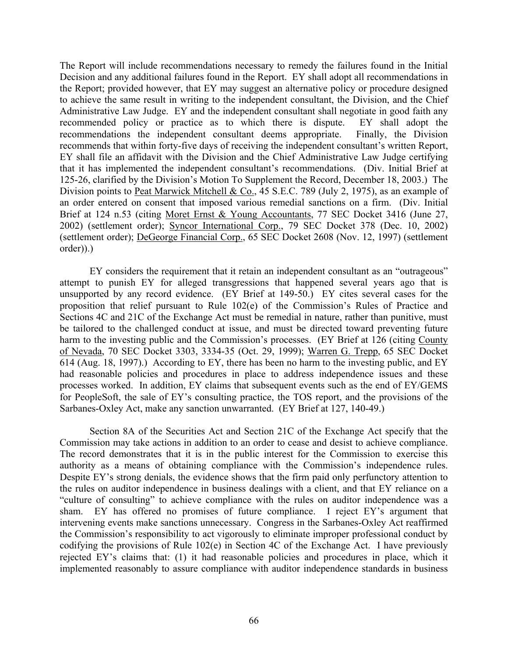The Report will include recommendations necessary to remedy the failures found in the Initial Decision and any additional failures found in the Report. EY shall adopt all recommendations in the Report; provided however, that EY may suggest an alternative policy or procedure designed to achieve the same result in writing to the independent consultant, the Division, and the Chief Administrative Law Judge. EY and the independent consultant shall negotiate in good faith any recommended policy or practice as to which there is dispute. EY shall adopt the recommendations the independent consultant deems appropriate. Finally, the Division recommends that within forty-five days of receiving the independent consultant's written Report, EY shall file an affidavit with the Division and the Chief Administrative Law Judge certifying that it has implemented the independent consultant's recommendations. (Div. Initial Brief at 125-26, clarified by the Division's Motion To Supplement the Record, December 18, 2003.) The Division points to Peat Marwick Mitchell & Co., 45 S.E.C. 789 (July 2, 1975), as an example of an order entered on consent that imposed various remedial sanctions on a firm. (Div. Initial Brief at 124 n.53 (citing Moret Ernst & Young Accountants, 77 SEC Docket 3416 (June 27, 2002) (settlement order); Syncor International Corp., 79 SEC Docket 378 (Dec. 10, 2002) (settlement order); DeGeorge Financial Corp., 65 SEC Docket 2608 (Nov. 12, 1997) (settlement order)).)

EY considers the requirement that it retain an independent consultant as an "outrageous" attempt to punish EY for alleged transgressions that happened several years ago that is unsupported by any record evidence. (EY Brief at 149-50.) EY cites several cases for the proposition that relief pursuant to Rule 102(e) of the Commission's Rules of Practice and Sections 4C and 21C of the Exchange Act must be remedial in nature, rather than punitive, must be tailored to the challenged conduct at issue, and must be directed toward preventing future harm to the investing public and the Commission's processes. (EY Brief at 126 (citing County of Nevada, 70 SEC Docket 3303, 3334-35 (Oct. 29, 1999); Warren G. Trepp, 65 SEC Docket 614 (Aug. 18, 1997).) According to EY, there has been no harm to the investing public, and EY had reasonable policies and procedures in place to address independence issues and these processes worked. In addition, EY claims that subsequent events such as the end of EY/GEMS for PeopleSoft, the sale of EY's consulting practice, the TOS report, and the provisions of the Sarbanes-Oxley Act, make any sanction unwarranted. (EY Brief at 127, 140-49.)

Section 8A of the Securities Act and Section 21C of the Exchange Act specify that the Commission may take actions in addition to an order to cease and desist to achieve compliance. The record demonstrates that it is in the public interest for the Commission to exercise this authority as a means of obtaining compliance with the Commission's independence rules. Despite EY's strong denials, the evidence shows that the firm paid only perfunctory attention to the rules on auditor independence in business dealings with a client, and that EY reliance on a "culture of consulting" to achieve compliance with the rules on auditor independence was a sham. EY has offered no promises of future compliance. I reject EY's argument that intervening events make sanctions unnecessary. Congress in the Sarbanes-Oxley Act reaffirmed the Commission's responsibility to act vigorously to eliminate improper professional conduct by codifying the provisions of Rule 102(e) in Section 4C of the Exchange Act. I have previously rejected EY's claims that: (1) it had reasonable policies and procedures in place, which it implemented reasonably to assure compliance with auditor independence standards in business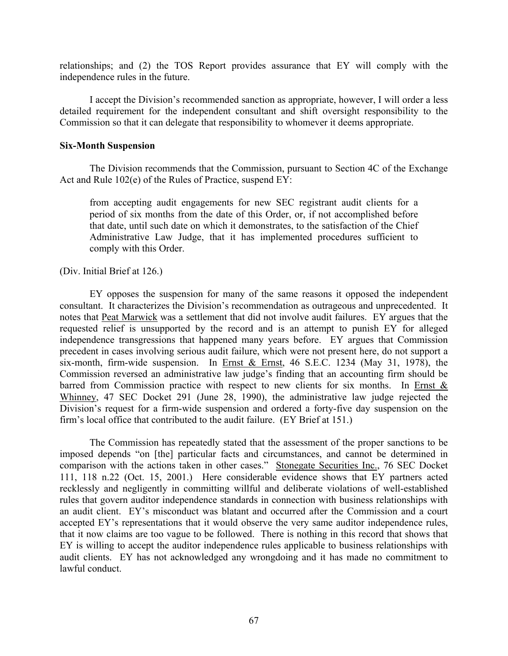relationships; and (2) the TOS Report provides assurance that EY will comply with the independence rules in the future.

I accept the Division's recommended sanction as appropriate, however, I will order a less detailed requirement for the independent consultant and shift oversight responsibility to the Commission so that it can delegate that responsibility to whomever it deems appropriate.

# **Six-Month Suspension**

The Division recommends that the Commission, pursuant to Section 4C of the Exchange Act and Rule 102(e) of the Rules of Practice, suspend EY:

from accepting audit engagements for new SEC registrant audit clients for a period of six months from the date of this Order, or, if not accomplished before that date, until such date on which it demonstrates, to the satisfaction of the Chief Administrative Law Judge, that it has implemented procedures sufficient to comply with this Order.

(Div. Initial Brief at 126.)

EY opposes the suspension for many of the same reasons it opposed the independent consultant. It characterizes the Division's recommendation as outrageous and unprecedented. It notes that Peat Marwick was a settlement that did not involve audit failures. EY argues that the requested relief is unsupported by the record and is an attempt to punish EY for alleged independence transgressions that happened many years before. EY argues that Commission precedent in cases involving serious audit failure, which were not present here, do not support a six-month, firm-wide suspension. In Ernst & Ernst, 46 S.E.C. 1234 (May 31, 1978), the Commission reversed an administrative law judge's finding that an accounting firm should be barred from Commission practice with respect to new clients for six months. In Ernst  $\&$ Whinney, 47 SEC Docket 291 (June 28, 1990), the administrative law judge rejected the Division's request for a firm-wide suspension and ordered a forty-five day suspension on the firm's local office that contributed to the audit failure. (EY Brief at 151.)

The Commission has repeatedly stated that the assessment of the proper sanctions to be imposed depends "on [the] particular facts and circumstances, and cannot be determined in comparison with the actions taken in other cases." Stonegate Securities Inc., 76 SEC Docket 111, 118 n.22 (Oct. 15, 2001.) Here considerable evidence shows that EY partners acted recklessly and negligently in committing willful and deliberate violations of well-established rules that govern auditor independence standards in connection with business relationships with an audit client. EY's misconduct was blatant and occurred after the Commission and a court accepted EY's representations that it would observe the very same auditor independence rules, that it now claims are too vague to be followed. There is nothing in this record that shows that EY is willing to accept the auditor independence rules applicable to business relationships with audit clients. EY has not acknowledged any wrongdoing and it has made no commitment to lawful conduct.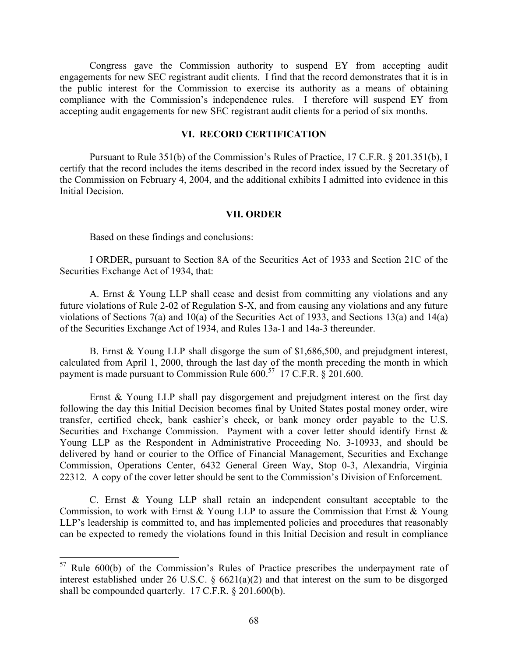Congress gave the Commission authority to suspend EY from accepting audit engagements for new SEC registrant audit clients. I find that the record demonstrates that it is in the public interest for the Commission to exercise its authority as a means of obtaining compliance with the Commission's independence rules. I therefore will suspend EY from accepting audit engagements for new SEC registrant audit clients for a period of six months.

# **VI. RECORD CERTIFICATION**

Pursuant to Rule 351(b) of the Commission's Rules of Practice, 17 C.F.R. § 201.351(b), I certify that the record includes the items described in the record index issued by the Secretary of the Commission on February 4, 2004, and the additional exhibits I admitted into evidence in this Initial Decision.

## **VII. ORDER**

Based on these findings and conclusions:

 $\overline{a}$ 

I ORDER, pursuant to Section 8A of the Securities Act of 1933 and Section 21C of the Securities Exchange Act of 1934, that:

A. Ernst & Young LLP shall cease and desist from committing any violations and any future violations of Rule 2-02 of Regulation S-X, and from causing any violations and any future violations of Sections 7(a) and 10(a) of the Securities Act of 1933, and Sections 13(a) and 14(a) of the Securities Exchange Act of 1934, and Rules 13a-1 and 14a-3 thereunder.

B. Ernst & Young LLP shall disgorge the sum of \$1,686,500, and prejudgment interest, calculated from April 1, 2000, through the last day of the month preceding the month in which payment is made pursuant to Commission Rule  $600<sup>57</sup>$  17 C.F.R. § 201.600.

Ernst & Young LLP shall pay disgorgement and prejudgment interest on the first day following the day this Initial Decision becomes final by United States postal money order, wire transfer, certified check, bank cashier's check, or bank money order payable to the U.S. Securities and Exchange Commission. Payment with a cover letter should identify Ernst & Young LLP as the Respondent in Administrative Proceeding No. 3-10933, and should be delivered by hand or courier to the Office of Financial Management, Securities and Exchange Commission, Operations Center, 6432 General Green Way, Stop 0-3, Alexandria, Virginia 22312. A copy of the cover letter should be sent to the Commission's Division of Enforcement.

C. Ernst & Young LLP shall retain an independent consultant acceptable to the Commission, to work with Ernst & Young LLP to assure the Commission that Ernst & Young LLP's leadership is committed to, and has implemented policies and procedures that reasonably can be expected to remedy the violations found in this Initial Decision and result in compliance

<span id="page-67-0"></span> $57$  Rule 600(b) of the Commission's Rules of Practice prescribes the underpayment rate of interest established under 26 U.S.C. § 6621(a)(2) and that interest on the sum to be disgorged shall be compounded quarterly. 17 C.F.R. § 201.600(b).